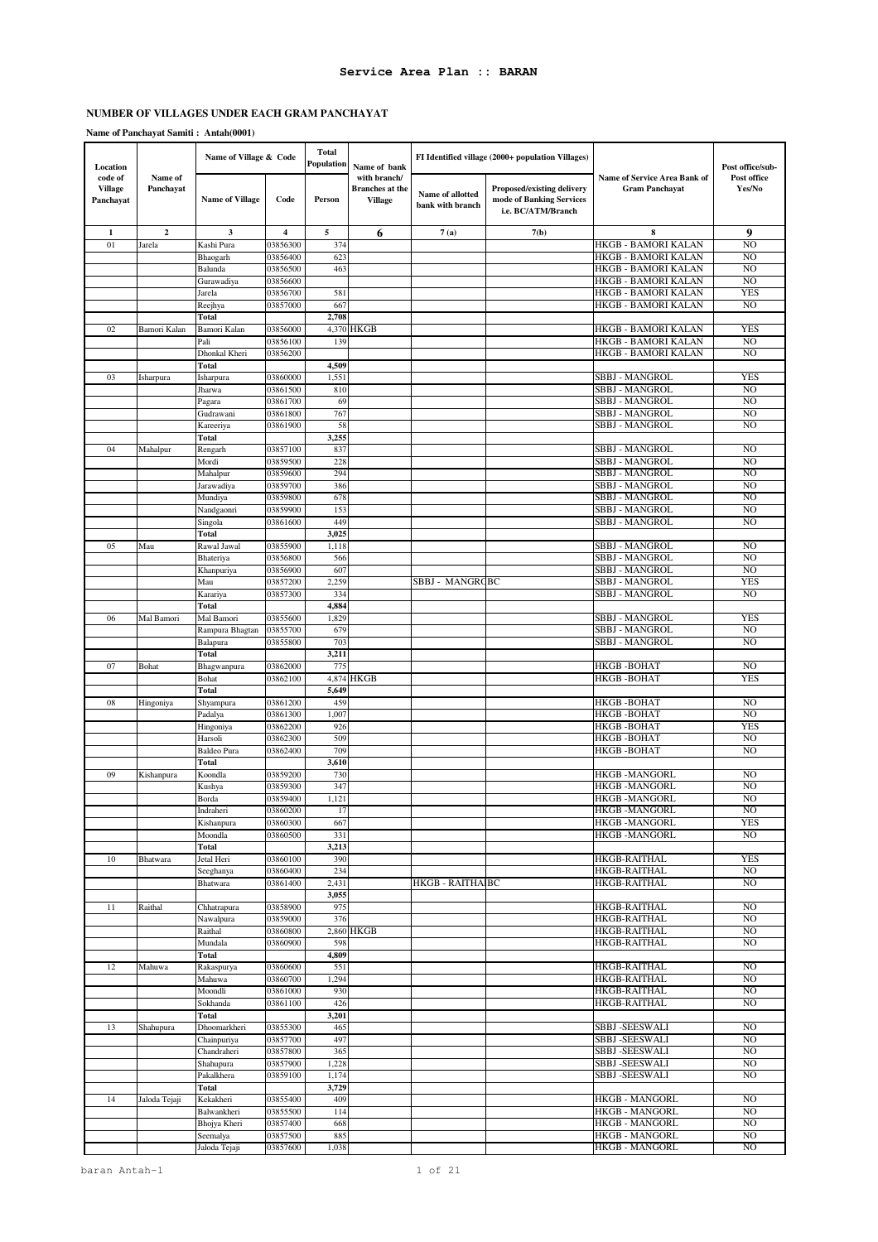### **Name of Panchayat Samiti : Antah(0001)**

| Location                               |                      | Name of Village & Code  |                         | <b>Total</b><br>Population | Name of bank                                             |                                      | FI Identified village (2000+ population Villages)                            |                                                       | Post office/sub-                 |
|----------------------------------------|----------------------|-------------------------|-------------------------|----------------------------|----------------------------------------------------------|--------------------------------------|------------------------------------------------------------------------------|-------------------------------------------------------|----------------------------------|
| code of<br><b>Village</b><br>Panchayat | Name of<br>Panchayat | <b>Name of Village</b>  | Code                    | Person                     | with branch/<br><b>Branches</b> at the<br><b>Village</b> | Name of allotted<br>bank with branch | Proposed/existing delivery<br>mode of Banking Services<br>i.e. BC/ATM/Branch | Name of Service Area Bank of<br><b>Gram Panchayat</b> | Post office<br>Yes/No            |
| 1                                      | $\boldsymbol{2}$     | 3                       | $\overline{\mathbf{4}}$ | 5                          | 6                                                        | 7(a)                                 | 7(b)                                                                         | 8                                                     | 9                                |
| 01                                     | Jarela               | Kashi Pura              | 03856300                | 374                        |                                                          |                                      |                                                                              | HKGB - BAMORI KALAN                                   | N <sub>O</sub>                   |
|                                        |                      | Bhaogarh                | 03856400                | 623                        |                                                          |                                      |                                                                              | HKGB - BAMORI KALAN                                   | NO                               |
|                                        |                      | Balunda                 | 03856500                | 463                        |                                                          |                                      |                                                                              | HKGB - BAMORI KALAN                                   | N <sub>O</sub>                   |
|                                        |                      | Gurawadiya              | 03856600                |                            |                                                          |                                      |                                                                              | HKGB - BAMORI KALAN                                   | N <sub>O</sub>                   |
|                                        |                      | Jarela<br>Reejhya       | 03856700<br>03857000    | 581<br>667                 |                                                          |                                      |                                                                              | HKGB - BAMORI KALAN<br>HKGB - BAMORI KALAN            | <b>YES</b><br>N <sub>O</sub>     |
|                                        |                      | <b>Total</b>            |                         | 2,708                      |                                                          |                                      |                                                                              |                                                       |                                  |
| 02                                     | Bamori Kalan         | Bamori Kalan            | 03856000                |                            | 4,370 HKGB                                               |                                      |                                                                              | HKGB - BAMORI KALAN                                   | <b>YES</b>                       |
|                                        |                      | Pali                    | 03856100                | 139                        |                                                          |                                      |                                                                              | HKGB - BAMORI KALAN                                   | N <sub>O</sub>                   |
|                                        |                      | Dhonkal Kheri           | 03856200                |                            |                                                          |                                      |                                                                              | HKGB - BAMORI KALAN                                   | N <sub>O</sub>                   |
|                                        |                      | <b>Total</b>            |                         | 4,509                      |                                                          |                                      |                                                                              |                                                       |                                  |
| 03                                     | Isharpura            | Isharpura               | 03860000                | 1,551                      |                                                          |                                      |                                                                              | <b>SBBJ - MANGROL</b>                                 | <b>YES</b>                       |
|                                        |                      | Jharwa                  | 03861500                | 810                        |                                                          |                                      |                                                                              | <b>SBBJ - MANGROL</b>                                 | N <sub>O</sub>                   |
|                                        |                      | Pagara                  | 03861700                | 69                         |                                                          |                                      |                                                                              | SBBJ - MANGROL                                        | N <sub>O</sub>                   |
|                                        |                      | Gudrawani               | 03861800                | 767                        |                                                          |                                      |                                                                              | SBBJ - MANGROL                                        | NO                               |
|                                        |                      | Kareeriya<br>Total      | 03861900                | 58<br>3,255                |                                                          |                                      |                                                                              | SBBJ - MANGROL                                        | N <sub>O</sub>                   |
| 04                                     | Mahalpur             | Rengarh                 | 03857100                | 837                        |                                                          |                                      |                                                                              | SBBJ - MANGROL                                        | N <sub>O</sub>                   |
|                                        |                      | Mordi                   | 03859500                | 228                        |                                                          |                                      |                                                                              | SBBJ - MANGROL                                        | N <sub>O</sub>                   |
|                                        |                      | Mahalpur                | 03859600                | 294                        |                                                          |                                      |                                                                              | <b>SBBJ - MANGROL</b>                                 | N <sub>O</sub>                   |
|                                        |                      | Jarawadiya              | 03859700                | 386                        |                                                          |                                      |                                                                              | <b>SBBJ - MANGROL</b>                                 | N <sub>O</sub>                   |
|                                        |                      | Mundiya                 | 03859800                | 678                        |                                                          |                                      |                                                                              | <b>SBBJ - MANGROL</b>                                 | N <sub>O</sub>                   |
|                                        |                      | Nandgaonri              | 03859900                | 153                        |                                                          |                                      |                                                                              | SBBJ - MANGROL                                        | NO                               |
|                                        |                      | Singola                 | 03861600                | 449                        |                                                          |                                      |                                                                              | <b>SBBJ - MANGROL</b>                                 | N <sub>O</sub>                   |
|                                        |                      | Total                   |                         | 3,025                      |                                                          |                                      |                                                                              |                                                       |                                  |
| 05                                     | Mau                  | Rawal Jawal             | 03855900                | 1,118                      |                                                          |                                      |                                                                              | SBBJ - MANGROL                                        | N <sub>O</sub>                   |
|                                        |                      | Bhateriya<br>Khanpuriya | 03856800<br>03856900    | 566<br>60                  |                                                          |                                      |                                                                              | <b>SBBJ - MANGROL</b><br>SBBJ - MANGROL               | N <sub>O</sub><br>N <sub>O</sub> |
|                                        |                      | Mau                     | 03857200                | 2,259                      |                                                          | SBBJ - MANGRCBC                      |                                                                              | <b>SBBJ - MANGROL</b>                                 | <b>YES</b>                       |
|                                        |                      | Karariya                | 03857300                | 334                        |                                                          |                                      |                                                                              | SBBJ - MANGROL                                        | N <sub>O</sub>                   |
|                                        |                      | <b>Total</b>            |                         | 4,884                      |                                                          |                                      |                                                                              |                                                       |                                  |
| 06                                     | Mal Bamori           | Mal Bamori              | 03855600                | 1,829                      |                                                          |                                      |                                                                              | SBBJ - MANGROL                                        | <b>YES</b>                       |
|                                        |                      | Rampura Bhagtan         | 03855700                | 679                        |                                                          |                                      |                                                                              | SBBJ - MANGROL                                        | N <sub>O</sub>                   |
|                                        |                      | Balapura                | 03855800                | 703                        |                                                          |                                      |                                                                              | SBBJ - MANGROL                                        | N <sub>O</sub>                   |
|                                        |                      | Total                   |                         | 3,211                      |                                                          |                                      |                                                                              |                                                       |                                  |
| 07                                     | Bohat                | Bhagwanpura             | 03862000                | 775                        |                                                          |                                      |                                                                              | <b>HKGB-BOHAT</b>                                     | N <sub>O</sub>                   |
|                                        |                      | Bohat                   | 03862100                | 4,874                      | <b>HKGB</b>                                              |                                      |                                                                              | HKGB-BOHAT                                            | <b>YES</b>                       |
|                                        |                      | Total                   |                         | 5,649                      |                                                          |                                      |                                                                              | HKGB-BOHAT                                            | NO                               |
| 08                                     | Hingoniya            | Shyampura<br>Padalya    | 03861200<br>03861300    | 459<br>1,007               |                                                          |                                      |                                                                              | HKGB -BOHAT                                           | N <sub>O</sub>                   |
|                                        |                      | Hingoniya               | 03862200                | 926                        |                                                          |                                      |                                                                              | HKGB-BOHAT                                            | <b>YES</b>                       |
|                                        |                      | Harsoli                 | 03862300                | 509                        |                                                          |                                      |                                                                              | HKGB -BOHAT                                           | N <sub>O</sub>                   |
|                                        |                      | <b>Baldeo Pura</b>      | 03862400                | 709                        |                                                          |                                      |                                                                              | <b>HKGB-BOHAT</b>                                     | N <sub>O</sub>                   |
|                                        |                      | Total                   |                         | 3,610                      |                                                          |                                      |                                                                              |                                                       |                                  |
| 09                                     | Kishanpura           | Koondla                 | 03859200                | 730                        |                                                          |                                      |                                                                              | HKGB -MANGORL                                         | NO.                              |
|                                        |                      | Kushya                  | 03859300                | 347                        |                                                          |                                      |                                                                              | <b>HKGB-MANGORL</b>                                   | N <sub>O</sub>                   |
|                                        |                      | Borda                   | 03859400                | 1,121                      |                                                          |                                      |                                                                              | <b>HKGB-MANGORL</b>                                   | N <sub>O</sub>                   |
|                                        |                      | Indraheri               | 03860200                | 17                         |                                                          |                                      |                                                                              | <b>HKGB-MANGORL</b>                                   | NO                               |
|                                        |                      | Kishanpura              | 03860300<br>03860500    | 667<br>331                 |                                                          |                                      |                                                                              | <b>HKGB-MANGORL</b><br>HKGB -MANGORL                  | <b>YES</b><br>NO.                |
|                                        |                      | Moondla<br>Total        |                         | 3,213                      |                                                          |                                      |                                                                              |                                                       |                                  |
| 10                                     | Bhatwara             | Jetal Heri              | 03860100                | 390                        |                                                          |                                      |                                                                              | HKGB-RAITHAL                                          | <b>YES</b>                       |
|                                        |                      | Seeghanya               | 03860400                | 234                        |                                                          |                                      |                                                                              | <b>HKGB-RAITHAL</b>                                   | NO.                              |
|                                        |                      | Bhatwara                | 03861400                | 2,431                      |                                                          | <b>HKGB - RAITHAIBC</b>              |                                                                              | HKGB-RAITHAL                                          | NO.                              |
|                                        |                      |                         |                         | 3,055                      |                                                          |                                      |                                                                              |                                                       |                                  |
| 11                                     | Raithal              | Chhatrapura             | 03858900                | 975                        |                                                          |                                      |                                                                              | HKGB-RAITHAL                                          | N <sub>O</sub>                   |
|                                        |                      | Nawalpura               | 03859000                | 376                        |                                                          |                                      |                                                                              | <b>HKGB-RAITHAL</b>                                   | NO.                              |
|                                        |                      | Raithal                 | 03860800                |                            | 2,860 HKGB                                               |                                      |                                                                              | <b>HKGB-RAITHAL</b>                                   | NO.                              |
|                                        |                      | Mundala<br>Total        | 03860900                | 598<br>4,809               |                                                          |                                      |                                                                              | HKGB-RAITHAL                                          | NO.                              |
| 12                                     | Mahuwa               | Rakaspurya              | 03860600                | 551                        |                                                          |                                      |                                                                              | <b>HKGB-RAITHAL</b>                                   | NO.                              |
|                                        |                      | Mahuwa                  | 03860700                | 1,294                      |                                                          |                                      |                                                                              | HKGB-RAITHAL                                          | NO.                              |
|                                        |                      | Moondli                 | 03861000                | 930                        |                                                          |                                      |                                                                              | HKGB-RAITHAL                                          | N <sub>O</sub>                   |
|                                        |                      | Sokhanda                | 03861100                | 426                        |                                                          |                                      |                                                                              | HKGB-RAITHAL                                          | NO.                              |
|                                        |                      | Total                   |                         | 3,201                      |                                                          |                                      |                                                                              |                                                       |                                  |
| 13                                     | Shahupura            | Dhoomarkheri            | 03855300                | 465                        |                                                          |                                      |                                                                              | <b>SBBJ-SEESWALI</b>                                  | NO.                              |
|                                        |                      | Chainpuriya             | 03857700                | 497                        |                                                          |                                      |                                                                              | SBBJ -SEESWALI                                        | NO.                              |
|                                        |                      | Chandraheri             | 03857800                | 365                        |                                                          |                                      |                                                                              | SBBJ -SEESWALI                                        | NO.                              |
|                                        |                      | Shahupura               | 03857900                | 1,228                      |                                                          |                                      |                                                                              | <b>SBBJ-SEESWALI</b>                                  | NO.                              |
|                                        |                      | Pakalkhera<br>Total     | 03859100                | 1,174<br>3,729             |                                                          |                                      |                                                                              | SBBJ -SEESWALI                                        | NO                               |
| 14                                     | Jaloda Tejaji        | Kekakheri               | 03855400                | 409                        |                                                          |                                      |                                                                              | <b>HKGB - MANGORL</b>                                 | NO.                              |
|                                        |                      | Balwankheri             | 03855500                | 114                        |                                                          |                                      |                                                                              | <b>HKGB - MANGORL</b>                                 | NO.                              |
|                                        |                      | Bhojya Kheri            | 03857400                | 668                        |                                                          |                                      |                                                                              | HKGB - MANGORL                                        | NO.                              |
|                                        |                      | Seemalya                | 03857500                | 885                        |                                                          |                                      |                                                                              | <b>HKGB - MANGORL</b>                                 | NO.                              |
|                                        |                      | Jaloda Tejaji           | 03857600                | 1,038                      |                                                          |                                      |                                                                              | HKGB - MANGORL                                        | NO.                              |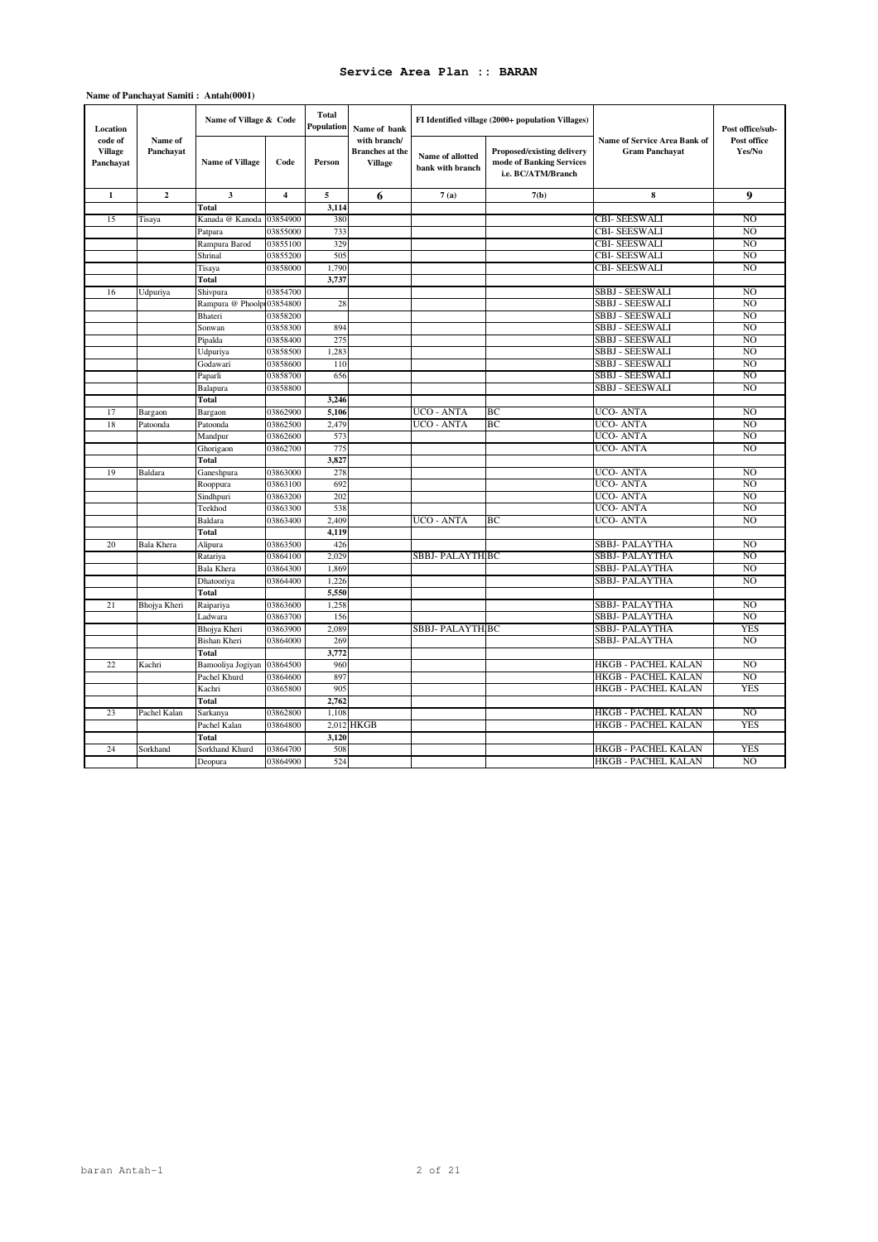### **Name of Panchayat Samiti : Antah(0001)**

| Location                               |                      | Name of Village & Code    |          | <b>Total</b><br>Population | Name of bank                                             |                                      | FI Identified village (2000+ population Villages)                            |                                                       | Post office/sub-      |
|----------------------------------------|----------------------|---------------------------|----------|----------------------------|----------------------------------------------------------|--------------------------------------|------------------------------------------------------------------------------|-------------------------------------------------------|-----------------------|
| code of<br><b>Village</b><br>Panchayat | Name of<br>Panchavat | <b>Name of Village</b>    | Code     | Person                     | with branch/<br><b>Branches</b> at the<br><b>Village</b> | Name of allotted<br>bank with branch | Proposed/existing delivery<br>mode of Banking Services<br>i.e. BC/ATM/Branch | Name of Service Area Bank of<br><b>Gram Panchavat</b> | Post office<br>Yes/No |
| 1                                      | $\mathbf{2}$         | 3                         | 4        | 5                          | 6                                                        | 7(a)                                 | 7(b)                                                                         | 8                                                     | 9                     |
|                                        |                      | Total                     |          | 3,114                      |                                                          |                                      |                                                                              |                                                       |                       |
| 15                                     | Tisaya               | Kanada @ Kanoda           | 03854900 | 380                        |                                                          |                                      |                                                                              | CBI- SEESWALI                                         | N <sub>O</sub>        |
|                                        |                      | Patpara                   | 03855000 | 733                        |                                                          |                                      |                                                                              | <b>CBI- SEESWALI</b>                                  | N <sub>O</sub>        |
|                                        |                      | Rampura Barod             | 03855100 | 329                        |                                                          |                                      |                                                                              | <b>CBI- SEESWALI</b>                                  | N <sub>O</sub>        |
|                                        |                      | Shrinal                   | 03855200 | 505                        |                                                          |                                      |                                                                              | CBI- SEESWALI                                         | N <sub>O</sub>        |
|                                        |                      | Tisaya                    | 03858000 | 1,790                      |                                                          |                                      |                                                                              | CBI- SEESWALI                                         | N <sub>O</sub>        |
|                                        |                      | Total                     |          | 3,737                      |                                                          |                                      |                                                                              |                                                       |                       |
| 16                                     | Udpuriya             | Shivpura                  | 03854700 |                            |                                                          |                                      |                                                                              | <b>SBBJ - SEESWALI</b>                                | N <sub>O</sub>        |
|                                        |                      | Rampura @ Phoolp103854800 |          | 28                         |                                                          |                                      |                                                                              | <b>SBBJ - SEESWALI</b>                                | N <sub>O</sub>        |
|                                        |                      | Bhateri                   | 03858200 |                            |                                                          |                                      |                                                                              | <b>SBBJ - SEESWALI</b>                                | N <sub>O</sub>        |
|                                        |                      | Sonwan                    | 03858300 | 894                        |                                                          |                                      |                                                                              | SBBJ - SEESWALI                                       | N <sub>O</sub>        |
|                                        |                      | Pipalda                   | 03858400 | 275                        |                                                          |                                      |                                                                              | SBBJ - SEESWALI                                       | N <sub>O</sub>        |
|                                        |                      | Udpuriya                  | 03858500 | 1,283                      |                                                          |                                      |                                                                              | SBBJ - SEESWALI                                       | N <sub>O</sub>        |
|                                        |                      | Godawari                  | 03858600 | 110                        |                                                          |                                      |                                                                              | SBBJ - SEESWALI                                       | N <sub>O</sub>        |
|                                        |                      | Paparli                   | 03858700 | 656                        |                                                          |                                      |                                                                              | SBBJ - SEESWALI                                       | NO                    |
|                                        |                      | Balapura                  | 03858800 |                            |                                                          |                                      |                                                                              | SBBJ - SEESWALI                                       | N <sub>O</sub>        |
|                                        |                      | Total                     |          | 3,246                      |                                                          |                                      |                                                                              |                                                       |                       |
| 17                                     | Bargaon              | Bargaon                   | 03862900 | 5,106                      |                                                          | UCO - ANTA                           | BC                                                                           | UCO-ANTA                                              | N <sub>O</sub>        |
| 18                                     | Patoonda             | Patoonda                  | 03862500 | 2.479                      |                                                          | UCO - ANTA                           | BC                                                                           | UCO- ANTA                                             | N <sub>O</sub>        |
|                                        |                      | Mandpur                   | 03862600 | 573                        |                                                          |                                      |                                                                              | UCO- ANTA                                             | N <sub>O</sub>        |
|                                        |                      | Ghorigaon                 | 03862700 | 775                        |                                                          |                                      |                                                                              | UCO- ANTA                                             | N <sub>O</sub>        |
|                                        |                      | Total                     |          | 3,827                      |                                                          |                                      |                                                                              |                                                       |                       |
| 19                                     | Baldara              | Ganeshpura                | 03863000 | 278                        |                                                          |                                      |                                                                              | UCO- ANTA                                             | N <sub>O</sub>        |
|                                        |                      | Rooppura                  | 03863100 | 692                        |                                                          |                                      |                                                                              | UCO- ANTA                                             | NO <sub>1</sub>       |
|                                        |                      | Sindhpuri                 | 03863200 | 202                        |                                                          |                                      |                                                                              | UCO- ANTA                                             | N <sub>O</sub>        |
|                                        |                      | Teekhod                   | 03863300 | 538                        |                                                          |                                      |                                                                              | UCO- ANTA                                             | N <sub>O</sub>        |
|                                        |                      | Baldara                   | 03863400 | 2.409                      |                                                          | UCO - ANTA                           | BC.                                                                          | UCO-ANTA                                              | N <sub>O</sub>        |
|                                        |                      | Total                     |          | 4,119                      |                                                          |                                      |                                                                              |                                                       |                       |
| 20                                     | <b>Bala Khera</b>    | Alipura                   | 03863500 | 426                        |                                                          |                                      |                                                                              | SBBJ- PALAYTHA                                        | N <sub>O</sub>        |
|                                        |                      | Ratariya                  | 03864100 | 2,029                      |                                                          | SBBJ- PALAYTH BC                     |                                                                              | SBBJ- PALAYTHA                                        | N <sub>O</sub>        |
|                                        |                      | <b>Bala Khera</b>         | 03864300 | 1,869                      |                                                          |                                      |                                                                              | SBBJ- PALAYTHA                                        | N <sub>O</sub>        |
|                                        |                      | Dhatooriya                | 03864400 | 1,226                      |                                                          |                                      |                                                                              | SBBJ- PALAYTHA                                        | N <sub>O</sub>        |
|                                        |                      | Total                     |          | 5,550                      |                                                          |                                      |                                                                              |                                                       |                       |
| 21                                     | Bhojya Kheri         | Raipariya                 | 03863600 | 1,258                      |                                                          |                                      |                                                                              | SBBJ- PALAYTHA                                        | N <sub>O</sub>        |
|                                        |                      | Ladwara                   | 03863700 | 156                        |                                                          |                                      |                                                                              | SBBJ- PALAYTHA                                        | N <sub>O</sub>        |
|                                        |                      | Bhojya Kheri              | 03863900 | 2.089                      |                                                          | SBBJ- PALAYTH BC                     |                                                                              | SBBJ- PALAYTHA                                        | YES                   |
|                                        |                      | <b>Bishan Kheri</b>       | 03864000 | 269                        |                                                          |                                      |                                                                              | SBBJ- PALAYTHA                                        | NO                    |
|                                        |                      | Total                     |          | 3,772                      |                                                          |                                      |                                                                              |                                                       |                       |
| 22                                     | Kachri               | Bamooliya Jogiyan         | 03864500 | 960                        |                                                          |                                      |                                                                              | HKGB - PACHEL KALAN                                   | NO.                   |
|                                        |                      | Pachel Khurd              | 03864600 | 897                        |                                                          |                                      |                                                                              | HKGB - PACHEL KALAN                                   | NO                    |
|                                        |                      | Kachri                    | 03865800 | 905                        |                                                          |                                      |                                                                              | HKGB - PACHEL KALAN                                   | <b>YES</b>            |
|                                        |                      | <b>Total</b>              |          | 2,762                      |                                                          |                                      |                                                                              |                                                       |                       |
| 23                                     | Pachel Kalan         | Sarkanya                  | 03862800 | 1,108                      |                                                          |                                      |                                                                              | HKGB - PACHEL KALAN                                   | N <sub>O</sub>        |
|                                        |                      | Pachel Kalan              | 03864800 |                            | 2,012 HKGB                                               |                                      |                                                                              | <b>HKGB - PACHEL KALAN</b>                            | <b>YES</b>            |
|                                        |                      | Total                     |          | 3,120                      |                                                          |                                      |                                                                              |                                                       |                       |
| 24                                     | Sorkhand             | Sorkhand Khurd            | 03864700 | 508                        |                                                          |                                      |                                                                              | HKGB - PACHEL KALAN                                   | <b>YES</b>            |
|                                        |                      | Deopura                   | 03864900 | 524                        |                                                          |                                      |                                                                              | HKGB - PACHEL KALAN                                   | N <sub>O</sub>        |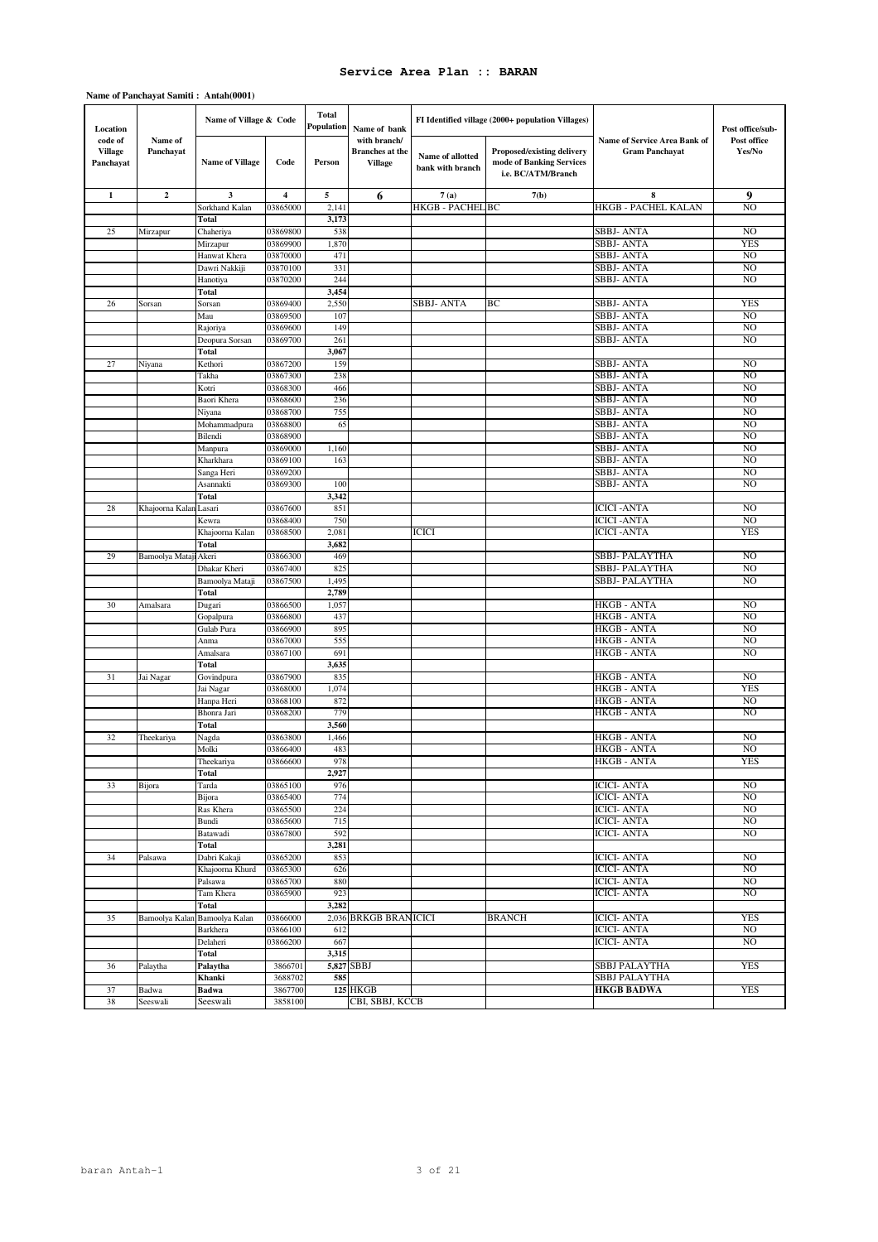### **Name of Panchayat Samiti : Antah(0001)**

| Location                               |                       | Name of Village & Code     |                         | Total<br>Population | Name of bank                                             |                                      | FI Identified village (2000+ population Villages)                            |                                                       | Post office/sub-      |
|----------------------------------------|-----------------------|----------------------------|-------------------------|---------------------|----------------------------------------------------------|--------------------------------------|------------------------------------------------------------------------------|-------------------------------------------------------|-----------------------|
| code of<br><b>Village</b><br>Panchayat | Name of<br>Panchayat  | <b>Name of Village</b>     | Code                    | Person              | with branch/<br><b>Branches</b> at the<br><b>Village</b> | Name of allotted<br>bank with branch | Proposed/existing delivery<br>mode of Banking Services<br>i.e. BC/ATM/Branch | Name of Service Area Bank of<br><b>Gram Panchayat</b> | Post office<br>Yes/No |
| $\mathbf{1}$                           | $\mathbf{2}$          | $\overline{\mathbf{3}}$    | $\overline{\mathbf{4}}$ | 5                   | 6                                                        | 7(a)                                 | 7(b)                                                                         | 8                                                     | 9                     |
|                                        |                       | Sorkhand Kalan             | 03865000                | 2,141               |                                                          | <b>HKGB - PACHEL BC</b>              |                                                                              | HKGB - PACHEL KALAN                                   | NO                    |
|                                        |                       | Total                      |                         | 3,173               |                                                          |                                      |                                                                              |                                                       |                       |
| 25                                     | Mirzapur              | Chaheriya                  | 03869800                | 538                 |                                                          |                                      |                                                                              | <b>SBBJ-ANTA</b>                                      | NO.                   |
|                                        |                       | Mirzapur                   | 03869900                | 1,870               |                                                          |                                      |                                                                              | SBBJ- ANTA                                            | <b>YES</b>            |
|                                        |                       | Hanwat Khera               | 03870000                | 471                 |                                                          |                                      |                                                                              | SBBJ- ANTA                                            | NO.                   |
|                                        |                       | Dawri Nakkiji              | 03870100                | 331                 |                                                          |                                      |                                                                              | SBBJ- ANTA                                            | N <sub>O</sub>        |
|                                        |                       | Hanotiya                   | 03870200                | 244                 |                                                          |                                      |                                                                              | SBBJ- ANTA                                            | N <sub>O</sub>        |
|                                        |                       | Total                      |                         | 3,454               |                                                          |                                      |                                                                              |                                                       |                       |
| 26                                     | Sorsan                | Sorsan                     | 03869400                | 2,550<br>107        |                                                          | <b>SBBJ-ANTA</b>                     | BС                                                                           | SBBJ- ANTA<br>SBBJ- ANTA                              | <b>YES</b><br>NO      |
|                                        |                       | Mau                        | 03869500<br>03869600    | 149                 |                                                          |                                      |                                                                              | SBBJ- ANTA                                            | NO.                   |
|                                        |                       | Rajoriya<br>Deopura Sorsan | 03869700                | 261                 |                                                          |                                      |                                                                              | SBBJ- ANTA                                            | NO                    |
|                                        |                       | Total                      |                         | 3,067               |                                                          |                                      |                                                                              |                                                       |                       |
| 27                                     | Niyana                | Kethori                    | 03867200                | 159                 |                                                          |                                      |                                                                              | <b>SBBJ-ANTA</b>                                      | N <sub>O</sub>        |
|                                        |                       | Takha                      | 03867300                | 238                 |                                                          |                                      |                                                                              | SBBJ- ANTA                                            | NO                    |
|                                        |                       | Kotri                      | 03868300                | 466                 |                                                          |                                      |                                                                              | <b>SBBJ-ANTA</b>                                      | NO.                   |
|                                        |                       | Baori Khera                | 03868600                | 236                 |                                                          |                                      |                                                                              | SBBJ- ANTA                                            | NO                    |
|                                        |                       | Niyana                     | 03868700                | 755                 |                                                          |                                      |                                                                              | SBBJ- ANTA                                            | NO                    |
|                                        |                       | Mohammadpura               | 03868800                | 65                  |                                                          |                                      |                                                                              | SBBJ- ANTA                                            | NO.                   |
|                                        |                       | Bilendi                    | 03868900                |                     |                                                          |                                      |                                                                              | <b>SBBJ-ANTA</b>                                      | NO                    |
|                                        |                       | Manpura                    | 03869000                | 1,160               |                                                          |                                      |                                                                              | <b>SBBJ-ANTA</b>                                      | NO                    |
|                                        |                       | Kharkhara                  | 03869100                | 163                 |                                                          |                                      |                                                                              | SBBJ- ANTA                                            | NO                    |
|                                        |                       | Sanga Heri                 | 03869200                |                     |                                                          |                                      |                                                                              | <b>SBBJ-ANTA</b>                                      | NO                    |
|                                        |                       | Asannakti                  | 03869300                | 100                 |                                                          |                                      |                                                                              | SBBJ- ANTA                                            | NO                    |
|                                        |                       | Total                      |                         | 3,342               |                                                          |                                      |                                                                              |                                                       |                       |
| 28                                     | Khajoorna Kalan       | Lasari                     | 03867600                | 851                 |                                                          |                                      |                                                                              | <b>ICICI-ANTA</b>                                     | NO.                   |
|                                        |                       | Kewra                      | 03868400                | 750                 |                                                          |                                      |                                                                              | <b>ICICI-ANTA</b>                                     | N <sub>O</sub>        |
|                                        |                       | Khajoorna Kalan<br>Total   | 03868500                | 2,081<br>3,682      |                                                          | <b>ICICI</b>                         |                                                                              | <b>ICICI-ANTA</b>                                     | <b>YES</b>            |
| 29                                     | Bamoolya Mataji Akeri |                            | 03866300                | 469                 |                                                          |                                      |                                                                              | SBBJ- PALAYTHA                                        | NO                    |
|                                        |                       | Dhakar Kheri               | 03867400                | 825                 |                                                          |                                      |                                                                              | SBBJ- PALAYTHA                                        | NO                    |
|                                        |                       | Bamoolya Mataji            | 03867500                | 1,495               |                                                          |                                      |                                                                              | SBBJ- PALAYTHA                                        | NO                    |
|                                        |                       | Total                      |                         | 2,789               |                                                          |                                      |                                                                              |                                                       |                       |
| 30                                     | Amalsara              | Dugari                     | 03866500                | 1,057               |                                                          |                                      |                                                                              | HKGB - ANTA                                           | N <sub>O</sub>        |
|                                        |                       | Gopalpura                  | 03866800                | 437                 |                                                          |                                      |                                                                              | HKGB - ANTA                                           | NO                    |
|                                        |                       | Gulab Pura                 | 03866900                | 895                 |                                                          |                                      |                                                                              | HKGB - ANTA                                           | NO                    |
|                                        |                       | Anma                       | 03867000                | 555                 |                                                          |                                      |                                                                              | <b>HKGB - ANTA</b>                                    | NO                    |
|                                        |                       | Amalsara                   | 03867100                | 691                 |                                                          |                                      |                                                                              | HKGB - ANTA                                           | NO                    |
|                                        |                       | Total                      |                         | 3,635               |                                                          |                                      |                                                                              |                                                       |                       |
| 31                                     | Jai Nagar             | Govindpura                 | 03867900                | 835                 |                                                          |                                      |                                                                              | <b>HKGB - ANTA</b>                                    | NO.                   |
|                                        |                       | Jai Nagar                  | 03868000                | 1,074               |                                                          |                                      |                                                                              | HKGB - ANTA                                           | <b>YES</b>            |
|                                        |                       | Hanpa Heri                 | 03868100                | 872                 |                                                          |                                      |                                                                              | <b>HKGB - ANTA</b><br><b>HKGB - ANTA</b>              | NO                    |
|                                        |                       | Bhonra Jari                | 03868200                | 779                 |                                                          |                                      |                                                                              |                                                       | N <sub>O</sub>        |
| 32                                     | Theekariya            | Total<br>Nagda             | 03863800                | 3,560<br>1,466      |                                                          |                                      |                                                                              | HKGB - ANTA                                           | NO                    |
|                                        |                       | Molki                      | 03866400                | 483                 |                                                          |                                      |                                                                              | HKGB - ANTA                                           | NO                    |
|                                        |                       | Theekariva                 | 03866600                | 978                 |                                                          |                                      |                                                                              | <b>HKGB - ANTA</b>                                    | YES                   |
|                                        |                       | Total                      |                         | 2,927               |                                                          |                                      |                                                                              |                                                       |                       |
| 33                                     | Bijora                | Tarda                      | 03865100                | 976                 |                                                          |                                      |                                                                              | <b>ICICI- ANTA</b>                                    | NO                    |
|                                        |                       | Bijora                     | 03865400                | 774                 |                                                          |                                      |                                                                              | <b>ICICI- ANTA</b>                                    | N <sub>O</sub>        |
|                                        |                       | Ras Khera                  | 03865500                | 224                 |                                                          |                                      |                                                                              | <b>ICICI- ANTA</b>                                    | NO                    |
|                                        |                       | Bundi                      | 03865600                | 715                 |                                                          |                                      |                                                                              | <b>ICICI- ANTA</b>                                    | N <sub>O</sub>        |
|                                        |                       | Batawadi                   | 03867800                | 592                 |                                                          |                                      |                                                                              | <b>ICICI- ANTA</b>                                    | N <sub>O</sub>        |
|                                        |                       | Total                      |                         | 3,281               |                                                          |                                      |                                                                              |                                                       |                       |
| 34                                     | Palsawa               | Dabri Kakaji               | 03865200                | 853                 |                                                          |                                      |                                                                              | ICICI- ANTA                                           | NO                    |
|                                        |                       | Khajoorna Khurd            | 03865300                | 626                 |                                                          |                                      |                                                                              | ICICI- ANTA                                           | N <sub>O</sub>        |
|                                        |                       | Palsawa                    | 03865700                | 880                 |                                                          |                                      |                                                                              | <b>ICICI- ANTA</b>                                    | NO                    |
|                                        |                       | Tam Khera<br>Total         | 03865900                | 923<br>3,282        |                                                          |                                      |                                                                              | ICICI- ANTA                                           | NO.                   |
| 35                                     | Bamoolya Kalan        | Bamoolya Kalan             | 03866000                |                     | 2,036 BRKGB BRANICICI                                    |                                      | <b>BRANCH</b>                                                                | <b>ICICI- ANTA</b>                                    | YES                   |
|                                        |                       | Barkhera                   | 03866100                | 612                 |                                                          |                                      |                                                                              | <b>ICICI- ANTA</b>                                    | NO.                   |
|                                        |                       | Delaheri                   | 03866200                | 667                 |                                                          |                                      |                                                                              | <b>ICICI- ANTA</b>                                    | NO                    |
|                                        |                       | Total                      |                         | 3,315               |                                                          |                                      |                                                                              |                                                       |                       |
| 36                                     | Palaytha              | Palaytha                   | 3866701                 |                     | 5,827 SBBJ                                               |                                      |                                                                              | SBBJ PALAYTHA                                         | <b>YES</b>            |
|                                        |                       | Khanki                     | 3688702                 | 585                 |                                                          |                                      |                                                                              | SBBJ PALAYTHA                                         |                       |
| 37                                     | Badwa                 | <b>Badwa</b>               | 3867700                 |                     | <b>125 HKGB</b>                                          |                                      |                                                                              | <b>HKGB BADWA</b>                                     | YES                   |
| 38                                     | Seeswali              | Seeswali                   | 3858100                 |                     | CBI, SBBJ, KCCB                                          |                                      |                                                                              |                                                       |                       |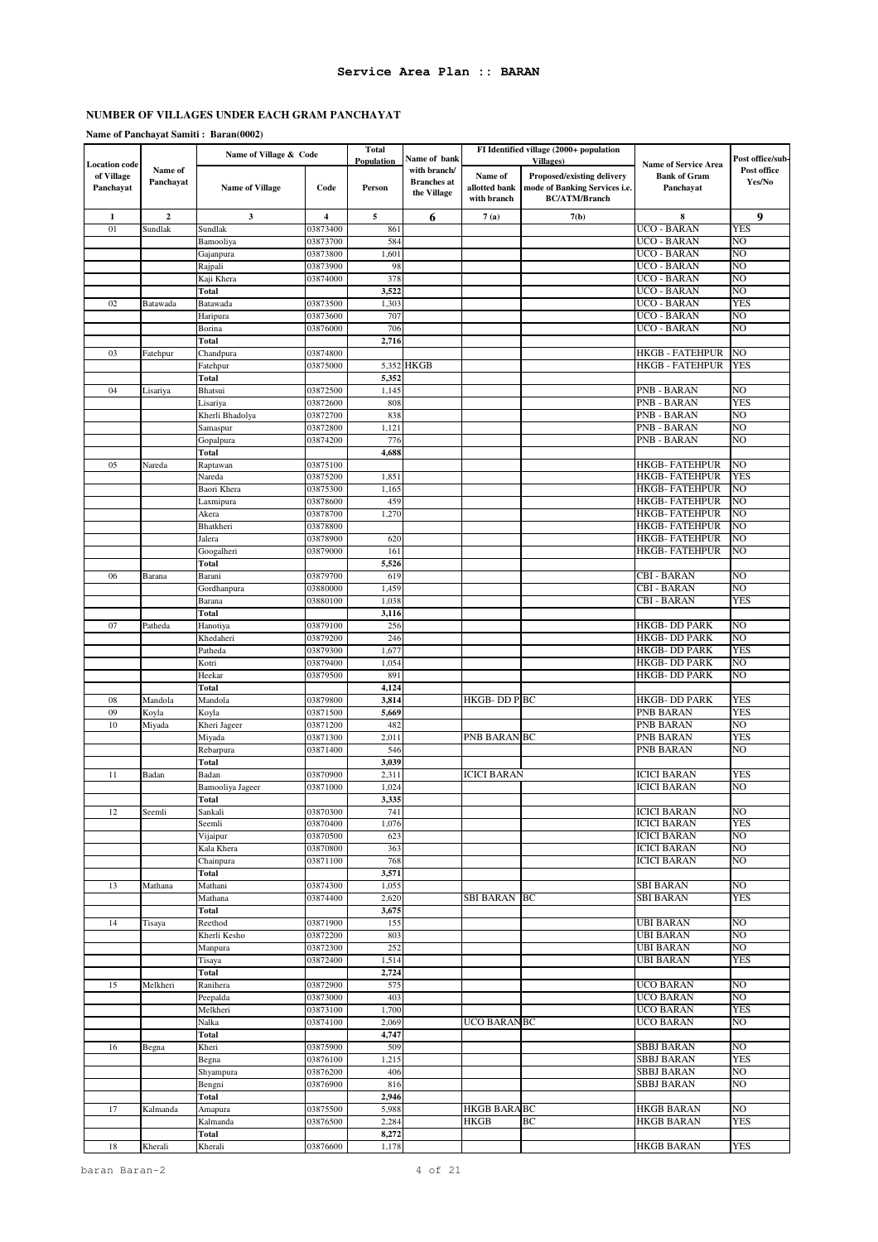# **Name of Panchayat Samiti : Baran(0002)**

|                                                 |                      | Name of Village & Code      |                      | <b>Total</b><br>Population | Name of bank                                      |                                         | FI Identified village (2000+ population<br><b>Villages</b> )                               |                                                                 | Post office/sub-      |
|-------------------------------------------------|----------------------|-----------------------------|----------------------|----------------------------|---------------------------------------------------|-----------------------------------------|--------------------------------------------------------------------------------------------|-----------------------------------------------------------------|-----------------------|
| <b>Location</b> code<br>of Village<br>Panchayat | Name of<br>Panchayat | <b>Name of Village</b>      | Code                 | Person                     | with branch/<br><b>Branches</b> at<br>the Village | Name of<br>allotted bank<br>with branch | <b>Proposed/existing delivery</b><br>mode of Banking Services i.e.<br><b>BC/ATM/Branch</b> | <b>Name of Service Area</b><br><b>Bank of Gram</b><br>Panchayat | Post office<br>Yes/No |
| $\mathbf{1}$                                    | $\boldsymbol{2}$     | 3                           | 4                    | 5                          | 6                                                 | 7(a)                                    | 7(b)                                                                                       | 8                                                               | 9                     |
| 01                                              | Sundlak              | Sundlak                     | 03873400             | 861                        |                                                   |                                         |                                                                                            | UCO - BARAN                                                     | YES                   |
|                                                 |                      | Bamooliya                   | 03873700             | 584                        |                                                   |                                         |                                                                                            | UCO - BARAN                                                     | NO                    |
|                                                 |                      | Gajanpura                   | 03873800             | 1,601                      |                                                   |                                         |                                                                                            | UCO - BARAN                                                     | NO                    |
|                                                 |                      | Rajpali                     | 03873900             | 98                         |                                                   |                                         |                                                                                            | <b>UCO - BARAN</b>                                              | NO                    |
|                                                 |                      | Kaji Khera<br><b>Total</b>  | 03874000             | 378<br>3,522               |                                                   |                                         |                                                                                            | UCO - BARAN<br><b>UCO - BARAN</b>                               | NO<br>NO              |
| 02                                              | Batawada             | Batawada                    | 03873500             | 1,303                      |                                                   |                                         |                                                                                            | UCO - BARAN                                                     | <b>YES</b>            |
|                                                 |                      | Haripura                    | 03873600             | 707                        |                                                   |                                         |                                                                                            | UCO - BARAN                                                     | NO                    |
|                                                 |                      | Borina                      | 03876000             | 706                        |                                                   |                                         |                                                                                            | UCO - BARAN                                                     | NO                    |
|                                                 |                      | Total                       |                      | 2,716                      |                                                   |                                         |                                                                                            |                                                                 |                       |
| 03                                              | Fatehpur             | Chandpura                   | 03874800             |                            |                                                   |                                         |                                                                                            | HKGB - FATEHPUR                                                 | NO                    |
|                                                 |                      | Fatehpur                    | 03875000             |                            | 5,352 HKGB                                        |                                         |                                                                                            | HKGB - FATEHPUR                                                 | <b>YES</b>            |
|                                                 |                      | <b>Total</b>                |                      | 5,352                      |                                                   |                                         |                                                                                            |                                                                 |                       |
| 04                                              | Lisariya             | Bhatsui                     | 03872500<br>03872600 | 1,145<br>808               |                                                   |                                         |                                                                                            | PNB - BARAN<br>PNB - BARAN                                      | NO<br>YES             |
|                                                 |                      | Lisariya<br>Kherli Bhadolya | 03872700             | 838                        |                                                   |                                         |                                                                                            | <b>PNB - BARAN</b>                                              | NO                    |
|                                                 |                      | Samaspur                    | 03872800             | 1,121                      |                                                   |                                         |                                                                                            | PNB - BARAN                                                     | NO                    |
|                                                 |                      | Gopalpura                   | 03874200             | 776                        |                                                   |                                         |                                                                                            | PNB - BARAN                                                     | NO                    |
|                                                 |                      | Total                       |                      | 4,688                      |                                                   |                                         |                                                                                            |                                                                 |                       |
| 05                                              | Nareda               | Raptawan                    | 03875100             |                            |                                                   |                                         |                                                                                            | HKGB- FATEHPUR                                                  | NO                    |
|                                                 |                      | Nareda                      | 03875200             | 1,851                      |                                                   |                                         |                                                                                            | <b>HKGB-FATEHPUR</b>                                            | YES                   |
|                                                 |                      | Baori Khera                 | 03875300             | 1,165                      |                                                   |                                         |                                                                                            | HKGB- FATEHPUR                                                  | NO                    |
|                                                 |                      | Laxmipura                   | 03878600             | 459                        |                                                   |                                         |                                                                                            | <b>HKGB- FATEHPUR</b>                                           | NO<br>NO              |
|                                                 |                      | Akera<br>Bhatkheri          | 03878700<br>03878800 | 1,270                      |                                                   |                                         |                                                                                            | HKGB- FATEHPUR<br><b>HKGB- FATEHPUR</b>                         | NO                    |
|                                                 |                      | Jalera                      | 03878900             | 620                        |                                                   |                                         |                                                                                            | HKGB- FATEHPUR                                                  | NO                    |
|                                                 |                      | Googalheri                  | 03879000             | 161                        |                                                   |                                         |                                                                                            | HKGB- FATEHPUR                                                  | NO                    |
|                                                 |                      | Total                       |                      | 5,526                      |                                                   |                                         |                                                                                            |                                                                 |                       |
| 06                                              | Barana               | Barani                      | 03879700             | 619                        |                                                   |                                         |                                                                                            | <b>CBI - BARAN</b>                                              | NO                    |
|                                                 |                      | Gordhanpura                 | 03880000             | 1,459                      |                                                   |                                         |                                                                                            | <b>CBI - BARAN</b>                                              | NO                    |
|                                                 |                      | Barana                      | 03880100             | 1,038                      |                                                   |                                         |                                                                                            | <b>CBI - BARAN</b>                                              | YES                   |
|                                                 |                      | Total                       |                      | 3,116                      |                                                   |                                         |                                                                                            |                                                                 | NO                    |
| 07                                              | Patheda              | Hanotiya<br>Khedaheri       | 03879100<br>03879200 | 256<br>246                 |                                                   |                                         |                                                                                            | HKGB- DD PARK<br>HKGB- DD PARK                                  | NO                    |
|                                                 |                      | Patheda                     | 03879300             | 1,677                      |                                                   |                                         |                                                                                            | HKGB- DD PARK                                                   | YES                   |
|                                                 |                      | Kotri                       | 03879400             | 1,054                      |                                                   |                                         |                                                                                            | HKGB-DD PARK                                                    | NO                    |
|                                                 |                      | Heekar                      | 03879500             | 891                        |                                                   |                                         |                                                                                            | HKGB- DD PARK                                                   | NO                    |
|                                                 |                      | Total                       |                      | 4,124                      |                                                   |                                         |                                                                                            |                                                                 |                       |
| 08                                              | Mandola              | Mandola                     | 03879800             | 3,814                      |                                                   | HKGB- DD P.BC                           |                                                                                            | HKGB- DD PARK                                                   | YES                   |
| 09                                              | Koyla                | Koyla                       | 03871500             | 5,669                      |                                                   |                                         |                                                                                            | PNB BARAN                                                       | YES                   |
| 10                                              | Miyada               | Kheri Jageer                | 03871200             | 482                        |                                                   |                                         |                                                                                            | PNB BARAN                                                       | NO                    |
|                                                 |                      | Miyada                      | 03871300             | 2,011                      |                                                   | PNB BARAN BC                            |                                                                                            | PNB BARAN                                                       | <b>YES</b><br>NO      |
|                                                 |                      | Rebarpura<br>Total          | 03871400             | 546<br>3,039               |                                                   |                                         |                                                                                            | PNB BARAN                                                       |                       |
| 11                                              | Badan                | Badan                       | 03870900             | 2,311                      |                                                   | ICICI BARAN                             |                                                                                            | ICICI BARAN                                                     | YES                   |
|                                                 |                      | Bamooliya Jageer            | 03871000             | 1,024                      |                                                   |                                         |                                                                                            | <b>ICICI BARAN</b>                                              | NO.                   |
|                                                 |                      | <b>Total</b>                |                      | 3,335                      |                                                   |                                         |                                                                                            |                                                                 |                       |
| 12                                              | Seemli               | Sankali                     | 03870300             | 741                        |                                                   |                                         |                                                                                            | <b>ICICI BARAN</b>                                              | NO                    |
|                                                 |                      | Seemli                      | 03870400             | 1,076                      |                                                   |                                         |                                                                                            | <b>ICICI BARAN</b>                                              | <b>YES</b>            |
|                                                 |                      | Vijaipur                    | 03870500             | 623                        |                                                   |                                         |                                                                                            | <b>ICICI BARAN</b>                                              | NO                    |
|                                                 |                      | Kala Khera                  | 03870800             | 363                        |                                                   |                                         |                                                                                            | <b>ICICI BARAN</b>                                              | $\overline{NO}$       |
|                                                 |                      | Chainpura<br>Total          | 03871100             | 768<br>3,571               |                                                   |                                         |                                                                                            | <b>ICICI BARAN</b>                                              | $\overline{NO}$       |
| 13                                              | Mathana              | Mathani                     | 03874300             | 1,055                      |                                                   |                                         |                                                                                            | <b>SBI BARAN</b>                                                | NO                    |
|                                                 |                      | Mathana                     | 03874400             | 2,620                      |                                                   | <b>SBI BARAN BC</b>                     |                                                                                            | <b>SBI BARAN</b>                                                | YES                   |
|                                                 |                      | <b>Total</b>                |                      | 3,675                      |                                                   |                                         |                                                                                            |                                                                 |                       |
| 14                                              | Tisaya               | Reethod                     | 03871900             | 155                        |                                                   |                                         |                                                                                            | UBI BARAN                                                       | NO                    |
|                                                 |                      | Kherli Kesho                | 03872200             | 803                        |                                                   |                                         |                                                                                            | <b>UBI BARAN</b>                                                | NO                    |
|                                                 |                      | Manpura                     | 03872300             | 252                        |                                                   |                                         |                                                                                            | <b>UBI BARAN</b>                                                | NO                    |
|                                                 |                      | Tisaya                      | 03872400             | 1,514                      |                                                   |                                         |                                                                                            | <b>UBI BARAN</b>                                                | YES                   |
|                                                 |                      | Total                       |                      | 2,724                      |                                                   |                                         |                                                                                            |                                                                 |                       |
| 15                                              | Melkheri             | Ranihera<br>Peepalda        | 03872900<br>03873000 | 575<br>403                 |                                                   |                                         |                                                                                            | <b>UCO BARAN</b><br><b>UCO BARAN</b>                            | NO<br>NO              |
|                                                 |                      | Melkheri                    | 03873100             | 1,700                      |                                                   |                                         |                                                                                            | <b>UCO BARAN</b>                                                | <b>YES</b>            |
|                                                 |                      | Nalka                       | 03874100             | 2,069                      |                                                   | UCO BARAN BC                            |                                                                                            | <b>UCO BARAN</b>                                                | NO                    |
|                                                 |                      | Total                       |                      | 4,747                      |                                                   |                                         |                                                                                            |                                                                 |                       |
| 16                                              | Begna                | Kheri                       | 03875900             | 509                        |                                                   |                                         |                                                                                            | SBBJ BARAN                                                      | NO                    |
|                                                 |                      | Begna                       | 03876100             | 1,215                      |                                                   |                                         |                                                                                            | <b>SBBJ BARAN</b>                                               | <b>YES</b>            |
|                                                 |                      | Shyampura                   | 03876200             | 406                        |                                                   |                                         |                                                                                            | <b>SBBJ BARAN</b>                                               | NO                    |
|                                                 |                      | Bengni                      | 03876900             | 816                        |                                                   |                                         |                                                                                            | <b>SBBJ BARAN</b>                                               | NO                    |
|                                                 |                      | Total                       |                      | 2,946                      |                                                   |                                         |                                                                                            |                                                                 |                       |
| 17                                              | Kalmanda             | Amapura<br>Kalmanda         | 03875500<br>03876500 | 5,988<br>2,284             |                                                   | <b>HKGB BARA BC</b><br><b>HKGB</b>      | ВC                                                                                         | <b>HKGB BARAN</b><br><b>HKGB BARAN</b>                          | NO<br><b>YES</b>      |
|                                                 |                      | Total                       |                      | 8,272                      |                                                   |                                         |                                                                                            |                                                                 |                       |
| 18                                              | Kherali              | Kherali                     | 03876600             | 1,178                      |                                                   |                                         |                                                                                            | <b>HKGB BARAN</b>                                               | YES                   |
|                                                 |                      |                             |                      |                            |                                                   |                                         |                                                                                            |                                                                 |                       |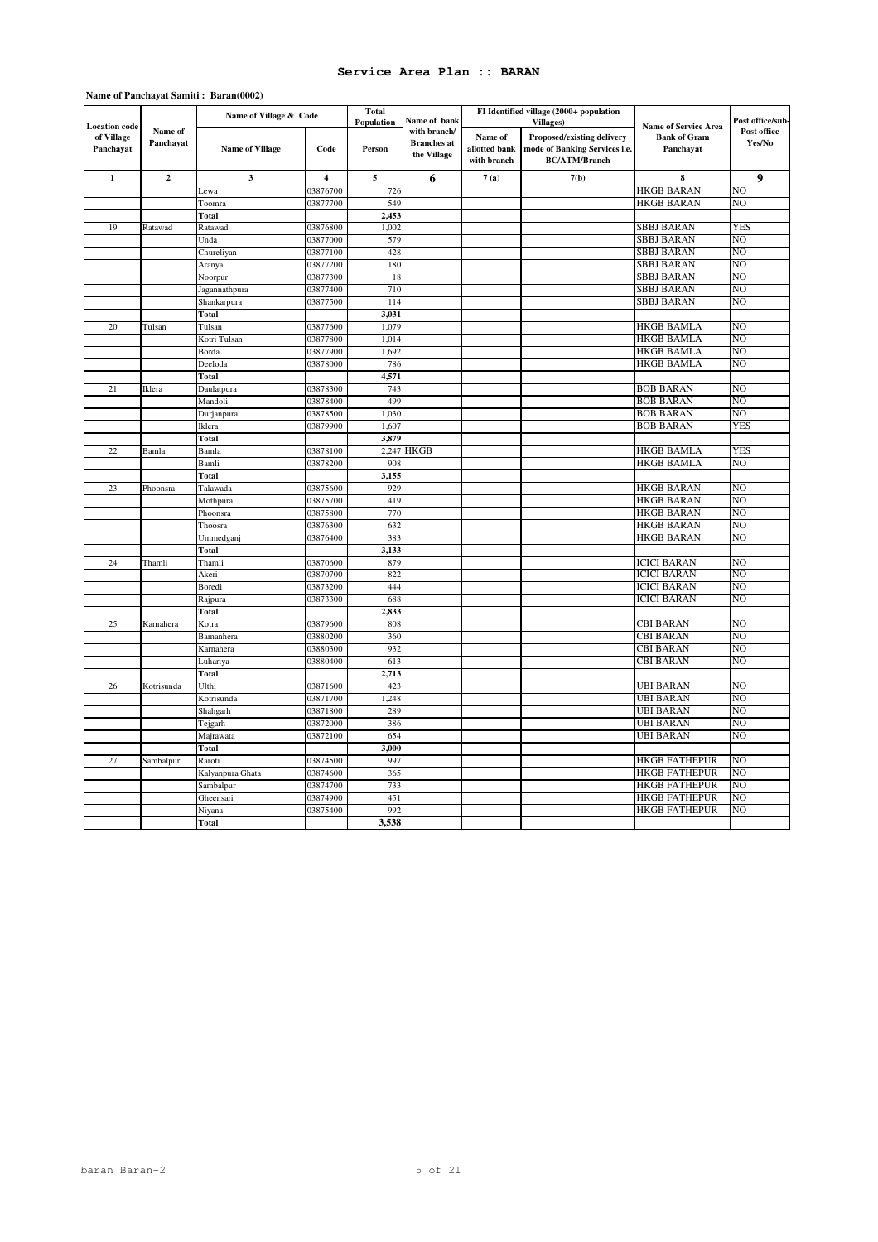### **Name of Panchayat Samiti : Baran(0002)**

| <b>Location</b> code    |                      | Name of Village & Code |                | <b>Total</b><br>Population | Name of bank                                      |                                         | FI Identified village (2000+ population<br><b>Villages</b> )                        | <b>Name of Service Area</b>      | Post office/sub       |
|-------------------------|----------------------|------------------------|----------------|----------------------------|---------------------------------------------------|-----------------------------------------|-------------------------------------------------------------------------------------|----------------------------------|-----------------------|
| of Village<br>Panchayat | Name of<br>Panchayat | <b>Name of Village</b> | Code           | Person                     | with branch/<br><b>Branches</b> at<br>the Village | Name of<br>allotted bank<br>with branch | Proposed/existing delivery<br>mode of Banking Services i.e.<br><b>BC/ATM/Branch</b> | <b>Bank of Gram</b><br>Panchayat | Post office<br>Yes/No |
| $\mathbf{1}$            | $\mathbf{2}$         | 3                      | $\overline{4}$ | 5                          | 6                                                 | 7(a)                                    | 7(b)                                                                                | 8                                | 9                     |
|                         |                      | Lewa                   | 03876700       | 726                        |                                                   |                                         |                                                                                     | <b>HKGB BARAN</b>                | NO                    |
|                         |                      | Toomra                 | 03877700       | 549                        |                                                   |                                         |                                                                                     | <b>HKGB BARAN</b>                | NO                    |
|                         |                      | Total                  |                | 2,453                      |                                                   |                                         |                                                                                     |                                  |                       |
| 19                      | Ratawad              | Ratawad                | 03876800       | 1,002                      |                                                   |                                         |                                                                                     | SBBJ BARAN                       | YES                   |
|                         |                      | Unda                   | 03877000       | 579                        |                                                   |                                         |                                                                                     | SBBJ BARAN                       | NO                    |
|                         |                      | Chureliyan             | 03877100       | 428                        |                                                   |                                         |                                                                                     | <b>SBBJ BARAN</b>                | NO                    |
|                         |                      | Aranya                 | 03877200       | 180                        |                                                   |                                         |                                                                                     | SBBJ BARAN                       | NO                    |
|                         |                      | Noorpur                | 03877300       | 18                         |                                                   |                                         |                                                                                     | <b>SBBJ BARAN</b>                | NO                    |
|                         |                      | Jagannathpura          | 03877400       | 710                        |                                                   |                                         |                                                                                     | <b>SBBJ BARAN</b>                | NO                    |
|                         |                      | Shankarpura            | 03877500       | 114                        |                                                   |                                         |                                                                                     | SBBJ BARAN                       | NO                    |
|                         |                      | Total                  |                | 3,031                      |                                                   |                                         |                                                                                     |                                  |                       |
| 20                      | Tulsan               | Tulsan                 | 03877600       | 1,079                      |                                                   |                                         |                                                                                     | <b>HKGB BAMLA</b>                | NO                    |
|                         |                      | Kotri Tulsan           | 03877800       | 1,014                      |                                                   |                                         |                                                                                     | <b>HKGB BAMLA</b>                | NO                    |
|                         |                      | Borda                  | 03877900       | 1,692                      |                                                   |                                         |                                                                                     | <b>HKGB BAMLA</b>                | NO                    |
|                         |                      | Deeloda                | 03878000       | 786                        |                                                   |                                         |                                                                                     | <b>HKGB BAMLA</b>                | NO                    |
|                         |                      | Total                  |                | 4,571                      |                                                   |                                         |                                                                                     |                                  |                       |
| 21                      | Iklera               | Daulatpura             | 03878300       | 743                        |                                                   |                                         |                                                                                     | <b>BOB BARAN</b>                 | NO                    |
|                         |                      | Mandoli                | 03878400       | 499                        |                                                   |                                         |                                                                                     | BOB BARAN                        | NO                    |
|                         |                      | Durjanpura             | 03878500       | 1,030                      |                                                   |                                         |                                                                                     | <b>BOB BARAN</b>                 | NO                    |
|                         |                      | Iklera                 | 03879900       | 1,607                      |                                                   |                                         |                                                                                     | <b>BOB BARAN</b>                 | YES                   |
|                         |                      | Total                  |                | 3,879                      |                                                   |                                         |                                                                                     |                                  |                       |
| 22                      | Bamla                | Bamla                  | 03878100       |                            | 2,247 HKGB                                        |                                         |                                                                                     | <b>HKGB BAMLA</b>                | YES                   |
|                         |                      | Bamli                  | 03878200       | 908                        |                                                   |                                         |                                                                                     | <b>HKGB BAMLA</b>                | NO                    |
|                         |                      | Total                  |                | 3,155                      |                                                   |                                         |                                                                                     |                                  |                       |
| 23                      | Phoonsra             | Talawada               | 03875600       | 929                        |                                                   |                                         |                                                                                     | <b>HKGB BARAN</b>                | NO                    |
|                         |                      | Mothpura               | 03875700       | 419                        |                                                   |                                         |                                                                                     | <b>HKGB BARAN</b>                | NO                    |
|                         |                      | Phoonsra               | 03875800       | 770                        |                                                   |                                         |                                                                                     | HKGB BARAN                       | NO                    |
|                         |                      | Thoosra                | 03876300       | 632                        |                                                   |                                         |                                                                                     | <b>HKGB BARAN</b>                | NO                    |
|                         |                      | Ummedganj              | 03876400       | 383                        |                                                   |                                         |                                                                                     | HKGB BARAN                       | NO                    |
|                         |                      | Total                  |                | 3,133                      |                                                   |                                         |                                                                                     |                                  |                       |
| 24                      | Thamli               | Thamli                 | 03870600       | 879                        |                                                   |                                         |                                                                                     | <b>ICICI BARAN</b>               | NO                    |
|                         |                      | Akeri                  | 03870700       | 822                        |                                                   |                                         |                                                                                     | <b>ICICI BARAN</b>               | NO                    |
|                         |                      | Boredi                 | 03873200       | 444                        |                                                   |                                         |                                                                                     | <b>ICICI BARAN</b>               | NO                    |
|                         |                      | Rajpura                | 03873300       | 688                        |                                                   |                                         |                                                                                     | <b>ICICI BARAN</b>               | NO                    |
|                         |                      | <b>Total</b>           |                | 2,833                      |                                                   |                                         |                                                                                     |                                  |                       |
| 25                      | Karnahera            | Kotra                  | 03879600       | 808                        |                                                   |                                         |                                                                                     | <b>CBI BARAN</b>                 | NO                    |
|                         |                      | Bamanhera              | 03880200       | 360                        |                                                   |                                         |                                                                                     | <b>CBI BARAN</b>                 | NO                    |
|                         |                      | Karnahera              | 03880300       | 932                        |                                                   |                                         |                                                                                     | CBI BARAN                        | NO                    |
|                         |                      | Luhariya               | 03880400       | 613                        |                                                   |                                         |                                                                                     | CBI BARAN                        | NO                    |
|                         |                      | Total                  |                | 2,713                      |                                                   |                                         |                                                                                     |                                  |                       |
| 26                      | Kotrisunda           | Ulthi                  | 03871600       | 423                        |                                                   |                                         |                                                                                     | <b>UBI BARAN</b>                 | NO                    |
|                         |                      | Kotrisunda             | 03871700       | 1,248                      |                                                   |                                         |                                                                                     | UBI BARAN                        | NO                    |
|                         |                      | Shahgarh               | 03871800       | 289                        |                                                   |                                         |                                                                                     | UBI BARAN                        | NO                    |
|                         |                      | Tejgarh                | 03872000       | 386                        |                                                   |                                         |                                                                                     | UBI BARAN                        | NO                    |
|                         |                      | Majrawata              | 03872100       | 654                        |                                                   |                                         |                                                                                     | <b>UBI BARAN</b>                 | NO                    |
|                         |                      | Total                  |                | 3,000                      |                                                   |                                         |                                                                                     |                                  |                       |
| 27                      | Sambalpur            | Raroti                 | 03874500       | 997                        |                                                   |                                         |                                                                                     | <b>HKGB FATHEPUR</b>             | NO                    |
|                         |                      | Kalyanpura Ghata       | 03874600       | 365                        |                                                   |                                         |                                                                                     | <b>HKGB FATHEPUR</b>             | NO                    |
|                         |                      | Sambalpur              | 03874700       | 733                        |                                                   |                                         |                                                                                     | <b>HKGB FATHEPUR</b>             | NO                    |
|                         |                      | Gheensari              | 03874900       | 451                        |                                                   |                                         |                                                                                     | HKGB FATHEPUR                    | NO                    |
|                         |                      | Niyana                 | 03875400       | 992                        |                                                   |                                         |                                                                                     | <b>HKGB FATHEPUR</b>             | NO                    |
|                         |                      | Total                  |                | 3,538                      |                                                   |                                         |                                                                                     |                                  |                       |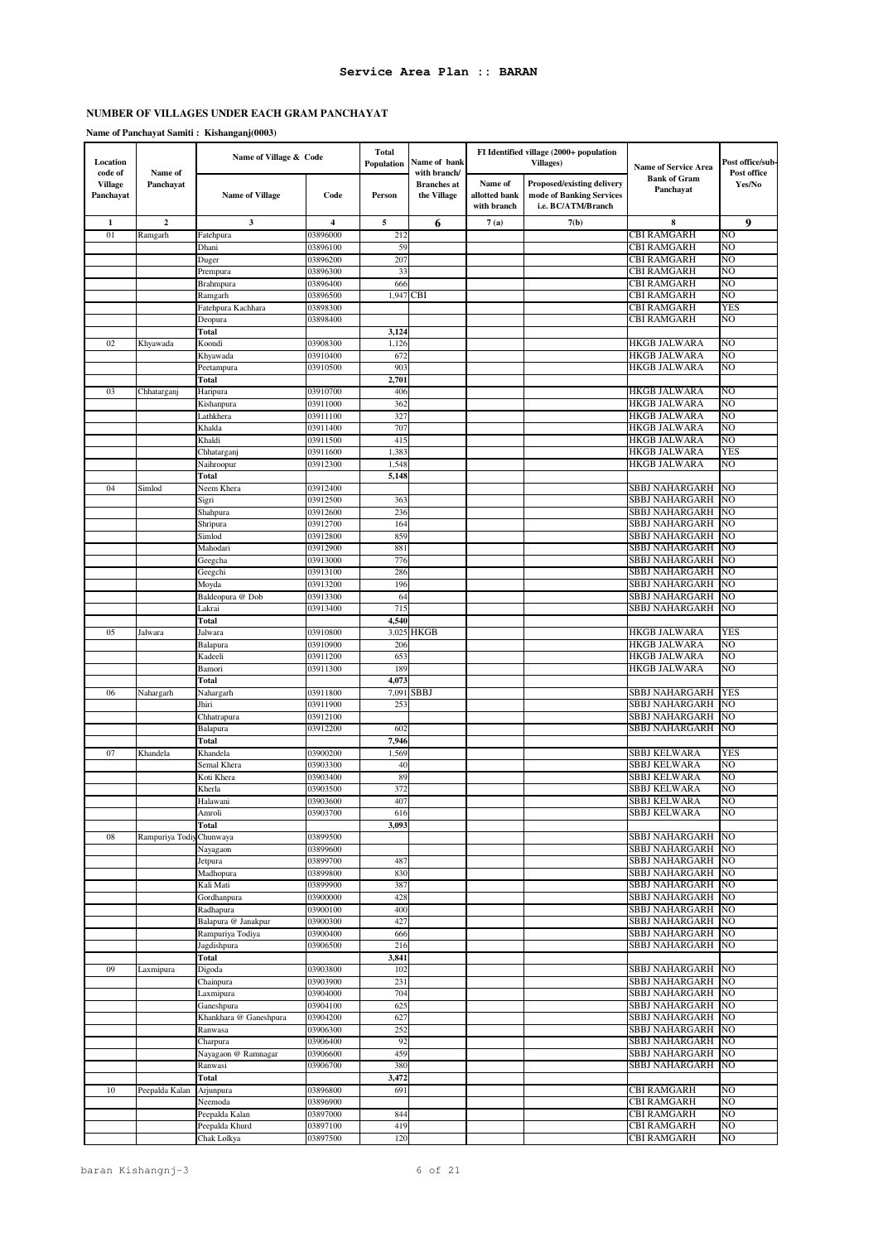### **Name of Panchayat Samiti : Kishanganj(0003)**

| Location<br>code of         | Name of         | Name of Village & Code           |                         | Total<br>Population | Name of bank<br>with branch/      |                                         | FI Identified village (2000+ population<br>Villages)                                | <b>Name of Service Area</b>             | Post office/sub-<br>Post office |
|-----------------------------|-----------------|----------------------------------|-------------------------|---------------------|-----------------------------------|-----------------------------------------|-------------------------------------------------------------------------------------|-----------------------------------------|---------------------------------|
| <b>Village</b><br>Panchayat | Panchayat       | <b>Name of Village</b>           | Code                    | Person              | <b>Branches</b> at<br>the Village | Name of<br>allotted bank<br>with branch | <b>Proposed/existing delivery</b><br>mode of Banking Services<br>i.e. BC/ATM/Branch | <b>Bank of Gram</b><br>Panchayat        | Yes/No                          |
| $\mathbf{1}$                | $\overline{2}$  | 3                                | $\overline{\mathbf{4}}$ | 5                   | 6                                 | 7(a)                                    | 7(b)                                                                                | 8                                       | 9                               |
| 01                          | Ramgarh         | Fatehpura                        | 03896000                | 212                 |                                   |                                         |                                                                                     | CBI RAMGARH                             | NO                              |
|                             |                 | Dhani                            | 03896100                | 59                  |                                   |                                         |                                                                                     | CBI RAMGARH                             | NO                              |
|                             |                 | Duger                            | 03896200                | 207                 |                                   |                                         |                                                                                     | CBI RAMGARH                             | NO                              |
|                             |                 | Prempura                         | 03896300                | 33                  |                                   |                                         |                                                                                     | CBI RAMGARH                             | NO                              |
|                             |                 | Brahmpura                        | 03896400                | 666                 |                                   |                                         |                                                                                     | CBI RAMGARH                             | NO                              |
|                             |                 | Ramgarh                          | 03896500                | 1,947               | <b>CBI</b>                        |                                         |                                                                                     | <b>CBI RAMGARH</b>                      | NO                              |
|                             |                 | Fatehpura Kachhara               | 03898300                |                     |                                   |                                         |                                                                                     | CBI RAMGARH                             | YES<br>NO                       |
|                             |                 | Deopura<br>Total                 | 03898400                | 3,124               |                                   |                                         |                                                                                     | CBI RAMGARH                             |                                 |
| 02                          | Khyawada        | Koondi                           | 03908300                | 1,126               |                                   |                                         |                                                                                     | <b>HKGB JALWARA</b>                     | NO                              |
|                             |                 | Khvawada                         | 03910400                | 672                 |                                   |                                         |                                                                                     | HKGB JALWARA                            | NO                              |
|                             |                 | Peetampura                       | 03910500                | 903                 |                                   |                                         |                                                                                     | <b>HKGB JALWARA</b>                     | NO                              |
|                             |                 | Total                            |                         | 2,701               |                                   |                                         |                                                                                     |                                         |                                 |
| 03                          | Chhatarganj     | Haripura                         | 03910700                | 406                 |                                   |                                         |                                                                                     | HKGB JALWARA                            | NO                              |
|                             |                 | Kishanpura                       | 03911000                | 362                 |                                   |                                         |                                                                                     | <b>HKGB JALWARA</b>                     | NO                              |
|                             |                 | Lathkhera                        | 03911100                | 327                 |                                   |                                         |                                                                                     | <b>HKGB JALWARA</b>                     | NO                              |
|                             |                 | Khalda                           | 03911400                | 707                 |                                   |                                         |                                                                                     | <b>HKGB JALWARA</b>                     | NO                              |
|                             |                 | Khaldi                           | 03911500                | 415                 |                                   |                                         |                                                                                     | HKGB JALWARA                            | NΟ                              |
|                             |                 | Chhatarganj                      | 03911600                | 1,383               |                                   |                                         |                                                                                     | HKGB JALWARA                            | YES                             |
|                             |                 | Naihroopur                       | 03912300                | 1,548               |                                   |                                         |                                                                                     | HKGB JALWARA                            | NO                              |
|                             |                 | Total                            |                         | 5,148               |                                   |                                         |                                                                                     |                                         |                                 |
| 04                          | Simlod          | Neem Khera                       | 03912400                |                     |                                   |                                         |                                                                                     | <b>SBBJ NAHARGARH</b>                   | N <sub>O</sub>                  |
|                             |                 | Sigri                            | 03912500                | 363<br>236          |                                   |                                         |                                                                                     | SBBJ NAHARGARH<br>SBBJ NAHARGARH        | NO<br>NO                        |
|                             |                 | Shahpura                         | 03912600                | 164                 |                                   |                                         |                                                                                     |                                         | NO                              |
|                             |                 | Shripura<br>Simlod               | 03912700<br>03912800    | 859                 |                                   |                                         |                                                                                     | SBBJ NAHARGARH<br>SBBJ NAHARGARH        | NO                              |
|                             |                 | Mahodari                         | 03912900                | 881                 |                                   |                                         |                                                                                     | SBBJ NAHARGARH                          | NO                              |
|                             |                 | Geegcha                          | 03913000                | 776                 |                                   |                                         |                                                                                     | SBBJ NAHARGARH                          | NO                              |
|                             |                 | Geegchi                          | 03913100                | 286                 |                                   |                                         |                                                                                     | SBBJ NAHARGARH                          | NO                              |
|                             |                 | Moyda                            | 03913200                | 196                 |                                   |                                         |                                                                                     | SBBJ NAHARGARH                          | NO                              |
|                             |                 | Baldeopura @ Dob                 | 03913300                | 64                  |                                   |                                         |                                                                                     | SBBJ NAHARGARH                          | NO                              |
|                             |                 | Lakrai                           | 03913400                | 715                 |                                   |                                         |                                                                                     | SBBJ NAHARGARH                          | NO                              |
|                             |                 | Total                            |                         | 4,540               |                                   |                                         |                                                                                     |                                         |                                 |
| 05                          | Jalwara         | Jalwara                          | 03910800                | 3,025               | HKGB                              |                                         |                                                                                     | HKGB JALWARA                            | YES                             |
|                             |                 | Balapura                         | 03910900                | 206                 |                                   |                                         |                                                                                     | HKGB JALWARA                            | NO                              |
|                             |                 | Kadeeli                          | 03911200                | 653                 |                                   |                                         |                                                                                     | HKGB JALWARA                            | NO                              |
|                             |                 | Bamori                           | 03911300                | 189                 |                                   |                                         |                                                                                     | HKGB JALWARA                            | NO                              |
|                             |                 | Total                            |                         | 4,073               |                                   |                                         |                                                                                     |                                         |                                 |
| 06                          | Nahargarh       | Nahargarh                        | 03911800                | 7,091               | <b>SBBJ</b>                       |                                         |                                                                                     | SBBJ NAHARGARH                          | YES                             |
|                             |                 | Jhiri                            | 03911900<br>03912100    | 253                 |                                   |                                         |                                                                                     | SBBJ NAHARGARH<br><b>SBBJ NAHARGARH</b> | NO                              |
|                             |                 | Chhatrapura                      | 03912200                | 602                 |                                   |                                         |                                                                                     | SBBJ NAHARGARH                          | NO<br>NO                        |
|                             |                 | Balapura<br>Total                |                         | 7,946               |                                   |                                         |                                                                                     |                                         |                                 |
| 07                          | Khandela        | Khandela                         | 03900200                | 1,569               |                                   |                                         |                                                                                     | SBBJ KELWARA                            | YES                             |
|                             |                 | Semal Khera                      | 03903300                | 40                  |                                   |                                         |                                                                                     | SBBJ KELWARA                            | NO                              |
|                             |                 | Koti Khera                       | 03903400                | 89                  |                                   |                                         |                                                                                     | SBBJ KELWARA                            | NO                              |
|                             |                 | Kherla                           | 03903500                | 372                 |                                   |                                         |                                                                                     | <b>SBBJ KELWARA</b>                     | NO                              |
|                             |                 | Halawani                         | 03903600                | 407                 |                                   |                                         |                                                                                     | <b>SBBJ KELWARA</b>                     | N <sub>O</sub>                  |
|                             |                 | Amroli                           | 03903700                | 616                 |                                   |                                         |                                                                                     | SBBJ KELWARA                            | NO                              |
|                             |                 | Total                            |                         | 3,093               |                                   |                                         |                                                                                     |                                         |                                 |
| 08                          | Rampuriya Todiy | Chunwaya                         | 03899500                |                     |                                   |                                         |                                                                                     | SBBJ NAHARGARH                          | NO.                             |
|                             |                 | Nayagaon                         | 03899600                |                     |                                   |                                         |                                                                                     | SBBJ NAHARGARH                          | N <sub>O</sub>                  |
|                             |                 | Jetpura                          | 03899700                | 487                 |                                   |                                         |                                                                                     | SBBJ NAHARGARH                          | NO                              |
|                             |                 | Madhopura                        | 03899800                | 830                 |                                   |                                         |                                                                                     | SBBJ NAHARGARH                          | N <sub>O</sub>                  |
|                             |                 | Kali Mati                        | 03899900                | 387                 |                                   |                                         |                                                                                     | SBBJ NAHARGARH                          | NO<br>NO                        |
|                             |                 | Gordhanpura                      | 03900000<br>03900100    | 428<br>400          |                                   |                                         |                                                                                     | SBBJ NAHARGARH                          | N <sub>O</sub>                  |
|                             |                 | Radhapura<br>Balapura @ Janakpur | 03900300                | 427                 |                                   |                                         |                                                                                     | SBBJ NAHARGARH<br>SBBJ NAHARGARH        | NO                              |
|                             |                 | Rampuriya Todiya                 | 03900400                | 666                 |                                   |                                         |                                                                                     | <b>SBBJ NAHARGARH</b>                   | NO                              |
|                             |                 | Jagdishpura                      | 03906500                | 216                 |                                   |                                         |                                                                                     | SBBJ NAHARGARH                          | N <sub>O</sub>                  |
|                             |                 | <b>Total</b>                     |                         | 3,841               |                                   |                                         |                                                                                     |                                         |                                 |
| 09                          | Laxmipura       | Digoda                           | 03903800                | 102                 |                                   |                                         |                                                                                     | SBBJ NAHARGARH                          | NO                              |
|                             |                 | Chainpura                        | 03903900                | 231                 |                                   |                                         |                                                                                     | SBBJ NAHARGARH                          | N <sub>O</sub>                  |
|                             |                 | Laxmipura                        | 03904000                | 704                 |                                   |                                         |                                                                                     | SBBJ NAHARGARH                          | N <sub>O</sub>                  |
|                             |                 | Ganeshpura                       | 03904100                | 625                 |                                   |                                         |                                                                                     | SBBJ NAHARGARH                          | N <sub>O</sub>                  |
|                             |                 | Khankhara @ Ganeshpura           | 03904200                | 627                 |                                   |                                         |                                                                                     | SBBJ NAHARGARH                          | N <sub>O</sub>                  |
|                             |                 | Ranwasa                          | 03906300                | 252                 |                                   |                                         |                                                                                     | SBBJ NAHARGARH                          | NO                              |
|                             |                 | Charpura                         | 03906400                | 92                  |                                   |                                         |                                                                                     | SBBJ NAHARGARH                          | NO                              |
|                             |                 | Nayagaon @ Ramnagar              | 03906600                | 459                 |                                   |                                         |                                                                                     | SBBJ NAHARGARH                          | NO                              |
|                             |                 | Ranwasi                          | 03906700                | 380                 |                                   |                                         |                                                                                     | <b>SBBJ NAHARGARH</b>                   | NO                              |
|                             |                 | <b>Total</b>                     |                         | 3,472               |                                   |                                         |                                                                                     |                                         |                                 |
| $10\,$                      | Peepalda Kalan  | Arjunpura                        | 03896800                | 691                 |                                   |                                         |                                                                                     | <b>CBI RAMGARH</b>                      | NO                              |
|                             |                 | Neemoda                          | 03896900                |                     |                                   |                                         |                                                                                     | <b>CBI RAMGARH</b>                      | NΟ                              |
|                             |                 | Peepalda Kalan                   | 03897000                | 844                 |                                   |                                         |                                                                                     | <b>CBI RAMGARH</b>                      | NO<br>NO                        |
|                             |                 | Peepalda Khurd                   | 03897100                | 419                 |                                   |                                         |                                                                                     | <b>CBI RAMGARH</b>                      |                                 |
|                             |                 | Chak Lolkya                      | 03897500                | 120                 |                                   |                                         |                                                                                     | <b>CBI RAMGARH</b>                      | NO                              |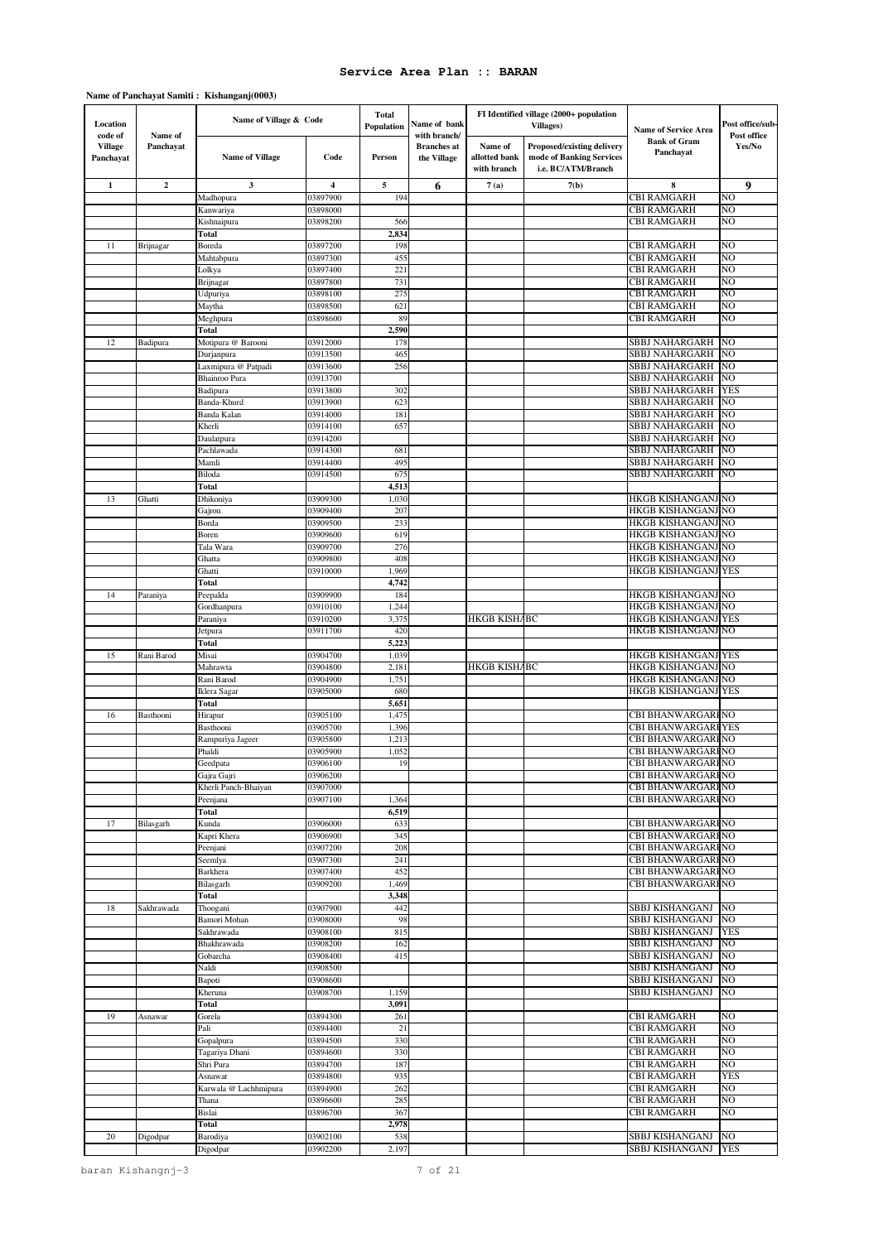### **Name of Panchayat Samiti : Kishanganj(0003)**

| Location<br>code of  | Name of     | Name of Village & Code        |                      | Total<br><b>Population</b> | Name of bank<br>with branch/      |                                         | FI Identified village (2000+ population<br>Villages)                                | <b>Name of Service Area</b>                            | Post office/sub-<br>Post office |
|----------------------|-------------|-------------------------------|----------------------|----------------------------|-----------------------------------|-----------------------------------------|-------------------------------------------------------------------------------------|--------------------------------------------------------|---------------------------------|
| Village<br>Panchayat | Panchayat   | <b>Name of Village</b>        | Code                 | Person                     | <b>Branches</b> at<br>the Village | Name of<br>allotted bank<br>with branch | <b>Proposed/existing delivery</b><br>mode of Banking Services<br>i.e. BC/ATM/Branch | <b>Bank of Gram</b><br>Panchayat                       | Yes/No                          |
| $\mathbf{1}$         | $\mathbf 2$ | 3                             | 4                    | 5                          | 6                                 | 7(a)                                    | 7(b)                                                                                | 8                                                      | 9                               |
|                      |             | Madhopura                     | 03897900             | 194                        |                                   |                                         |                                                                                     | <b>CBI RAMGARH</b>                                     | NO                              |
|                      |             | Kanwariya                     | 03898000             |                            |                                   |                                         |                                                                                     | <b>CBI RAMGARH</b><br><b>CBI RAMGARH</b>               | NO<br>NO                        |
|                      |             | Kishnaipura<br>Total          | 03898200             | 566<br>2,834               |                                   |                                         |                                                                                     |                                                        |                                 |
| 11                   | Brijnagar   | Boreda                        | 03897200             | 198                        |                                   |                                         |                                                                                     | CBI RAMGARH                                            | NO                              |
|                      |             | Mahtabpura                    | 03897300             | 455                        |                                   |                                         |                                                                                     | <b>CBI RAMGARH</b>                                     | NO                              |
|                      |             | Lolkya                        | 03897400             | 221                        |                                   |                                         |                                                                                     | <b>CBI RAMGARH</b>                                     | NO                              |
|                      |             | Brijnagar                     | 03897800             | 731                        |                                   |                                         |                                                                                     | <b>CBI RAMGARH</b>                                     | NO                              |
|                      |             | Udpuriya                      | 03898100<br>03898500 | 275<br>621                 |                                   |                                         |                                                                                     | <b>CBI RAMGARH</b><br><b>CBI RAMGARH</b>               | NO<br>NO                        |
|                      |             | Maytha<br>Meghpura            | 03898600             | 89                         |                                   |                                         |                                                                                     | <b>CBI RAMGARH</b>                                     | NO                              |
|                      |             | Total                         |                      | 2,590                      |                                   |                                         |                                                                                     |                                                        |                                 |
| 12                   | Badipura    | Motipura @ Barooni            | 03912000             | 178                        |                                   |                                         |                                                                                     | SBBJ NAHARGARH                                         | NO                              |
|                      |             | Durjanpura                    | 03913500             | 465                        |                                   |                                         |                                                                                     | <b>SBBJ NAHARGARH</b>                                  | NO                              |
|                      |             | Laxmipura @ Patpadi           | 03913600             | 256                        |                                   |                                         |                                                                                     | SBBJ NAHARGARH                                         | NO                              |
|                      |             | Bhainroo Pura                 | 03913700             |                            |                                   |                                         |                                                                                     | SBBJ NAHARGARH                                         | NO                              |
|                      |             | Badipura<br>Banda-Khurd       | 03913800<br>03913900 | 302<br>623                 |                                   |                                         |                                                                                     | SBBJ NAHARGARH<br>SBBJ NAHARGARH                       | <b>YES</b><br>NO                |
|                      |             | Banda Kalan                   | 03914000             | 181                        |                                   |                                         |                                                                                     | SBBJ NAHARGARH                                         | NO                              |
|                      |             | Kherli                        | 03914100             | 657                        |                                   |                                         |                                                                                     | SBBJ NAHARGARH                                         | NO                              |
|                      |             | Daulatpura                    | 03914200             |                            |                                   |                                         |                                                                                     | SBBJ NAHARGARH                                         | NO                              |
|                      |             | Pachlawada                    | 03914300             | 681                        |                                   |                                         |                                                                                     | SBBJ NAHARGARH                                         | NO                              |
|                      |             | Mamli                         | 03914400             | 495                        |                                   |                                         |                                                                                     | SBBJ NAHARGARH                                         | NO                              |
|                      |             | Biloda<br>Total               | 03914500             | 675<br>4,513               |                                   |                                         |                                                                                     | SBBJ NAHARGARH                                         | NO                              |
| 13                   | Ghatti      | Dhikoniya                     | 03909300             | 1,030                      |                                   |                                         |                                                                                     | HKGB KISHANGANJ NO                                     |                                 |
|                      |             | Gajron                        | 03909400             | 207                        |                                   |                                         |                                                                                     | HKGB KISHANGANJ NO                                     |                                 |
|                      |             | Borda                         | 03909500             | 233                        |                                   |                                         |                                                                                     | HKGB KISHANGANJ NO                                     |                                 |
|                      |             | Boren                         | 03909600             | 619                        |                                   |                                         |                                                                                     | HKGB KISHANGANJ NO                                     |                                 |
|                      |             | Tala Wara                     | 03909700             | 276                        |                                   |                                         |                                                                                     | HKGB KISHANGANJ                                        | NO                              |
|                      |             | Ghatta<br>Ghatti              | 03909800<br>03910000 | 408<br>1,969               |                                   |                                         |                                                                                     | HKGB KISHANGANJ NO<br><b>HKGB KISHANGANJ YES</b>       |                                 |
|                      |             | Total                         |                      | 4,742                      |                                   |                                         |                                                                                     |                                                        |                                 |
| 14                   | Paraniya    | Peepalda                      | 03909900             | 184                        |                                   |                                         |                                                                                     | HKGB KISHANGANJ NO                                     |                                 |
|                      |             | Gordhanpura                   | 03910100             | 1,244                      |                                   |                                         |                                                                                     | HKGB KISHANGANJ NO                                     |                                 |
|                      |             | Paraniya                      | 03910200             | 3,375                      |                                   | <b>HKGB KISHABC</b>                     |                                                                                     | HKGB KISHANGANJ                                        | YES                             |
|                      |             | Jetpura                       | 03911700             | 420                        |                                   |                                         |                                                                                     | HKGB KISHANGANJ                                        | NO                              |
| 15                   | Rani Barod  | Total<br>Misai                | 03904700             | 5,223<br>1,039             |                                   |                                         |                                                                                     | HKGB KISHANGANJ                                        | YES                             |
|                      |             | Mahrawta                      | 03904800             | 2,181                      |                                   | <b>HKGB KISHABC</b>                     |                                                                                     | HKGB KISHANGANJ                                        | NO                              |
|                      |             | Rani Barod                    | 03904900             | 1,751                      |                                   |                                         |                                                                                     | <b>HKGB KISHANGANJ</b>                                 | NO                              |
|                      |             | Iklera Sagar                  | 03905000             | 680                        |                                   |                                         |                                                                                     | <b>HKGB KISHANGANJ YES</b>                             |                                 |
|                      |             | Total                         |                      | 5,651                      |                                   |                                         |                                                                                     |                                                        |                                 |
| 16                   | Basthooni   | Hirapur                       | 03905100             | 1,475                      |                                   |                                         |                                                                                     | CBI BHANWARGARI NO                                     |                                 |
|                      |             | Basthooni<br>Rampuriya Jageer | 03905700<br>03905800 | 1,396<br>1,213             |                                   |                                         |                                                                                     | <b>CBI BHANWARGARI YES</b><br><b>CBI BHANWARGARHNO</b> |                                 |
|                      |             | Phaldi                        | 03905900             | 1,052                      |                                   |                                         |                                                                                     | CBI BHANWARGARI NO                                     |                                 |
|                      |             | Geedpata                      | 03906100             | 19                         |                                   |                                         |                                                                                     | CBI BHANWARGARHNO                                      |                                 |
|                      |             | Gajra Gajri                   | 03906200             |                            |                                   |                                         |                                                                                     | CBI BHANWARGARI NO                                     |                                 |
|                      |             | Kherli Panch-Bhaivan          | 03907000             |                            |                                   |                                         |                                                                                     | CBI BHANWARGARI NO                                     |                                 |
|                      |             | Peenjana                      | 03907100             | 1,364                      |                                   |                                         |                                                                                     | CBI BHANWARGARI NO                                     |                                 |
| 17                   | Bilasgarh   | Total<br>Kunda                | 03906000             | 6,519<br>633               |                                   |                                         |                                                                                     | CBI BHANWARGARI NO                                     |                                 |
|                      |             | Kapri Khera                   | 03906900             | 345                        |                                   |                                         |                                                                                     | CBI BHANWARGARI NO                                     |                                 |
|                      |             | Peenjani                      | 03907200             | 208                        |                                   |                                         |                                                                                     | CBI BHANWARGARI NO                                     |                                 |
|                      |             | Seemlya                       | 03907300             | 241                        |                                   |                                         |                                                                                     | CBI BHANWARGARI NO                                     |                                 |
|                      |             | Barkhera                      | 03907400             | 452                        |                                   |                                         |                                                                                     | CBI BHANWARGARI NO                                     |                                 |
|                      |             | Bilasgarh<br>Total            | 03909200             | 1,469<br>3,348             |                                   |                                         |                                                                                     | CBI BHANWARGARI NO                                     |                                 |
| 18                   | Sakhrawada  | Thoogani                      | 03907900             | 442                        |                                   |                                         |                                                                                     | SBBJ KISHANGANJ                                        | NO                              |
|                      |             | Bamori Mohan                  | 03908000             | 98                         |                                   |                                         |                                                                                     | SBBJ KISHANGANJ                                        | NO                              |
|                      |             | Sakhrawada                    | 03908100             | 815                        |                                   |                                         |                                                                                     | SBBJ KISHANGANJ                                        | YES                             |
|                      |             | Bhakhrawada                   | 03908200             | 162                        |                                   |                                         |                                                                                     | SBBJ KISHANGANJ                                        | NO                              |
|                      |             | Gobarcha                      | 03908400             | 415                        |                                   |                                         |                                                                                     | <b>SBBJ KISHANGANJ</b>                                 | NO                              |
|                      |             | Naldi<br>Bapoti               | 03908500<br>03908600 |                            |                                   |                                         |                                                                                     | SBBJ KISHANGANJ<br>SBBJ KISHANGANJ                     | NO<br>NO                        |
|                      |             | Kheruna                       | 03908700             | 1,159                      |                                   |                                         |                                                                                     | SBBJ KISHANGANJ                                        | NO.                             |
|                      |             | Total                         |                      | 3,091                      |                                   |                                         |                                                                                     |                                                        |                                 |
| 19                   | Asnawar     | Gorela                        | 03894300             | 261                        |                                   |                                         |                                                                                     | <b>CBI RAMGARH</b>                                     | NO                              |
|                      |             | Pali                          | 03894400             | 21                         |                                   |                                         |                                                                                     | <b>CBI RAMGARH</b>                                     | N <sub>O</sub>                  |
|                      |             | Gopalpura                     | 03894500             | 330                        |                                   |                                         |                                                                                     | <b>CBI RAMGARH</b>                                     | NO                              |
|                      |             | Tagariya Dhani                | 03894600             | 330<br>187                 |                                   |                                         |                                                                                     | <b>CBI RAMGARH</b>                                     | NO<br>NΟ                        |
|                      |             | Shri Pura<br>Asnawar          | 03894700<br>03894800 | 935                        |                                   |                                         |                                                                                     | CBI RAMGARH<br><b>CBI RAMGARH</b>                      | YES                             |
|                      |             | Karwala @ Lachhmipura         | 03894900             | 262                        |                                   |                                         |                                                                                     | <b>CBI RAMGARH</b>                                     | NO                              |
|                      |             | Thana                         | 03896600             | 285                        |                                   |                                         |                                                                                     | <b>CBI RAMGARH</b>                                     | NO                              |
|                      |             | Bislai                        | 03896700             | 367                        |                                   |                                         |                                                                                     | <b>CBI RAMGARH</b>                                     | NO                              |
|                      |             | Total                         |                      | 2,978                      |                                   |                                         |                                                                                     |                                                        |                                 |
| 20                   | Digodpar    | Barodiya                      | 03902100             | 538                        |                                   |                                         |                                                                                     | SBBJ KISHANGANJ                                        | NO                              |
|                      |             | Digodpar                      | 03902200             | 2,197                      |                                   |                                         |                                                                                     | SBBJ KISHANGANJ                                        | YES                             |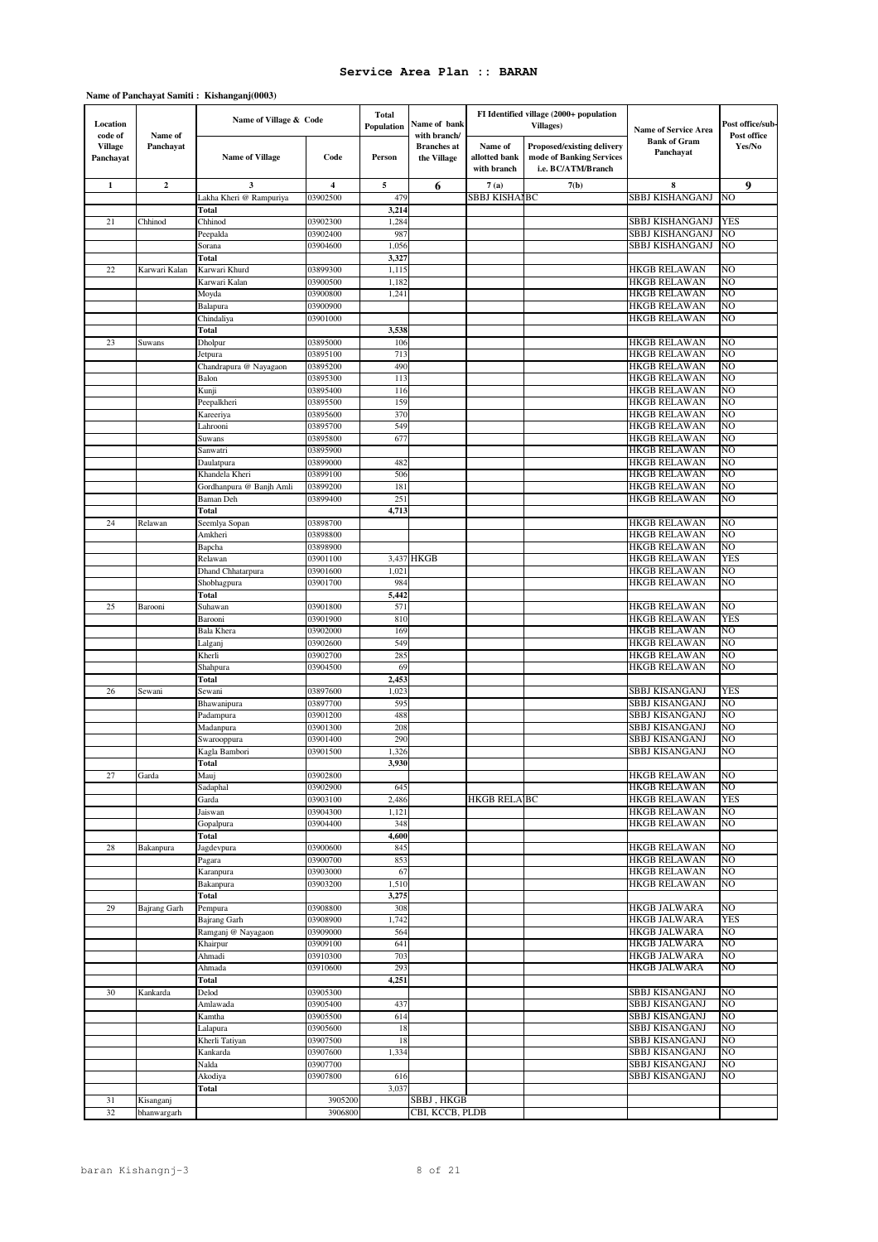### **Name of Panchayat Samiti : Kishanganj(0003)**

| Location<br>code of         | Name of             | Name of Village & Code                     |                      | <b>Total</b><br><b>Population</b> | Name of bank<br>with branch/      |                                         | FI Identified village (2000+ population<br>Villages)                         | <b>Name of Service Area</b>                | Post office/sub-<br>Post office |
|-----------------------------|---------------------|--------------------------------------------|----------------------|-----------------------------------|-----------------------------------|-----------------------------------------|------------------------------------------------------------------------------|--------------------------------------------|---------------------------------|
| <b>Village</b><br>Panchayat | Panchayat           | <b>Name of Village</b>                     | Code                 | Person                            | <b>Branches</b> at<br>the Village | Name of<br>allotted bank<br>with branch | Proposed/existing delivery<br>mode of Banking Services<br>i.e. BC/ATM/Branch | <b>Bank of Gram</b><br>Panchayat           | Yes/No                          |
| $\mathbf{1}$                | $\boldsymbol{2}$    | 3                                          | 4                    | 5                                 | 6                                 | 7(a)                                    | 7(b)                                                                         | 8                                          | 9                               |
|                             |                     | Lakha Kheri @ Rampuriya                    | 03902500             | 479                               |                                   | SBBJ KISHAIBC                           |                                                                              | <b>SBBJ KISHANGANJ</b>                     | NO                              |
|                             |                     | Total                                      |                      | 3,214                             |                                   |                                         |                                                                              |                                            |                                 |
| 21                          | Chhinod             | Chhinod<br>Peepalda                        | 03902300<br>03902400 | 1,284<br>987                      |                                   |                                         |                                                                              | SBBJ KISHANGANJ<br>SBBJ KISHANGANJ         | YES<br>NO                       |
|                             |                     | Sorana                                     | 03904600             | 1,056                             |                                   |                                         |                                                                              | SBBJ KISHANGANJ                            | NO                              |
|                             |                     | Total                                      |                      | 3,327                             |                                   |                                         |                                                                              |                                            |                                 |
| 22                          | Karwari Kalan       | Karwari Khurd                              | 03899300             | 1,115                             |                                   |                                         |                                                                              | <b>HKGB RELAWAN</b>                        | NO                              |
|                             |                     | Karwari Kalan                              | 03900500             | 1,182                             |                                   |                                         |                                                                              | <b>HKGB RELAWAN</b>                        | NO                              |
|                             |                     | Moyda                                      | 03900800             | 1,241                             |                                   |                                         |                                                                              | <b>HKGB RELAWAN</b>                        | NO                              |
|                             |                     | Balapura<br>Chindaliya                     | 03900900<br>03901000 |                                   |                                   |                                         |                                                                              | <b>HKGB RELAWAN</b><br><b>HKGB RELAWAN</b> | NO<br>NO                        |
|                             |                     | Total                                      |                      | 3,538                             |                                   |                                         |                                                                              |                                            |                                 |
| 23                          | Suwans              | Dholpur                                    | 03895000             | 106                               |                                   |                                         |                                                                              | <b>HKGB RELAWAN</b>                        | NO                              |
|                             |                     | Jetpura                                    | 03895100             | 713                               |                                   |                                         |                                                                              | <b>HKGB RELAWAN</b>                        | NO                              |
|                             |                     | Chandrapura @ Nayagaon                     | 03895200             | 490                               |                                   |                                         |                                                                              | <b>HKGB RELAWAN</b>                        | NO                              |
|                             |                     | Balon                                      | 03895300             | 113                               |                                   |                                         |                                                                              | <b>HKGB RELAWAN</b>                        | NO                              |
|                             |                     | Kunji<br>Peepalkheri                       | 03895400<br>03895500 | 116<br>159                        |                                   |                                         |                                                                              | HKGB RELAWAN<br>HKGB RELAWAN               | NO<br>NO                        |
|                             |                     | Kareeriya                                  | 03895600             | 370                               |                                   |                                         |                                                                              | <b>HKGB RELAWAN</b>                        | NO                              |
|                             |                     | Lahrooni                                   | 03895700             | 549                               |                                   |                                         |                                                                              | HKGB RELAWAN                               | NO                              |
|                             |                     | Suwans                                     | 03895800             | 677                               |                                   |                                         |                                                                              | <b>HKGB RELAWAN</b>                        | NO                              |
|                             |                     | Sanwatri                                   | 03895900             |                                   |                                   |                                         |                                                                              | HKGB RELAWAN                               | NO                              |
|                             |                     | Daulatpura                                 | 03899000             | 482                               |                                   |                                         |                                                                              | HKGB RELAWAN                               | NO                              |
|                             |                     | Khandela Kheri<br>Gordhanpura @ Banjh Amli | 03899100<br>03899200 | 506<br>181                        |                                   |                                         |                                                                              | HKGB RELAWAN<br><b>HKGB RELAWAN</b>        | NO<br>NO                        |
|                             |                     | <b>Baman</b> Deh                           | 03899400             | 251                               |                                   |                                         |                                                                              | <b>HKGB RELAWAN</b>                        | NO                              |
|                             |                     | Total                                      |                      | 4,713                             |                                   |                                         |                                                                              |                                            |                                 |
| 24                          | Relawan             | Seemlya Sopan                              | 03898700             |                                   |                                   |                                         |                                                                              | <b>HKGB RELAWAN</b>                        | NO                              |
|                             |                     | Amkheri                                    | 03898800             |                                   |                                   |                                         |                                                                              | <b>HKGB RELAWAN</b>                        | NO                              |
|                             |                     | Bapcha                                     | 03898900             |                                   |                                   |                                         |                                                                              | <b>HKGB RELAWAN</b>                        | NO                              |
|                             |                     | Relawan                                    | 03901100<br>03901600 | 1,021                             | 3,437 HKGB                        |                                         |                                                                              | HKGB RELAWAN<br><b>HKGB RELAWAN</b>        | YES<br>NO                       |
|                             |                     | Dhand Chhatarpura<br>Shobhagpura           | 03901700             | 984                               |                                   |                                         |                                                                              | <b>HKGB RELAWAN</b>                        | NO                              |
|                             |                     | Total                                      |                      | 5,442                             |                                   |                                         |                                                                              |                                            |                                 |
| 25                          | Barooni             | Suhawan                                    | 03901800             | 571                               |                                   |                                         |                                                                              | <b>HKGB RELAWAN</b>                        | NO                              |
|                             |                     | Barooni                                    | 03901900             | 810                               |                                   |                                         |                                                                              | <b>HKGB RELAWAN</b>                        | YES                             |
|                             |                     | Bala Khera                                 | 03902000             | 169                               |                                   |                                         |                                                                              | <b>HKGB RELAWAN</b>                        | NO                              |
|                             |                     | Lalganj<br>Kherli                          | 03902600<br>03902700 | 549<br>285                        |                                   |                                         |                                                                              | HKGB RELAWAN<br>HKGB RELAWAN               | NO<br>NO                        |
|                             |                     | Shahpura                                   | 03904500             | 69                                |                                   |                                         |                                                                              | HKGB RELAWAN                               | NO                              |
|                             |                     | Total                                      |                      | 2,453                             |                                   |                                         |                                                                              |                                            |                                 |
| 26                          | Sewani              | Sewani                                     | 03897600             | 1,023                             |                                   |                                         |                                                                              | SBBJ KISANGANJ                             | YES                             |
|                             |                     | Bhawanipura                                | 03897700             | 595                               |                                   |                                         |                                                                              | SBBJ KISANGANJ                             | NO                              |
|                             |                     | Padampura                                  | 03901200             | 488                               |                                   |                                         |                                                                              | <b>SBBJ KISANGANJ</b>                      | NO                              |
|                             |                     | Madanpura                                  | 03901300             | 208                               |                                   |                                         |                                                                              | <b>SBBJ KISANGANJ</b>                      | NO                              |
|                             |                     | Swarooppura<br>Kagla Bambori               | 03901400<br>03901500 | 290<br>1,326                      |                                   |                                         |                                                                              | SBBJ KISANGANJ<br><b>SBBJ KISANGANJ</b>    | NO<br>NO                        |
|                             |                     | Total                                      |                      | 3,930                             |                                   |                                         |                                                                              |                                            |                                 |
| 27                          | Garda               | Mauj                                       | 03902800             |                                   |                                   |                                         |                                                                              | <b>HKGB RELAWAN</b>                        | NO                              |
|                             |                     | Sadaphal                                   | 03902900             | 645                               |                                   |                                         |                                                                              | <b>HKGB RELAWAN</b>                        | NO                              |
|                             |                     | Garda                                      | 03903100             | 2,486                             |                                   | <b>HKGB RELA BC</b>                     |                                                                              | <b>HKGB RELAWAN</b>                        | <b>YES</b>                      |
|                             |                     | Jaiswan                                    | 03904300             | 1,121                             |                                   |                                         |                                                                              | <b>HKGB RELAWAN</b>                        | NO<br>NΟ                        |
|                             |                     | Gopalpura<br>Total                         | 03904400             | 348<br>4,600                      |                                   |                                         |                                                                              | <b>HKGB RELAWAN</b>                        |                                 |
| 28                          | Bakanpura           | Jagdevpura                                 | 03900600             | 845                               |                                   |                                         |                                                                              | <b>HKGB RELAWAN</b>                        | NO                              |
|                             |                     | Pagara                                     | 03900700             | 853                               |                                   |                                         |                                                                              | <b>HKGB RELAWAN</b>                        | NΟ                              |
|                             |                     | Karanpura                                  | 03903000             | 67                                |                                   |                                         |                                                                              | <b>HKGB RELAWAN</b>                        | NO                              |
|                             |                     | Bakanpura                                  | 03903200             | 1,510                             |                                   |                                         |                                                                              | <b>HKGB RELAWAN</b>                        | NO                              |
|                             |                     | Total                                      |                      | 3,275                             |                                   |                                         |                                                                              |                                            |                                 |
| 29                          | <b>Bajrang Garh</b> | Pempura<br>Bajrang Garh                    | 03908800<br>03908900 | 308<br>1,742                      |                                   |                                         |                                                                              | <b>HKGB JALWARA</b><br><b>HKGB JALWARA</b> | NO<br><b>YES</b>                |
|                             |                     | Ramganj @ Nayagaon                         | 03909000             | 564                               |                                   |                                         |                                                                              | <b>HKGB JALWARA</b>                        | NO                              |
|                             |                     | Khairpur                                   | 03909100             | 641                               |                                   |                                         |                                                                              | <b>HKGB JALWARA</b>                        | NΟ                              |
|                             |                     | Ahmadi                                     | 03910300             | 703                               |                                   |                                         |                                                                              | <b>HKGB JALWARA</b>                        | NΟ                              |
|                             |                     | Ahmada                                     | 03910600             | 293                               |                                   |                                         |                                                                              | <b>HKGB JALWARA</b>                        | NO                              |
|                             |                     | Total                                      |                      | 4,251                             |                                   |                                         |                                                                              |                                            |                                 |
| 30                          | Kankarda            | Delod<br>Amlawada                          | 03905300<br>03905400 | 437                               |                                   |                                         |                                                                              | SBBJ KISANGANJ<br>SBBJ KISANGANJ           | NO<br>NO                        |
|                             |                     | Kamtha                                     | 03905500             | 614                               |                                   |                                         |                                                                              | SBBJ KISANGANJ                             | NO                              |
|                             |                     | Lalapura                                   | 03905600             | 18                                |                                   |                                         |                                                                              | SBBJ KISANGANJ                             | NΟ                              |
|                             |                     | Kherli Tatiyan                             | 03907500             | 18                                |                                   |                                         |                                                                              | SBBJ KISANGANJ                             | NO                              |
|                             |                     | Kankarda                                   | 03907600             | 1,334                             |                                   |                                         |                                                                              | SBBJ KISANGANJ                             | NO                              |
|                             |                     | Nalda                                      | 03907700             |                                   |                                   |                                         |                                                                              | SBBJ KISANGANJ                             | NO                              |
|                             |                     | Akodiya                                    | 03907800             | 616                               |                                   |                                         |                                                                              | SBBJ KISANGANJ                             | NO                              |
| 31                          | Kisanganj           | Total                                      | 3905200              | 3,037                             | SBBJ, HKGB                        |                                         |                                                                              |                                            |                                 |
| 32                          | bhanwargarh         |                                            | 3906800              |                                   | CBI, KCCB, PLDB                   |                                         |                                                                              |                                            |                                 |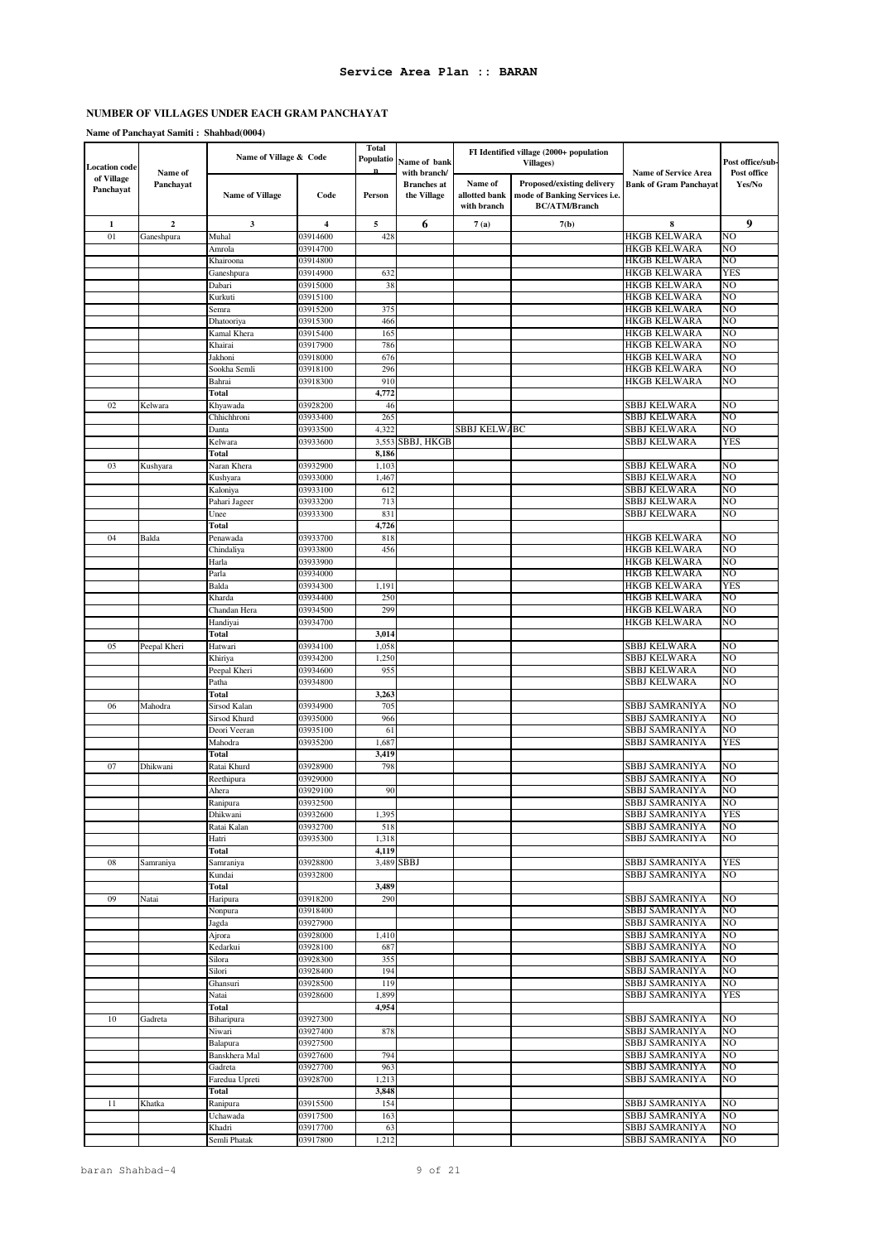| <b>Location</b> code    |                      | Name of Village & Code    |                      | Total<br>Populatio | Name of bank<br>with branch/      |                                         | FI Identified village (2000+ population<br>Villages)                                | <b>Name of Service Area</b>      | Post office/sub-<br>Post office |
|-------------------------|----------------------|---------------------------|----------------------|--------------------|-----------------------------------|-----------------------------------------|-------------------------------------------------------------------------------------|----------------------------------|---------------------------------|
| of Village<br>Panchayat | Name of<br>Panchayat | <b>Name of Village</b>    | Code                 | Person             | <b>Branches</b> at<br>the Village | Name of<br>allotted bank<br>with branch | Proposed/existing delivery<br>mode of Banking Services i.e.<br><b>BC/ATM/Branch</b> | <b>Bank of Gram Panchayat</b>    | Yes/No                          |
| $\mathbf 1$             | $\mathbf{2}$         | 3                         | 4                    | 5                  | 6                                 | 7(a)                                    | 7(b)                                                                                | 8                                | 9                               |
| 01                      | Ganeshpura           | Muhal                     | 03914600             | 428                |                                   |                                         |                                                                                     | HKGB KELWARA                     | NO                              |
|                         |                      | Amrola                    | 03914700             |                    |                                   |                                         |                                                                                     | HKGB KELWARA                     | NO                              |
|                         |                      | Khairoona                 | 03914800             |                    |                                   |                                         |                                                                                     | HKGB KELWARA                     | NO                              |
|                         |                      | Ganeshpura                | 03914900<br>03915000 | 632                |                                   |                                         |                                                                                     | HKGB KELWARA<br>HKGB KELWARA     | YES<br>NO                       |
|                         |                      | Dabari<br>Kurkuti         | 03915100             | 38                 |                                   |                                         |                                                                                     | <b>HKGB KELWARA</b>              | NO                              |
|                         |                      | Semra                     | 03915200             | 375                |                                   |                                         |                                                                                     | HKGB KELWARA                     | NO                              |
|                         |                      | Dhatooriya                | 03915300             | 466                |                                   |                                         |                                                                                     | HKGB KELWARA                     | NO                              |
|                         |                      | Kamal Khera               | 03915400             | 165                |                                   |                                         |                                                                                     | HKGB KELWARA                     | NO                              |
|                         |                      | Khairai                   | 03917900             | 786                |                                   |                                         |                                                                                     | HKGB KELWARA                     | NO                              |
|                         |                      | Jakhoni                   | 03918000             | 676                |                                   |                                         |                                                                                     | HKGB KELWARA                     | NO                              |
|                         |                      | Sookha Semli              | 03918100             | 296<br>910         |                                   |                                         |                                                                                     | HKGB KELWARA                     | NO<br>NO                        |
|                         |                      | Bahrai<br>Total           | 03918300             | 4,772              |                                   |                                         |                                                                                     | HKGB KELWARA                     |                                 |
| 02                      | Kelwara              | Khyawada                  | 03928200             | 46                 |                                   |                                         |                                                                                     | SBBJ KELWARA                     | NO                              |
|                         |                      | Chhichhroni               | 03933400             | 265                |                                   |                                         |                                                                                     | SBBJ KELWARA                     | NO                              |
|                         |                      | Danta                     | 03933500             | 4,322              |                                   | SBBJ KELWABC                            |                                                                                     | SBBJ KELWARA                     | NO                              |
|                         |                      | Kelwara                   | 03933600             | 3,553              | SBBJ, HKGB                        |                                         |                                                                                     | SBBJ KELWARA                     | YES                             |
|                         |                      | Total                     |                      | 8,186              |                                   |                                         |                                                                                     |                                  |                                 |
| 03                      | Kushyara             | Naran Khera               | 03932900             | 1,103              |                                   |                                         |                                                                                     | SBBJ KELWARA                     | NO                              |
|                         |                      | Kushyara                  | 03933000             | 1,46               |                                   |                                         |                                                                                     | SBBJ KELWARA<br>SBBJ KELWARA     | NO<br>NO                        |
|                         |                      | Kaloniya<br>Pahari Jageer | 03933100<br>03933200 | 61.<br>713         |                                   |                                         |                                                                                     | <b>SBBJ KELWARA</b>              | NO                              |
|                         |                      | Unee                      | 03933300             | 831                |                                   |                                         |                                                                                     | <b>SBBJ KELWARA</b>              | NO                              |
|                         |                      | Total                     |                      | 4,726              |                                   |                                         |                                                                                     |                                  |                                 |
| 04                      | Balda                | Penawada                  | 03933700             | 818                |                                   |                                         |                                                                                     | HKGB KELWARA                     | NO                              |
|                         |                      | Chindaliya                | 03933800             | 456                |                                   |                                         |                                                                                     | HKGB KELWARA                     | NO                              |
|                         |                      | Harla                     | 03933900             |                    |                                   |                                         |                                                                                     | HKGB KELWARA                     | NO                              |
|                         |                      | Parla                     | 03934000             |                    |                                   |                                         |                                                                                     | HKGB KELWARA                     | NO                              |
|                         |                      | Balda<br>Kharda           | 03934300<br>03934400 | 1,19<br>250        |                                   |                                         |                                                                                     | HKGB KELWARA<br>HKGB KELWARA     | YES<br>NO                       |
|                         |                      | Chandan Hera              | 03934500             | 299                |                                   |                                         |                                                                                     | HKGB KELWARA                     | NO                              |
|                         |                      | Handiyai                  | 03934700             |                    |                                   |                                         |                                                                                     | HKGB KELWARA                     | NO                              |
|                         |                      | Total                     |                      | 3,014              |                                   |                                         |                                                                                     |                                  |                                 |
| 05                      | Peepal Kheri         | Hatwari                   | 03934100             | 1,058              |                                   |                                         |                                                                                     | SBBJ KELWARA                     | NO                              |
|                         |                      | Khiriya                   | 03934200             | 1,250              |                                   |                                         |                                                                                     | SBBJ KELWARA                     | NO                              |
|                         |                      | Peepal Kheri              | 03934600             | 955                |                                   |                                         |                                                                                     | SBBJ KELWARA                     | NO                              |
|                         |                      | Patha                     | 03934800             |                    |                                   |                                         |                                                                                     | SBBJ KELWARA                     | NO                              |
| 06                      | Mahodra              | Total<br>Sirsod Kalan     | 03934900             | 3,263<br>705       |                                   |                                         |                                                                                     | SBBJ SAMRANIYA                   | NO                              |
|                         |                      | Sirsod Khurd              | 03935000             | 966                |                                   |                                         |                                                                                     | SBBJ SAMRANIYA                   | NO                              |
|                         |                      | Deori Veeran              | 03935100             | 61                 |                                   |                                         |                                                                                     | SBBJ SAMRANIYA                   | NO                              |
|                         |                      | Mahodra                   | 03935200             | 1,687              |                                   |                                         |                                                                                     | SBBJ SAMRANIYA                   | YES                             |
|                         |                      | Total                     |                      | 3,419              |                                   |                                         |                                                                                     |                                  |                                 |
| 07                      | Dhikwani             | Ratai Khurd               | 03928900             | 798                |                                   |                                         |                                                                                     | SBBJ SAMRANIYA                   | NO                              |
|                         |                      | Reethipura                | 03929000             |                    |                                   |                                         |                                                                                     | SBBJ SAMRANIYA                   | NO                              |
|                         |                      | Ahera<br>Ranipura         | 03929100<br>03932500 | 90                 |                                   |                                         |                                                                                     | SBBJ SAMRANIYA<br>SBBJ SAMRANIYA | NO<br>NO.                       |
|                         |                      | Dhikwani                  | 03932600             | 1,395              |                                   |                                         |                                                                                     | SBBJ SAMRANIYA                   | <b>YES</b>                      |
|                         |                      | Ratai Kalan               | 03932700             | 518                |                                   |                                         |                                                                                     | SBBJ SAMRANIYA                   | NO                              |
|                         |                      | Hatri                     | 03935300             | 1,318              |                                   |                                         |                                                                                     | SBBJ SAMRANIYA                   | NO                              |
|                         |                      | Total                     |                      | 4,119              |                                   |                                         |                                                                                     |                                  |                                 |
| 08                      | Samraniya            | Samraniya                 | 03928800             |                    | 3,489 SBBJ                        |                                         |                                                                                     | SBBJ SAMRANIYA                   | <b>YES</b>                      |
|                         |                      | Kundai                    | 03932800             |                    |                                   |                                         |                                                                                     | SBBJ SAMRANIYA                   | NO                              |
| 09                      | Natai                | Total<br>Haripura         | 03918200             | 3,489<br>290       |                                   |                                         |                                                                                     | SBBJ SAMRANIYA                   | NO                              |
|                         |                      | Nonpura                   | 03918400             |                    |                                   |                                         |                                                                                     | SBBJ SAMRANIYA                   | NΟ                              |
|                         |                      | Jagda                     | 03927900             |                    |                                   |                                         |                                                                                     | SBBJ SAMRANIYA                   | NO                              |
|                         |                      | Ajrora                    | 03928000             | 1,410              |                                   |                                         |                                                                                     | SBBJ SAMRANIYA                   | NO                              |
|                         |                      | Kedarkui                  | 03928100             | 687                |                                   |                                         |                                                                                     | SBBJ SAMRANIYA                   | NO                              |
|                         |                      | Silora                    | 03928300             | 355                |                                   |                                         |                                                                                     | SBBJ SAMRANIYA                   | NO                              |
|                         |                      | Silori                    | 03928400             | 194                |                                   |                                         |                                                                                     | SBBJ SAMRANIYA                   | NO                              |
|                         |                      | Ghansuri<br>Natai         | 03928500<br>03928600 | 119<br>1,899       |                                   |                                         |                                                                                     | SBBJ SAMRANIYA<br>SBBJ SAMRANIYA | NO<br>YES                       |
|                         |                      | Total                     |                      | 4,954              |                                   |                                         |                                                                                     |                                  |                                 |
| 10                      | Gadreta              | Biharipura                | 03927300             |                    |                                   |                                         |                                                                                     | SBBJ SAMRANIYA                   | NO                              |
|                         |                      | Niwari                    | 03927400             | 878                |                                   |                                         |                                                                                     | SBBJ SAMRANIYA                   | NO                              |
|                         |                      | Balapura                  | 03927500             |                    |                                   |                                         |                                                                                     | SBBJ SAMRANIYA                   | NO                              |
|                         |                      | Banskhera Mal             | 03927600             | 794                |                                   |                                         |                                                                                     | SBBJ SAMRANIYA                   | NO                              |
|                         |                      | Gadreta                   | 03927700             | 963                |                                   |                                         |                                                                                     | SBBJ SAMRANIYA                   | NO                              |
|                         |                      | Faredua Upreti            | 03928700             | 1,213              |                                   |                                         |                                                                                     | SBBJ SAMRANIYA                   | NO                              |
| 11                      |                      | Total                     |                      | 3,848<br>154       |                                   |                                         |                                                                                     | SBBJ SAMRANIYA                   | NO                              |
|                         | Khatka               | Ranipura<br>Uchawada      | 03915500<br>03917500 | 163                |                                   |                                         |                                                                                     | SBBJ SAMRANIYA                   | NO                              |
|                         |                      | Khadri                    | 03917700             | 63                 |                                   |                                         |                                                                                     | SBBJ SAMRANIYA                   | NO                              |
|                         |                      | Semli Phatak              | 03917800             | 1,212              |                                   |                                         |                                                                                     | SBBJ SAMRANIYA                   | NO                              |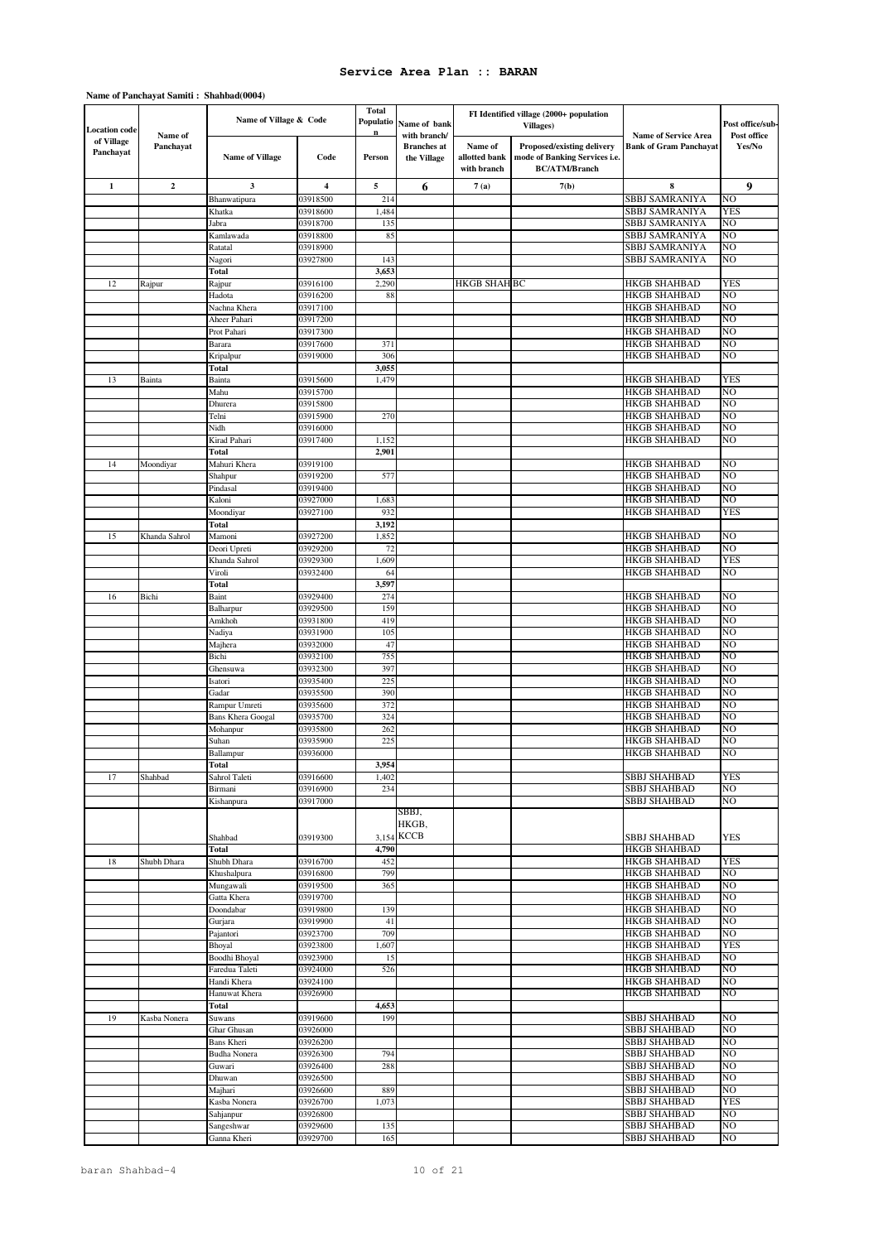| <b>Location code</b>    |                      | Name of Village & Code   |                      | <b>Total</b><br>Populatio | Name of bank                                      |                                         | FI Identified village (2000+ population<br>Villages)                                |                                                              | Post office/sub-      |
|-------------------------|----------------------|--------------------------|----------------------|---------------------------|---------------------------------------------------|-----------------------------------------|-------------------------------------------------------------------------------------|--------------------------------------------------------------|-----------------------|
| of Village<br>Panchayat | Name of<br>Panchayat | <b>Name of Village</b>   | Code                 | Person                    | with branch/<br><b>Branches</b> at<br>the Village | Name of<br>allotted bank<br>with branch | Proposed/existing delivery<br>mode of Banking Services i.e.<br><b>BC/ATM/Branch</b> | <b>Name of Service Area</b><br><b>Bank of Gram Panchayat</b> | Post office<br>Yes/No |
| $\mathbf{1}$            | $\overline{2}$       | 3                        | 4                    | 5                         | 6                                                 | 7(a)                                    | 7(b)                                                                                | 8                                                            | 9                     |
|                         |                      | Bhanwatipura             | 03918500             | 214                       |                                                   |                                         |                                                                                     | <b>SBBJ SAMRANIYA</b>                                        | NO                    |
|                         |                      | Khatka                   | 03918600             | 1,484                     |                                                   |                                         |                                                                                     | SBBJ SAMRANIYA                                               | <b>YES</b>            |
|                         |                      | Jabra                    | 03918700             | 135                       |                                                   |                                         |                                                                                     | SBBJ SAMRANIYA                                               | NO                    |
|                         |                      | Kamlawada                | 03918800             | 85                        |                                                   |                                         |                                                                                     | SBBJ SAMRANIYA                                               | NO                    |
|                         |                      | Ratatal                  | 03918900<br>03927800 | 143                       |                                                   |                                         |                                                                                     | <b>SBBJ SAMRANIYA</b><br>SBBJ SAMRANIYA                      | NO<br>NO              |
|                         |                      | Nagori<br><b>Total</b>   |                      | 3,653                     |                                                   |                                         |                                                                                     |                                                              |                       |
| 12                      | Rajpur               | Rajpur                   | 03916100             | 2,290                     |                                                   | <b>HKGB SHAH BC</b>                     |                                                                                     | <b>HKGB SHAHBAD</b>                                          | <b>YES</b>            |
|                         |                      | Hadota                   | 03916200             | 88                        |                                                   |                                         |                                                                                     | <b>HKGB SHAHBAD</b>                                          | NO                    |
|                         |                      | Nachna Khera             | 03917100             |                           |                                                   |                                         |                                                                                     | <b>HKGB SHAHBAD</b>                                          | NO                    |
|                         |                      | Aheer Pahari             | 03917200             |                           |                                                   |                                         |                                                                                     | <b>HKGB SHAHBAD</b>                                          | NO                    |
|                         |                      | Prot Pahari              | 03917300             |                           |                                                   |                                         |                                                                                     | <b>HKGB SHAHBAD</b>                                          | NO                    |
|                         |                      | Barara                   | 03917600             | 371                       |                                                   |                                         |                                                                                     | <b>HKGB SHAHBAD</b>                                          | NO                    |
|                         |                      | Kripalpur                | 03919000             | 306                       |                                                   |                                         |                                                                                     | <b>HKGB SHAHBAD</b>                                          | NO                    |
|                         |                      | Total                    |                      | 3,055                     |                                                   |                                         |                                                                                     |                                                              |                       |
| 13                      | Bainta               | Bainta<br>Mahu           | 03915600<br>03915700 | 1,479                     |                                                   |                                         |                                                                                     | <b>HKGB SHAHBAD</b><br><b>HKGB SHAHBAD</b>                   | <b>YES</b><br>NO      |
|                         |                      | Dhurera                  | 03915800             |                           |                                                   |                                         |                                                                                     | <b>HKGB SHAHBAD</b>                                          | NO                    |
|                         |                      | Telni                    | 03915900             | 270                       |                                                   |                                         |                                                                                     | <b>HKGB SHAHBAD</b>                                          | NO                    |
|                         |                      | Nidh                     | 03916000             |                           |                                                   |                                         |                                                                                     | <b>HKGB SHAHBAD</b>                                          | NΟ                    |
|                         |                      | Kirad Pahari             | 03917400             | 1,152                     |                                                   |                                         |                                                                                     | <b>HKGB SHAHBAD</b>                                          | NO                    |
|                         |                      | Total                    |                      | 2,901                     |                                                   |                                         |                                                                                     |                                                              |                       |
| 14                      | Moondiyar            | Mahuri Khera             | 03919100             |                           |                                                   |                                         |                                                                                     | <b>HKGB SHAHBAD</b>                                          | NO                    |
|                         |                      | Shahpur                  | 03919200             | 577                       |                                                   |                                         |                                                                                     | HKGB SHAHBAD                                                 | NO                    |
|                         |                      | Pindasal                 | 03919400             |                           |                                                   |                                         |                                                                                     | <b>HKGB SHAHBAD</b>                                          | NO                    |
|                         |                      | Kaloni                   | 03927000             | 1,68                      |                                                   |                                         |                                                                                     | <b>HKGB SHAHBAD</b>                                          | NO                    |
|                         |                      | Moondiyar                | 03927100             | 93                        |                                                   |                                         |                                                                                     | <b>HKGB SHAHBAD</b>                                          | <b>YES</b>            |
| 15                      | Khanda Sahrol        | Total<br>Mamoni          | 03927200             | 3,192<br>1,852            |                                                   |                                         |                                                                                     | <b>HKGB SHAHBAD</b>                                          | NO                    |
|                         |                      | Deori Upreti             | 03929200             | 72                        |                                                   |                                         |                                                                                     | <b>HKGB SHAHBAD</b>                                          | NO                    |
|                         |                      | Khanda Sahrol            | 03929300             | 1,609                     |                                                   |                                         |                                                                                     | <b>HKGB SHAHBAD</b>                                          | <b>YES</b>            |
|                         |                      | Viroli                   | 03932400             | 64                        |                                                   |                                         |                                                                                     | <b>HKGB SHAHBAD</b>                                          | NO                    |
|                         |                      | Total                    |                      | 3,597                     |                                                   |                                         |                                                                                     |                                                              |                       |
| 16                      | Bichi                | Baint                    | 03929400             | 274                       |                                                   |                                         |                                                                                     | <b>HKGB SHAHBAD</b>                                          | NO                    |
|                         |                      | Balharpur                | 03929500             | 159                       |                                                   |                                         |                                                                                     | <b>HKGB SHAHBAD</b>                                          | NO                    |
|                         |                      | Amkhoh                   | 03931800             | 419                       |                                                   |                                         |                                                                                     | <b>HKGB SHAHBAD</b>                                          | NO                    |
|                         |                      | Nadiya                   | 03931900             | 105                       |                                                   |                                         |                                                                                     | <b>HKGB SHAHBAD</b>                                          | NO                    |
|                         |                      | Majhera                  | 03932000             | 47                        |                                                   |                                         |                                                                                     | <b>HKGB SHAHBAD</b>                                          | NO                    |
|                         |                      | Bichi                    | 03932100<br>03932300 | 755<br>397                |                                                   |                                         |                                                                                     | HKGB SHAHBAD<br><b>HKGB SHAHBAD</b>                          | NO<br>NO              |
|                         |                      | Ghensuwa<br>Isatori      | 03935400             | 225                       |                                                   |                                         |                                                                                     | <b>HKGB SHAHBAD</b>                                          | NO                    |
|                         |                      | Gadar                    | 03935500             | 390                       |                                                   |                                         |                                                                                     | <b>HKGB SHAHBAD</b>                                          | NO                    |
|                         |                      | Rampur Umreti            | 03935600             | 372                       |                                                   |                                         |                                                                                     | <b>HKGB SHAHBAD</b>                                          | NO                    |
|                         |                      | <b>Bans Khera Googal</b> | 03935700             | 324                       |                                                   |                                         |                                                                                     | <b>HKGB SHAHBAD</b>                                          | NO                    |
|                         |                      | Mohanpur                 | 03935800             | 262                       |                                                   |                                         |                                                                                     | <b>HKGB SHAHBAD</b>                                          | NO                    |
|                         |                      | Suhan                    | 03935900             | 22.5                      |                                                   |                                         |                                                                                     | HKGB SHAHBAD                                                 | NO                    |
|                         |                      | Ballampur                | 03936000             |                           |                                                   |                                         |                                                                                     | HKGB SHAHBAD                                                 | NO                    |
|                         |                      | Total                    |                      | 3,954                     |                                                   |                                         |                                                                                     |                                                              |                       |
| 17                      | Shahbad              | Sahrol Taleti            | 03916600             | 1,402                     |                                                   |                                         |                                                                                     | <b>SBBJ SHAHBAD</b>                                          | <b>YES</b>            |
|                         |                      | Birmani<br>Kishanpura    | 03916900<br>03917000 | 234                       |                                                   |                                         |                                                                                     | <b>SBBJ SHAHBAD</b><br><b>SBBJ SHAHBAD</b>                   | NO<br>NO              |
|                         |                      | Shahbad                  | 03919300             |                           | SBBJ,<br>HKGB,<br>3,154 KCCB                      |                                         |                                                                                     | <b>SBBJ SHAHBAD</b>                                          | <b>YES</b>            |
|                         |                      | Total                    |                      | 4,790                     |                                                   |                                         |                                                                                     | <b>HKGB SHAHBAD</b>                                          |                       |
| 18                      | Shubh Dhara          | Shubh Dhara              | 03916700             | 452                       |                                                   |                                         |                                                                                     | <b>HKGB SHAHBAD</b>                                          | <b>YES</b>            |
|                         |                      | Khushalpura<br>Mungawali | 03916800<br>03919500 | 799<br>365                |                                                   |                                         |                                                                                     | <b>HKGB SHAHBAD</b><br><b>HKGB SHAHBAD</b>                   | NO<br>NO              |
|                         |                      | Gatta Khera              | 03919700             |                           |                                                   |                                         |                                                                                     | <b>HKGB SHAHBAD</b>                                          | NO                    |
|                         |                      | Doondabar                | 03919800             | 139                       |                                                   |                                         |                                                                                     | HKGB SHAHBAD                                                 | NO                    |
|                         |                      | Gurjara                  | 03919900             | 41                        |                                                   |                                         |                                                                                     | HKGB SHAHBAD                                                 | NO                    |
|                         |                      | Pajantori                | 03923700             | 709                       |                                                   |                                         |                                                                                     | HKGB SHAHBAD                                                 | NO                    |
|                         |                      | Bhoyal                   | 03923800             | 1,607                     |                                                   |                                         |                                                                                     | <b>HKGB SHAHBAD</b>                                          | <b>YES</b>            |
|                         |                      | Boodhi Bhoyal            | 03923900             | 15                        |                                                   |                                         |                                                                                     | HKGB SHAHBAD                                                 | NO                    |
|                         |                      | Faredua Taleti           | 03924000             | 526                       |                                                   |                                         |                                                                                     | <b>HKGB SHAHBAD</b>                                          | NO                    |
|                         |                      | Handi Khera              | 03924100             |                           |                                                   |                                         |                                                                                     | <b>HKGB SHAHBAD</b>                                          | NO                    |
|                         |                      | Hanuwat Khera            | 03926900             |                           |                                                   |                                         |                                                                                     | HKGB SHAHBAD                                                 | NO                    |
| 19                      |                      | Total                    |                      | 4,653<br>199              |                                                   |                                         |                                                                                     | <b>SBBJ SHAHBAD</b>                                          | NO                    |
|                         | Kasba Nonera         | Suwans<br>Ghar Ghusan    | 03919600<br>03926000 |                           |                                                   |                                         |                                                                                     | <b>SBBJ SHAHBAD</b>                                          | NΟ                    |
|                         |                      | Bans Kheri               | 03926200             |                           |                                                   |                                         |                                                                                     | <b>SBBJ SHAHBAD</b>                                          | N <sub>O</sub>        |
|                         |                      | <b>Budha Nonera</b>      | 03926300             | 794                       |                                                   |                                         |                                                                                     | <b>SBBJ SHAHBAD</b>                                          | NO                    |
|                         |                      | Guwari                   | 03926400             | 288                       |                                                   |                                         |                                                                                     | <b>SBBJ SHAHBAD</b>                                          | NO                    |
|                         |                      | Dhuwan                   | 03926500             |                           |                                                   |                                         |                                                                                     | <b>SBBJ SHAHBAD</b>                                          | N <sub>O</sub>        |
|                         |                      | Majhari                  | 03926600             | 889                       |                                                   |                                         |                                                                                     | <b>SBBJ SHAHBAD</b>                                          | NΟ                    |
|                         |                      | Kasba Nonera             | 03926700             | 1,073                     |                                                   |                                         |                                                                                     | <b>SBBJ SHAHBAD</b>                                          | <b>YES</b>            |
|                         |                      | Sahjanpur                | 03926800             |                           |                                                   |                                         |                                                                                     | <b>SBBJ SHAHBAD</b>                                          | NO                    |
|                         |                      | Sangeshwar               | 03929600             | 135                       |                                                   |                                         |                                                                                     | <b>SBBJ SHAHBAD</b>                                          | NO                    |
|                         |                      | Ganna Kheri              | 03929700             | 165                       |                                                   |                                         |                                                                                     | <b>SBBJ SHAHBAD</b>                                          | NO                    |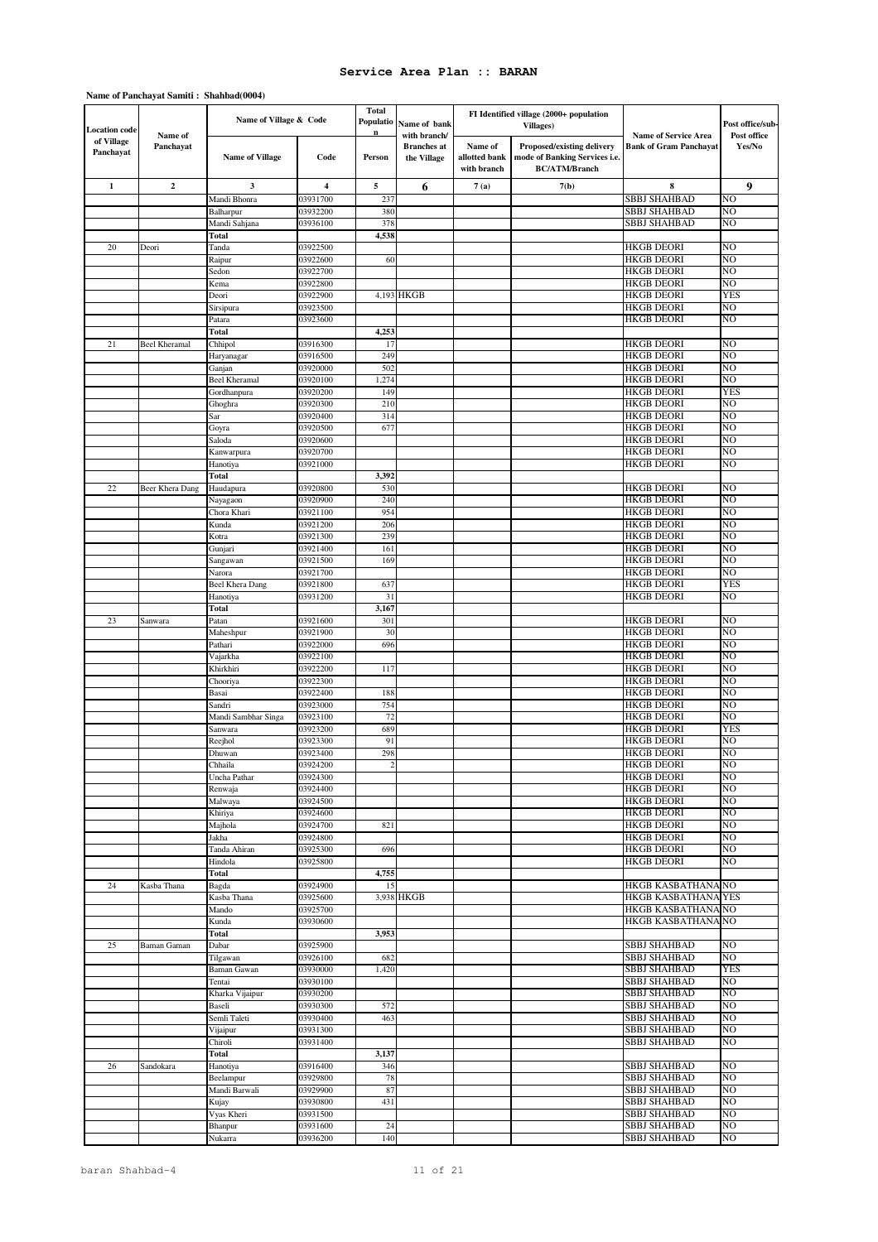| <b>Location code</b>    |                      | Name of Village & Code |                         | <b>Total</b><br>Populatio | Name of bank                                      |                                         | FI Identified village (2000+ population<br>Villages)                                |                                                              | Post office/sub-      |
|-------------------------|----------------------|------------------------|-------------------------|---------------------------|---------------------------------------------------|-----------------------------------------|-------------------------------------------------------------------------------------|--------------------------------------------------------------|-----------------------|
| of Village<br>Panchayat | Name of<br>Panchayat | <b>Name of Village</b> | Code                    | Person                    | with branch/<br><b>Branches</b> at<br>the Village | Name of<br>allotted bank<br>with branch | Proposed/existing delivery<br>mode of Banking Services i.e.<br><b>BC/ATM/Branch</b> | <b>Name of Service Area</b><br><b>Bank of Gram Panchayat</b> | Post office<br>Yes/No |
| $\mathbf{1}$            | $\boldsymbol{2}$     | 3                      | $\overline{\mathbf{4}}$ | 5                         | 6                                                 | 7(a)                                    | 7(b)                                                                                | 8                                                            | 9                     |
|                         |                      | Mandi Bhonra           | 03931700                | 237                       |                                                   |                                         |                                                                                     | <b>SBBJ SHAHBAD</b>                                          | NO                    |
|                         |                      | Balharpur              | 03932200                | 380                       |                                                   |                                         |                                                                                     | SBBJ SHAHBAD                                                 | NO                    |
|                         |                      | Mandi Sahjana          | 03936100                | 378                       |                                                   |                                         |                                                                                     | SBBJ SHAHBAD                                                 | NO                    |
|                         |                      | Total                  |                         | 4,538                     |                                                   |                                         |                                                                                     |                                                              |                       |
| 20                      | Deori                | Tanda                  | 03922500                |                           |                                                   |                                         |                                                                                     | <b>HKGB DEORI</b>                                            | NO<br>NO              |
|                         |                      | Raipur<br>Sedon        | 03922600<br>03922700    | 60                        |                                                   |                                         |                                                                                     | <b>HKGB DEORI</b><br><b>HKGB DEORI</b>                       | NO                    |
|                         |                      | Kema                   | 03922800                |                           |                                                   |                                         |                                                                                     | <b>HKGB DEORI</b>                                            | NO                    |
|                         |                      | Deori                  | 03922900                |                           | 4,193 HKGB                                        |                                         |                                                                                     | <b>HKGB DEORI</b>                                            | <b>YES</b>            |
|                         |                      | Sirsipura              | 03923500                |                           |                                                   |                                         |                                                                                     | <b>HKGB DEORI</b>                                            | NO                    |
|                         |                      | Patara                 | 03923600                |                           |                                                   |                                         |                                                                                     | <b>HKGB DEORI</b>                                            | NO                    |
|                         |                      | Total                  |                         | 4,253                     |                                                   |                                         |                                                                                     |                                                              |                       |
| 21                      | <b>Beel Kheramal</b> | Chhipol                | 03916300                | 17                        |                                                   |                                         |                                                                                     | <b>HKGB DEORI</b>                                            | NO                    |
|                         |                      | Haryanagar             | 03916500                | 249                       |                                                   |                                         |                                                                                     | <b>HKGB DEORI</b>                                            | NΟ                    |
|                         |                      | Ganjan                 | 03920000                | 502                       |                                                   |                                         |                                                                                     | <b>HKGB DEORI</b>                                            | NO                    |
|                         |                      | <b>Beel Kheramal</b>   | 03920100                | 1,274                     |                                                   |                                         |                                                                                     | <b>HKGB DEORI</b>                                            | NO<br>YES             |
|                         |                      | Gordhanpura<br>Ghoghra | 03920200<br>03920300    | 149<br>210                |                                                   |                                         |                                                                                     | <b>HKGB DEORI</b><br><b>HKGB DEORI</b>                       | NO                    |
|                         |                      | Sar                    | 03920400                | 314                       |                                                   |                                         |                                                                                     | <b>HKGB DEORI</b>                                            | NO                    |
|                         |                      | Goyra                  | 03920500                | 677                       |                                                   |                                         |                                                                                     | <b>HKGB DEORI</b>                                            | NΟ                    |
|                         |                      | Saloda                 | 03920600                |                           |                                                   |                                         |                                                                                     | <b>HKGB DEORI</b>                                            | NO                    |
|                         |                      | Kanwarpura             | 03920700                |                           |                                                   |                                         |                                                                                     | <b>HKGB DEORI</b>                                            | NO                    |
|                         |                      | Hanotiya               | 03921000                |                           |                                                   |                                         |                                                                                     | <b>HKGB DEORI</b>                                            | NO                    |
|                         |                      | <b>Total</b>           |                         | 3,392                     |                                                   |                                         |                                                                                     |                                                              |                       |
| 22                      | Beer Khera Dang      | Haudapura              | 03920800                | 530                       |                                                   |                                         |                                                                                     | <b>HKGB DEORI</b>                                            | NO                    |
|                         |                      | Nayagaon               | 03920900                | 240                       |                                                   |                                         |                                                                                     | <b>HKGB DEORI</b>                                            | NO                    |
|                         |                      | Chora Khari            | 03921100                | 954                       |                                                   |                                         |                                                                                     | <b>HKGB DEORI</b>                                            | NO                    |
|                         |                      | Kunda                  | 03921200<br>03921300    | 206<br>239                |                                                   |                                         |                                                                                     | <b>HKGB DEORI</b><br><b>HKGB DEORI</b>                       | NO<br>NΟ              |
|                         |                      | Kotra<br>Gunjari       | 03921400                | 161                       |                                                   |                                         |                                                                                     | <b>HKGB DEORI</b>                                            | NO                    |
|                         |                      | Sangawan               | 03921500                | 169                       |                                                   |                                         |                                                                                     | <b>HKGB DEORI</b>                                            | NΟ                    |
|                         |                      | Narora                 | 03921700                |                           |                                                   |                                         |                                                                                     | <b>HKGB DEORI</b>                                            | NO                    |
|                         |                      | Beel Khera Dang        | 03921800                | 637                       |                                                   |                                         |                                                                                     | <b>HKGB DEORI</b>                                            | YES                   |
|                         |                      | Hanotiya               | 03931200                | 31                        |                                                   |                                         |                                                                                     | <b>HKGB DEORI</b>                                            | NΟ                    |
|                         |                      | Total                  |                         | 3,167                     |                                                   |                                         |                                                                                     |                                                              |                       |
| 23                      | Sanwara              | Patan                  | 03921600                | 301                       |                                                   |                                         |                                                                                     | <b>HKGB DEORI</b>                                            | NO                    |
|                         |                      | Maheshpur              | 03921900                | 30                        |                                                   |                                         |                                                                                     | <b>HKGB DEORI</b>                                            | NO                    |
|                         |                      | Pathari                | 03922000                | 696                       |                                                   |                                         |                                                                                     | <b>HKGB DEORI</b>                                            | NO                    |
|                         |                      | Vajarkha               | 03922100<br>03922200    |                           |                                                   |                                         |                                                                                     | <b>HKGB DEORI</b><br><b>HKGB DEORI</b>                       | NO<br>NO              |
|                         |                      | Khirkhiri<br>Chooriya  | 03922300                | 117                       |                                                   |                                         |                                                                                     | <b>HKGB DEORI</b>                                            | NO                    |
|                         |                      | Basai                  | 03922400                | 188                       |                                                   |                                         |                                                                                     | <b>HKGB DEORI</b>                                            | NO                    |
|                         |                      | Sandri                 | 03923000                | 754                       |                                                   |                                         |                                                                                     | <b>HKGB DEORI</b>                                            | NO                    |
|                         |                      | Mandi Sambhar Singa    | 03923100                | 72                        |                                                   |                                         |                                                                                     | <b>HKGB DEORI</b>                                            | NO                    |
|                         |                      | Sanwara                | 03923200                | 689                       |                                                   |                                         |                                                                                     | <b>HKGB DEORI</b>                                            | <b>YES</b>            |
|                         |                      | Reejhol                | 03923300                | 91                        |                                                   |                                         |                                                                                     | <b>HKGB DEORI</b>                                            | NO                    |
|                         |                      | Dhuwan                 | 03923400                | 298                       |                                                   |                                         |                                                                                     | <b>HKGB DEORI</b>                                            | NΟ                    |
|                         |                      | Chhaila                | 03924200                |                           |                                                   |                                         |                                                                                     | <b>HKGB DEORI</b>                                            | ΝU                    |
|                         |                      | Uncha Pathar           | 03924300                |                           |                                                   |                                         |                                                                                     | <b>HKGB DEORI</b>                                            | NO                    |
|                         |                      | Renwaja                | 03924400                |                           |                                                   |                                         |                                                                                     | <b>HKGB DEORI</b>                                            | NO                    |
|                         |                      | Malwaya<br>Khiriya     | 03924500<br>03924600    |                           |                                                   |                                         |                                                                                     | <b>HKGB DEORI</b><br><b>HKGB DEORI</b>                       | NO<br>NO              |
|                         |                      | Majhola                | 03924700                | 821                       |                                                   |                                         |                                                                                     | <b>HKGB DEORI</b>                                            | NO                    |
|                         |                      | Jakha                  | 03924800                |                           |                                                   |                                         |                                                                                     | <b>HKGB DEORI</b>                                            | NO                    |
|                         |                      | Tanda Ahiran           | 03925300                | 696                       |                                                   |                                         |                                                                                     | <b>HKGB DEORI</b>                                            | NO                    |
|                         |                      | Hindola                | 03925800                |                           |                                                   |                                         |                                                                                     | <b>HKGB DEORI</b>                                            | NO                    |
|                         |                      | Total                  |                         | 4,755                     |                                                   |                                         |                                                                                     |                                                              |                       |
| 24                      | Kasba Thana          | Bagda                  | 03924900                | 15                        |                                                   |                                         |                                                                                     | HKGB KASBATHANA NO                                           |                       |
|                         |                      | Kasba Thana            | 03925600                |                           | 3,938 HKGB                                        |                                         |                                                                                     | <b>HKGB KASBATHANA YES</b>                                   |                       |
|                         |                      | Mando                  | 03925700                |                           |                                                   |                                         |                                                                                     | HKGB KASBATHANA NO                                           |                       |
|                         |                      | Kunda<br>Total         | 03930600                | 3,953                     |                                                   |                                         |                                                                                     | HKGB KASBATHANA NO                                           |                       |
| 25                      | Baman Gaman          |                        | 03925900                |                           |                                                   |                                         |                                                                                     | SBBJ SHAHBAD                                                 | NO                    |
|                         |                      | Dabar<br>Tilgawan      | 03926100                | 682                       |                                                   |                                         |                                                                                     | <b>SBBJ SHAHBAD</b>                                          | NO                    |
|                         |                      | Baman Gawan            | 03930000                | 1,420                     |                                                   |                                         |                                                                                     | <b>SBBJ SHAHBAD</b>                                          | <b>YES</b>            |
|                         |                      | Tentai                 | 03930100                |                           |                                                   |                                         |                                                                                     | <b>SBBJ SHAHBAD</b>                                          | NO                    |
|                         |                      | Kharka Vijaipur        | 03930200                |                           |                                                   |                                         |                                                                                     | SBBJ SHAHBAD                                                 | NΟ                    |
|                         |                      | Baseli                 | 03930300                | 572                       |                                                   |                                         |                                                                                     | <b>SBBJ SHAHBAD</b>                                          | NO                    |
|                         |                      | Semli Taleti           | 03930400                | 463                       |                                                   |                                         |                                                                                     | <b>SBBJ SHAHBAD</b>                                          | NO                    |
|                         |                      | Vijaipur               | 03931300                |                           |                                                   |                                         |                                                                                     | <b>SBBJ SHAHBAD</b>                                          | NO                    |
|                         |                      | Chiroli                | 03931400                |                           |                                                   |                                         |                                                                                     | <b>SBBJ SHAHBAD</b>                                          | NO                    |
|                         |                      | Total                  |                         | 3,137                     |                                                   |                                         |                                                                                     |                                                              |                       |
| 26                      | Sandokara            | Hanotiya               | 03916400                | 346                       |                                                   |                                         |                                                                                     | <b>SBBJ SHAHBAD</b>                                          | NO                    |
|                         |                      | Beelampur              | 03929800                | 78                        |                                                   |                                         |                                                                                     | SBBJ SHAHBAD                                                 | NO                    |
|                         |                      | Mandi Barwali          | 03929900<br>03930800    | 87<br>431                 |                                                   |                                         |                                                                                     | <b>SBBJ SHAHBAD</b><br><b>SBBJ SHAHBAD</b>                   | NO<br>NO              |
|                         |                      | Kujay<br>Vyas Kheri    | 03931500                |                           |                                                   |                                         |                                                                                     | <b>SBBJ SHAHBAD</b>                                          | NO                    |
|                         |                      | Bhanpur                | 03931600                | 24                        |                                                   |                                         |                                                                                     | <b>SBBJ SHAHBAD</b>                                          | NO                    |
|                         |                      | Nukarra                | 03936200                | 140                       |                                                   |                                         |                                                                                     | <b>SBBJ SHAHBAD</b>                                          | NO                    |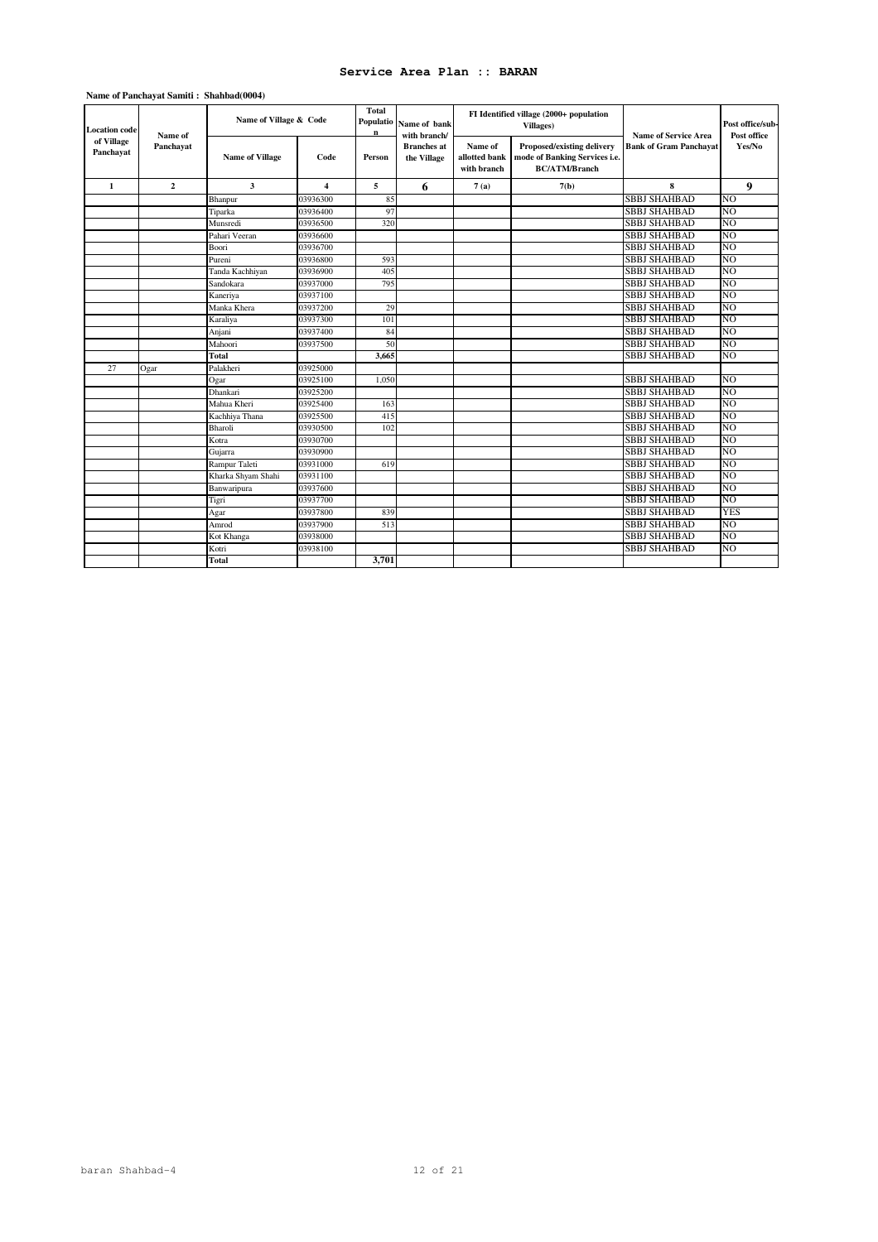| <b>Location</b> code    | Name of      | Name of Village & Code |                | Total<br>Populatio<br>Name of bank<br>n<br>with branch/ |                                   |                                         | FI Identified village (2000+ population<br>Villages)                                       | <b>Name of Service Area</b>   | Post office/sub-<br>Post office |
|-------------------------|--------------|------------------------|----------------|---------------------------------------------------------|-----------------------------------|-----------------------------------------|--------------------------------------------------------------------------------------------|-------------------------------|---------------------------------|
| of Village<br>Panchayat | Panchayat    | <b>Name of Village</b> | Code           | Person                                                  | <b>Branches</b> at<br>the Village | Name of<br>allotted bank<br>with branch | <b>Proposed/existing delivery</b><br>mode of Banking Services i.e.<br><b>BC/ATM/Branch</b> | <b>Bank of Gram Panchavat</b> | Yes/No                          |
| 1                       | $\mathbf{2}$ | $\mathbf{3}$           | $\overline{4}$ | 5                                                       | 6                                 | 7(a)                                    | 7(b)                                                                                       | 8                             | 9                               |
|                         |              | Bhanpur                | 03936300       | 85                                                      |                                   |                                         |                                                                                            | <b>SBBJ SHAHBAD</b>           | N <sub>O</sub>                  |
|                         |              | Tiparka                | 03936400       | 97                                                      |                                   |                                         |                                                                                            | <b>SBBJ SHAHBAD</b>           | N <sub>O</sub>                  |
|                         |              | Munsredi               | 03936500       | 320                                                     |                                   |                                         |                                                                                            | <b>SBBJ SHAHBAD</b>           | N <sub>O</sub>                  |
|                         |              | Pahari Veeran          | 03936600       |                                                         |                                   |                                         |                                                                                            | <b>SBBJ SHAHBAD</b>           | N <sub>O</sub>                  |
|                         |              | Boori                  | 03936700       |                                                         |                                   |                                         |                                                                                            | <b>SBBJ SHAHBAD</b>           | N <sub>O</sub>                  |
|                         |              | Pureni                 | 03936800       | 593                                                     |                                   |                                         |                                                                                            | <b>SBBJ SHAHBAD</b>           | N <sub>O</sub>                  |
|                         |              | Tanda Kachhiyan        | 03936900       | 405                                                     |                                   |                                         |                                                                                            | <b>SBBJ SHAHBAD</b>           | N <sub>O</sub>                  |
|                         |              | Sandokara              | 03937000       | 795                                                     |                                   |                                         |                                                                                            | <b>SBBJ SHAHBAD</b>           | N <sub>O</sub>                  |
|                         |              | Kaneriva               | 03937100       |                                                         |                                   |                                         |                                                                                            | <b>SBBJ SHAHBAD</b>           | N <sub>O</sub>                  |
|                         |              | Manka Khera            | 03937200       | 29                                                      |                                   |                                         |                                                                                            | <b>SBBJ SHAHBAD</b>           | N <sub>O</sub>                  |
|                         |              | Karaliya               | 03937300       | 101                                                     |                                   |                                         |                                                                                            | <b>SBBJ SHAHBAD</b>           | N()                             |
|                         |              | Anjani                 | 03937400       | 84                                                      |                                   |                                         |                                                                                            | <b>SBBJ SHAHBAD</b>           | N <sub>O</sub>                  |
|                         |              | Mahoori                | 03937500       | 50                                                      |                                   |                                         |                                                                                            | <b>SBBJ SHAHBAD</b>           | N <sub>O</sub>                  |
|                         |              | Total                  |                | 3,665                                                   |                                   |                                         |                                                                                            | <b>SBBJ SHAHBAD</b>           | N <sub>O</sub>                  |
| 27                      | Ogar         | Palakheri              | 03925000       |                                                         |                                   |                                         |                                                                                            |                               |                                 |
|                         |              | Ogar                   | 03925100       | 1,050                                                   |                                   |                                         |                                                                                            | <b>SBBJ SHAHBAD</b>           | N <sub>O</sub>                  |
|                         |              | Dhankari               | 03925200       |                                                         |                                   |                                         |                                                                                            | <b>SBBJ SHAHBAD</b>           | N <sub>O</sub>                  |
|                         |              | Mahua Kheri            | 03925400       | 163                                                     |                                   |                                         |                                                                                            | <b>SBBJ SHAHBAD</b>           | N <sub>O</sub>                  |
|                         |              | Kachhiya Thana         | 03925500       | 415                                                     |                                   |                                         |                                                                                            | <b>SBBJ SHAHBAD</b>           | N <sub>O</sub>                  |
|                         |              | Bharoli                | 03930500       | 102                                                     |                                   |                                         |                                                                                            | <b>SBBJ SHAHBAD</b>           | N <sub>O</sub>                  |
|                         |              | Kotra                  | 03930700       |                                                         |                                   |                                         |                                                                                            | <b>SBBJ SHAHBAD</b>           | N <sub>O</sub>                  |
|                         |              | Gujarra                | 03930900       |                                                         |                                   |                                         |                                                                                            | <b>SBBJ SHAHBAD</b>           | N <sub>O</sub>                  |
|                         |              | Rampur Taleti          | 03931000       | 619                                                     |                                   |                                         |                                                                                            | <b>SBBJ SHAHBAD</b>           | N <sub>O</sub>                  |
|                         |              | Kharka Shyam Shahi     | 03931100       |                                                         |                                   |                                         |                                                                                            | <b>SBBJ SHAHBAD</b>           | N()                             |
|                         |              | Banwaripura            | 03937600       |                                                         |                                   |                                         |                                                                                            | <b>SBBJ SHAHBAD</b>           | N()                             |
|                         |              | Tigri                  | 03937700       |                                                         |                                   |                                         |                                                                                            | <b>SBBJ SHAHBAD</b>           | NO                              |
|                         |              | Agar                   | 03937800       | 839                                                     |                                   |                                         |                                                                                            | <b>SBBJ SHAHBAD</b>           | <b>YES</b>                      |
|                         |              | Amrod                  | 03937900       | 513                                                     |                                   |                                         |                                                                                            | <b>SBBJ SHAHBAD</b>           | N <sub>O</sub>                  |
|                         |              | Kot Khanga             | 03938000       |                                                         |                                   |                                         |                                                                                            | <b>SBBJ SHAHBAD</b>           | N <sub>O</sub>                  |
|                         |              | Kotri                  | 03938100       |                                                         |                                   |                                         |                                                                                            | <b>SBBJ SHAHBAD</b>           | N <sub>O</sub>                  |
|                         |              | Total                  |                | 3,701                                                   |                                   |                                         |                                                                                            |                               |                                 |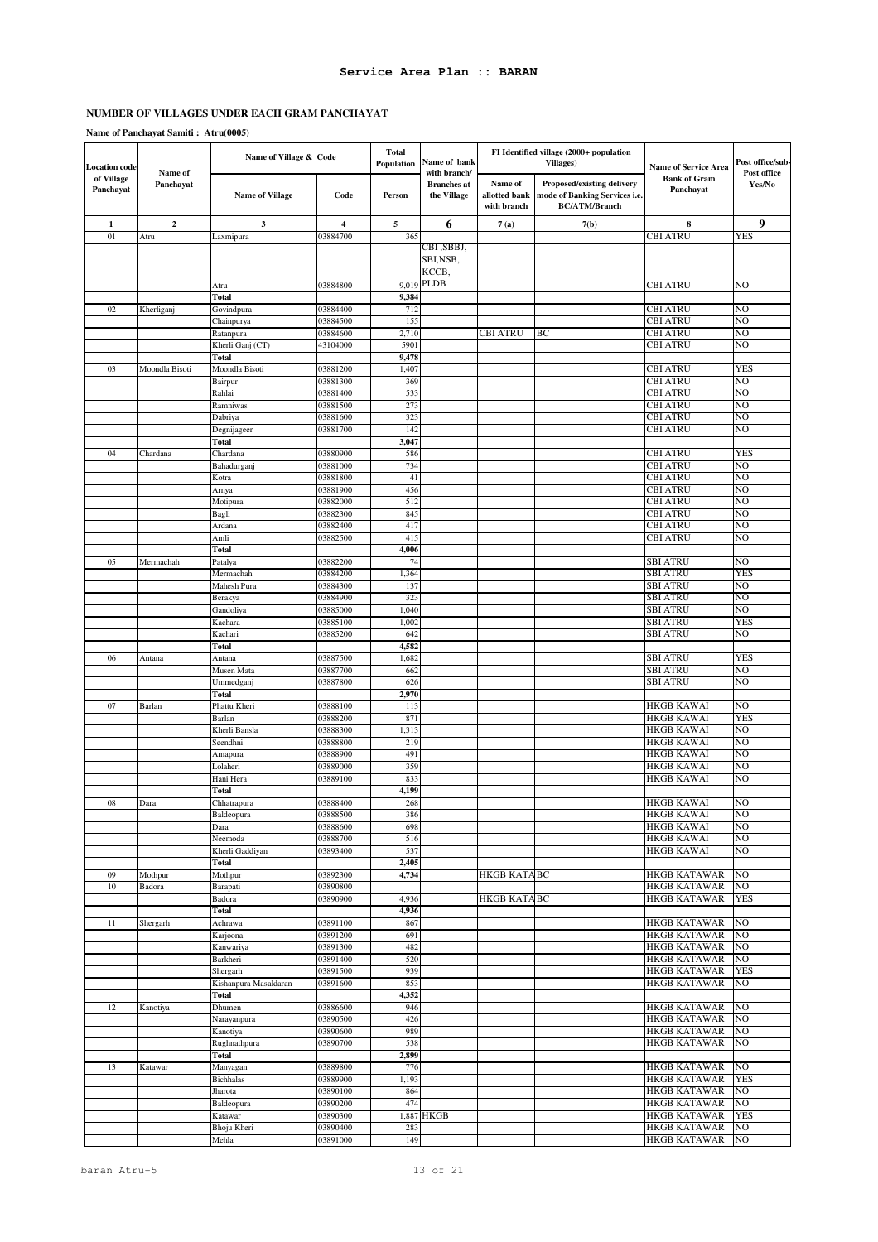### **Name of Panchayat Samiti : Atru(0005)**

| <b>Location</b> code    |                      | Name of Village & Code            |                         | <b>Total</b><br>Name of bank<br>Population |                                                   |                                         | FI Identified village (2000+ population<br><b>Villages</b> )                        | <b>Name of Service Area</b>                | Post office/sub-      |
|-------------------------|----------------------|-----------------------------------|-------------------------|--------------------------------------------|---------------------------------------------------|-----------------------------------------|-------------------------------------------------------------------------------------|--------------------------------------------|-----------------------|
| of Village<br>Panchayat | Name of<br>Panchayat | <b>Name of Village</b>            | Code                    | Person                                     | with branch/<br><b>Branches</b> at<br>the Village | Name of<br>allotted bank<br>with branch | Proposed/existing delivery<br>mode of Banking Services i.e.<br><b>BC/ATM/Branch</b> | <b>Bank of Gram</b><br>Panchayat           | Post office<br>Yes/No |
| 1                       | $\mathbf 2$          | $\mathbf{3}$                      | $\overline{\mathbf{4}}$ | 5                                          | 6                                                 | 7(a)                                    | 7(b)                                                                                | 8                                          | 9                     |
| 01                      | Atru                 | Laxmipura                         | 03884700                | 365                                        |                                                   |                                         |                                                                                     | <b>CBI ATRU</b>                            | YES                   |
|                         |                      |                                   |                         |                                            | CBI ,SBBJ,<br>SBI,NSB,<br>KCCB,                   |                                         |                                                                                     |                                            |                       |
|                         |                      | Atru                              | 03884800                |                                            | 9,019 PLDB                                        |                                         |                                                                                     | CBI ATRU                                   | NO                    |
|                         |                      | Total                             |                         | 9,384                                      |                                                   |                                         |                                                                                     |                                            | NO                    |
| 02                      | Kherliganj           | Govindpura<br>Chainpurya          | 03884400<br>03884500    | 712<br>155                                 |                                                   |                                         |                                                                                     | CBI ATRU<br>CBI ATRU                       | NO                    |
|                         |                      | Ratanpura                         | 03884600                | 2,710                                      |                                                   | <b>CBI ATRU</b>                         | BC                                                                                  | <b>CBI ATRU</b>                            | NO                    |
|                         |                      | Kherli Ganj (CT)                  | 43104000                | 5901                                       |                                                   |                                         |                                                                                     | <b>CBI ATRU</b>                            | NO                    |
|                         |                      | Total                             |                         | 9,478                                      |                                                   |                                         |                                                                                     |                                            |                       |
| 03                      | Moondla Bisoti       | Moondla Bisoti                    | 03881200                | 1,407                                      |                                                   |                                         |                                                                                     | CBI ATRU<br><b>CBI ATRU</b>                | YES<br>NO             |
|                         |                      | Bairpur<br>Rahlai                 | 03881300<br>03881400    | 369<br>533                                 |                                                   |                                         |                                                                                     | CBI ATRU                                   | NO                    |
|                         |                      | Ramniwas                          | 03881500                | 273                                        |                                                   |                                         |                                                                                     | CBI ATRU                                   | NO                    |
|                         |                      | Dabriya                           | 03881600                | 323                                        |                                                   |                                         |                                                                                     | <b>CBI ATRU</b>                            | NO                    |
|                         |                      | Degnijageer                       | 03881700                | 142                                        |                                                   |                                         |                                                                                     | <b>CBI ATRU</b>                            | NO                    |
|                         |                      | Total                             |                         | 3,047                                      |                                                   |                                         |                                                                                     |                                            |                       |
| 04                      | Chardana             | Chardana                          | 03880900<br>03881000    | 586<br>734                                 |                                                   |                                         |                                                                                     | <b>CBI ATRU</b><br><b>CBI ATRU</b>         | <b>YES</b><br>NO      |
|                         |                      | Bahadurganj<br>Kotra              | 03881800                | 41                                         |                                                   |                                         |                                                                                     | CBI ATRU                                   | NO                    |
|                         |                      | Arnya                             | 03881900                | 456                                        |                                                   |                                         |                                                                                     | CBI ATRU                                   | NO                    |
|                         |                      | Motipura                          | 03882000                | 512                                        |                                                   |                                         |                                                                                     | CBI ATRU                                   | NO                    |
|                         |                      | Bagli                             | 03882300                | 845                                        |                                                   |                                         |                                                                                     | CBI ATRU                                   | NO                    |
|                         |                      | Ardana                            | 03882400                | 417<br>415                                 |                                                   |                                         |                                                                                     | CBI ATRU                                   | NO<br>NO              |
|                         |                      | Amli<br><b>Total</b>              | 03882500                | 4,006                                      |                                                   |                                         |                                                                                     | CBI ATRU                                   |                       |
| 05                      | Mermachah            | Patalya                           | 03882200                | 74                                         |                                                   |                                         |                                                                                     | SBI ATRU                                   | NO                    |
|                         |                      | Mermachah                         | 03884200                | 1,364                                      |                                                   |                                         |                                                                                     | SBI ATRU                                   | YES                   |
|                         |                      | Mahesh Pura                       | 03884300                | 137                                        |                                                   |                                         |                                                                                     | SBI ATRU                                   | NO                    |
|                         |                      | Berakya                           | 03884900                | 323                                        |                                                   |                                         |                                                                                     | SBI ATRU                                   | NO                    |
|                         |                      | Gandoliya<br>Kachara              | 03885000<br>03885100    | 1,040<br>1,002                             |                                                   |                                         |                                                                                     | SBI ATRU<br>SBI ATRU                       | NO<br>YES             |
|                         |                      | Kachari                           | 03885200                | 642                                        |                                                   |                                         |                                                                                     | SBI ATRU                                   | NO                    |
|                         |                      | Total                             |                         | 4,582                                      |                                                   |                                         |                                                                                     |                                            |                       |
| 06                      | Antana               | Antana                            | 03887500                | 1,682                                      |                                                   |                                         |                                                                                     | SBI ATRU                                   | YES                   |
|                         |                      | Musen Mata                        | 03887700                | 662                                        |                                                   |                                         |                                                                                     | SBI ATRU                                   | NO                    |
|                         |                      | Ummedganj<br>Total                | 03887800                | 626<br>2,970                               |                                                   |                                         |                                                                                     | SBI ATRU                                   | NO                    |
| 07                      | Barlan               | Phattu Kheri                      | 03888100                | 113                                        |                                                   |                                         |                                                                                     | HKGB KAWAI                                 | NO                    |
|                         |                      | Barlan                            | 03888200                | 871                                        |                                                   |                                         |                                                                                     | HKGB KAWAI                                 | <b>YES</b>            |
|                         |                      | Kherli Bansla                     | 03888300                | 1,313                                      |                                                   |                                         |                                                                                     | <b>HKGB KAWAI</b>                          | NO                    |
|                         |                      | Seendhni                          | 03888800                | 219                                        |                                                   |                                         |                                                                                     | HKGB KAWAI                                 | NO                    |
|                         |                      | Amapura<br>Lolaheri               | 03888900<br>03889000    | 491<br>359                                 |                                                   |                                         |                                                                                     | <b>HKGB KAWAI</b><br>HKGB KAWAI            | NO<br>NO              |
|                         |                      | Hani Hera                         | 03889100                | 833                                        |                                                   |                                         |                                                                                     | HKGB KAWAI                                 | NO                    |
|                         |                      | Total                             |                         | 4,199                                      |                                                   |                                         |                                                                                     |                                            |                       |
| 08                      | Dara                 | Chhatrapura                       | 03888400                | 268                                        |                                                   |                                         |                                                                                     | <b>HKGB KAWAI</b>                          | NO                    |
|                         |                      | Baldeopura                        | 03888500                | 386                                        |                                                   |                                         |                                                                                     | <b>HKGB KAWAI</b>                          | NO<br>NO              |
|                         |                      | Dara<br>Neemoda                   | 03888600<br>03888700    | 698<br>516                                 |                                                   |                                         |                                                                                     | <b>HKGB KAWAI</b><br><b>HKGB KAWAI</b>     | NO                    |
|                         |                      | Kherli Gaddiyan                   | 03893400                | 537                                        |                                                   |                                         |                                                                                     | <b>HKGB KAWAI</b>                          | NO                    |
|                         |                      | Total                             |                         | 2,405                                      |                                                   |                                         |                                                                                     |                                            |                       |
| 09                      | Mothpur              | Mothpur                           | 03892300                | 4,734                                      |                                                   | HKGB KATABC                             |                                                                                     | <b>HKGB KATAWAR</b>                        | NO                    |
| 10                      | Badora               | Barapati<br>Badora                | 03890800<br>03890900    | 4,936                                      |                                                   | <b>HKGB KATA BC</b>                     |                                                                                     | <b>HKGB KATAWAR</b><br>HKGB KATAWAR        | NO<br><b>YES</b>      |
|                         |                      | <b>Total</b>                      |                         | 4,936                                      |                                                   |                                         |                                                                                     |                                            |                       |
| 11                      | Shergarh             | Achrawa                           | 03891100                | 867                                        |                                                   |                                         |                                                                                     | <b>HKGB KATAWAR</b>                        | N <sub>O</sub>        |
|                         |                      | Karjoona                          | 03891200                | 691                                        |                                                   |                                         |                                                                                     | <b>HKGB KATAWAR</b>                        | NO                    |
|                         |                      | Kanwariya                         | 03891300                | 482                                        |                                                   |                                         |                                                                                     | <b>HKGB KATAWAR</b>                        | NO                    |
|                         |                      | Barkheri                          | 03891400<br>03891500    | 520                                        |                                                   |                                         |                                                                                     | HKGB KATAWAR                               | NO<br><b>YES</b>      |
|                         |                      | Shergarh<br>Kishanpura Masaldaran | 03891600                | 939<br>853                                 |                                                   |                                         |                                                                                     | HKGB KATAWAR<br><b>HKGB KATAWAR</b>        | NO                    |
|                         |                      | <b>Total</b>                      |                         | 4,352                                      |                                                   |                                         |                                                                                     |                                            |                       |
| 12                      | Kanotiya             | Dhumen                            | 03886600                | 946                                        |                                                   |                                         |                                                                                     | HKGB KATAWAR                               | NO                    |
|                         |                      | Narayanpura                       | 03890500                | 426                                        |                                                   |                                         |                                                                                     | HKGB KATAWAR                               | NO                    |
|                         |                      | Kanotiya                          | 03890600                | 989                                        |                                                   |                                         |                                                                                     | <b>HKGB KATAWAR</b>                        | NO                    |
|                         |                      | Rughnathpura<br>Total             | 03890700                | 538<br>2,899                               |                                                   |                                         |                                                                                     | HKGB KATAWAR                               | NO                    |
| 13                      | Katawar              | Manyagan                          | 03889800                | 776                                        |                                                   |                                         |                                                                                     | HKGB KATAWAR                               | NO                    |
|                         |                      | <b>Bichhalas</b>                  | 03889900                | 1,193                                      |                                                   |                                         |                                                                                     | <b>HKGB KATAWAR</b>                        | <b>YES</b>            |
|                         |                      | Jharota                           | 03890100                | 864                                        |                                                   |                                         |                                                                                     | HKGB KATAWAR                               | NO                    |
|                         |                      | Baldeopura                        | 03890200                | 474                                        |                                                   |                                         |                                                                                     | <b>HKGB KATAWAR</b>                        | NO                    |
|                         |                      | Katawar<br>Bhoju Kheri            | 03890300<br>03890400    | 283                                        | 1,887 HKGB                                        |                                         |                                                                                     | <b>HKGB KATAWAR</b><br><b>HKGB KATAWAR</b> | <b>YES</b><br>NO      |
|                         |                      | Mehla                             | 03891000                | 149                                        |                                                   |                                         |                                                                                     | <b>HKGB KATAWAR</b>                        | NO                    |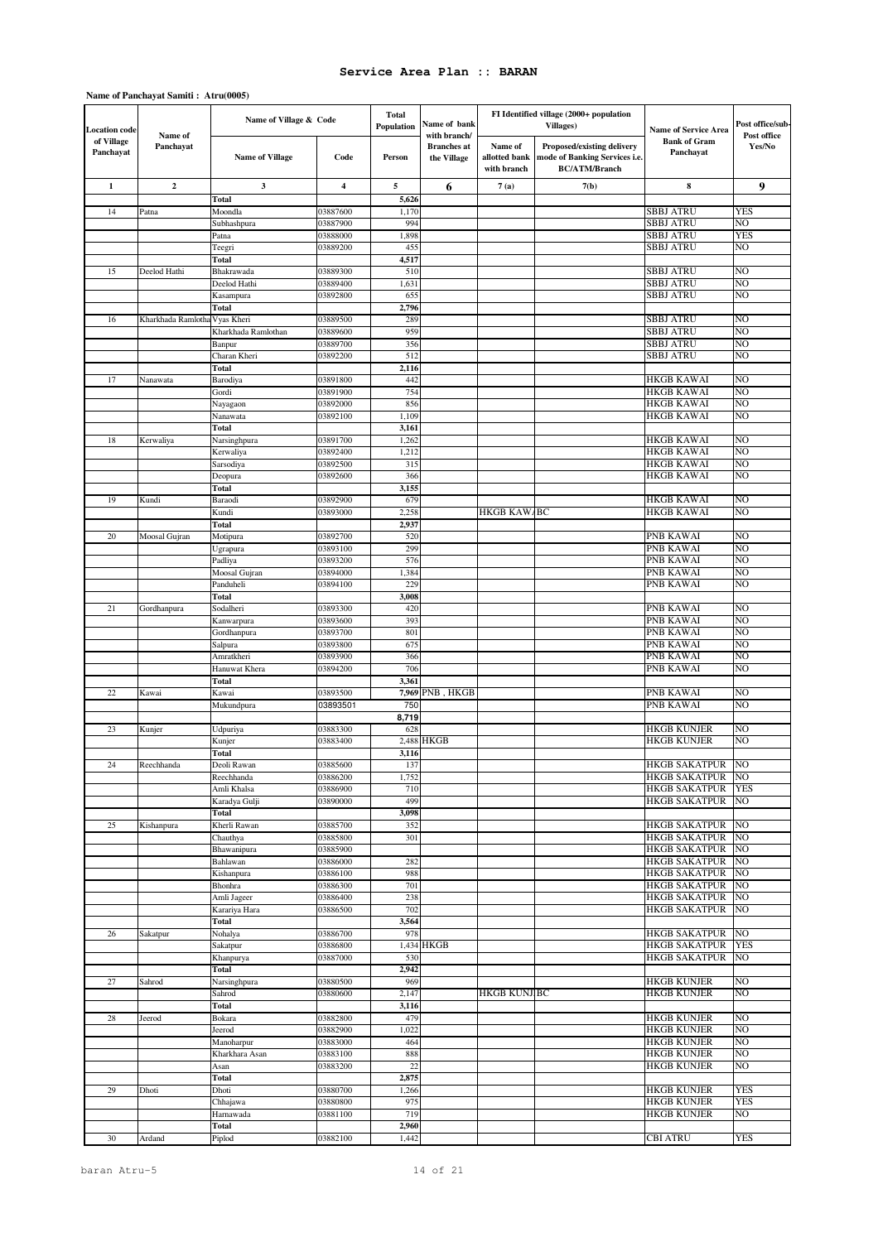### **Name of Panchayat Samiti : Atru(0005)**

| <b>Location</b> code    | Name of            | Name of Village & Code            |                      | <b>Total</b><br>Population | Name of bank<br>with branch/      |                                         | FI Identified village (2000+ population<br><b>Villages</b> )                        | <b>Name of Service Area</b>                  | Post office/sub-<br>Post office |
|-------------------------|--------------------|-----------------------------------|----------------------|----------------------------|-----------------------------------|-----------------------------------------|-------------------------------------------------------------------------------------|----------------------------------------------|---------------------------------|
| of Village<br>Panchayat | Panchayat          | <b>Name of Village</b>            | Code                 | Person                     | <b>Branches</b> at<br>the Village | Name of<br>allotted bank<br>with branch | Proposed/existing delivery<br>mode of Banking Services i.e.<br><b>BC/ATM/Branch</b> | <b>Bank of Gram</b><br>Panchayat             | Yes/No                          |
| $\mathbf{1}$            | $\mathbf 2$        | 3                                 | 4                    | 5                          | 6                                 | 7(a)                                    | 7(b)                                                                                | 8                                            | 9                               |
|                         |                    | Total                             |                      | 5,626                      |                                   |                                         |                                                                                     |                                              |                                 |
| 14                      | Patna              | Moondla                           | 03887600             | 1,170                      |                                   |                                         |                                                                                     | SBBJ ATRU                                    | <b>YES</b>                      |
|                         |                    | Subhashpura                       | 03887900             | 994                        |                                   |                                         |                                                                                     | SBBJ ATRU                                    | NO                              |
|                         |                    | Patna<br>Teegri                   | 03888000<br>03889200 | 1,898<br>455               |                                   |                                         |                                                                                     | <b>SBBJ ATRU</b><br>SBBJ ATRU                | <b>YES</b><br>NΟ                |
|                         |                    | Total                             |                      | 4,517                      |                                   |                                         |                                                                                     |                                              |                                 |
| 15                      | Deelod Hathi       | Bhakrawada                        | 03889300             | 510                        |                                   |                                         |                                                                                     | SBBJ ATRU                                    | NO                              |
|                         |                    | Deelod Hathi                      | 03889400             | 1,631                      |                                   |                                         |                                                                                     | SBBJ ATRU                                    | NO                              |
|                         |                    | Kasampura                         | 03892800             | 655                        |                                   |                                         |                                                                                     | SBBJ ATRU                                    | NΟ                              |
|                         |                    | Total                             |                      | 2,796                      |                                   |                                         |                                                                                     |                                              |                                 |
| 16                      | Kharkhada Ramlotha | Vyas Kheri<br>Kharkhada Ramlothan | 03889500<br>03889600 | 289<br>959                 |                                   |                                         |                                                                                     | SBBJ ATRU<br>SBBJ ATRU                       | NO<br>NΟ                        |
|                         |                    | Banpur                            | 03889700             | 356                        |                                   |                                         |                                                                                     | <b>SBBJ ATRU</b>                             | NO                              |
|                         |                    | Charan Kheri                      | 03892200             | 512                        |                                   |                                         |                                                                                     | SBBJ ATRU                                    | NΟ                              |
|                         |                    | Total                             |                      | 2,116                      |                                   |                                         |                                                                                     |                                              |                                 |
| 17                      | Nanawata           | Barodiya                          | 03891800             | 442                        |                                   |                                         |                                                                                     | <b>HKGB KAWAI</b>                            | NO                              |
|                         |                    | Gordi                             | 03891900             | 754                        |                                   |                                         |                                                                                     | <b>HKGB KAWAI</b>                            | NO                              |
|                         |                    | Nayagaon                          | 03892000             | 856                        |                                   |                                         |                                                                                     | <b>HKGB KAWAI</b>                            | NO                              |
|                         |                    | Nanawata<br>Total                 | 03892100             | 1,109<br>3,161             |                                   |                                         |                                                                                     | <b>HKGB KAWAI</b>                            | NΟ                              |
| 18                      | Kerwaliya          | Narsinghpura                      | 03891700             | 1,262                      |                                   |                                         |                                                                                     | <b>HKGB KAWAI</b>                            | NO                              |
|                         |                    | Kerwaliya                         | 03892400             | 1,212                      |                                   |                                         |                                                                                     | <b>HKGB KAWAI</b>                            | NΟ                              |
|                         |                    | Sarsodiya                         | 03892500             | 315                        |                                   |                                         |                                                                                     | <b>HKGB KAWAI</b>                            | NO                              |
|                         |                    | Deopura                           | 03892600             | 366                        |                                   |                                         |                                                                                     | HKGB KAWAI                                   | NO                              |
|                         |                    | Total                             |                      | 3,155                      |                                   |                                         |                                                                                     |                                              |                                 |
| 19                      | Kundi              | Baraodi                           | 03892900             | 679                        |                                   |                                         |                                                                                     | <b>HKGB KAWAI</b>                            | NΟ                              |
|                         |                    | Kundi                             | 03893000             | 2,258<br>2,937             |                                   | <b>HKGB KAW/BC</b>                      |                                                                                     | <b>HKGB KAWAI</b>                            | NO                              |
| 20                      | Moosal Gujran      | Total<br>Motipura                 | 03892700             | 520                        |                                   |                                         |                                                                                     | PNB KAWAI                                    | NO                              |
|                         |                    | Ugrapura                          | 03893100             | 299                        |                                   |                                         |                                                                                     | PNB KAWAI                                    | NO                              |
|                         |                    | Padliya                           | 03893200             | 576                        |                                   |                                         |                                                                                     | PNB KAWAI                                    | NΟ                              |
|                         |                    | Moosal Gujran                     | 03894000             | 1,384                      |                                   |                                         |                                                                                     | PNB KAWAI                                    | NΟ                              |
|                         |                    | Panduheli                         | 03894100             | 229                        |                                   |                                         |                                                                                     | PNB KAWAI                                    | NO                              |
|                         |                    | Total                             |                      | 3,008                      |                                   |                                         |                                                                                     |                                              |                                 |
| 21                      | Gordhanpura        | Sodalheri                         | 03893300<br>03893600 | 420<br>393                 |                                   |                                         |                                                                                     | PNB KAWAI<br>PNB KAWAI                       | NΟ<br>NO                        |
|                         |                    | Kanwarpura<br>Gordhanpura         | 03893700             | 801                        |                                   |                                         |                                                                                     | PNB KAWAI                                    | NΟ                              |
|                         |                    | Salpura                           | 03893800             | 675                        |                                   |                                         |                                                                                     | PNB KAWAI                                    | NO                              |
|                         |                    | Amratkheri                        | 03893900             | 366                        |                                   |                                         |                                                                                     | PNB KAWAI                                    | NO                              |
|                         |                    | Hanuwat Khera                     | 03894200             | 706                        |                                   |                                         |                                                                                     | PNB KAWAI                                    | NΟ                              |
|                         |                    | Total                             |                      | 3,361                      |                                   |                                         |                                                                                     |                                              |                                 |
| 22                      | Kawai              | Kawai                             | 03893500             |                            | 7,969 PNB, HKGB                   |                                         |                                                                                     | PNB KAWAI                                    | NO                              |
|                         |                    | Mukundpura                        | 03893501             | 750                        |                                   |                                         |                                                                                     | PNB KAWAI                                    | NO                              |
| 23                      | Kunjer             | Udpuriya                          | 03883300             | 8,719<br>628               |                                   |                                         |                                                                                     | <b>HKGB KUNJER</b>                           | NO                              |
|                         |                    | Kunjer                            | 03883400             | 2,488                      | <b>HKGB</b>                       |                                         |                                                                                     | HKGB KUNJER                                  | NO                              |
|                         |                    | Total                             |                      | 3,116                      |                                   |                                         |                                                                                     |                                              |                                 |
| 24                      | Reechhanda         | Deoli Rawan                       | 03885600             | 137                        |                                   |                                         |                                                                                     | <b>HKGB SAKATPUR</b>                         | NO                              |
|                         |                    | Reechhanda                        | 03886200             | 1,752                      |                                   |                                         |                                                                                     | HKGB SAKATPUR                                | N <sub>O</sub>                  |
|                         |                    | Amli Khalsa                       | 03886900             | 710                        |                                   |                                         |                                                                                     | <b>HKGB SAKATPUR</b>                         | <b>YES</b>                      |
|                         |                    | Karadya Gulji                     | 03890000             | 499<br>3,098               |                                   |                                         |                                                                                     | <b>HKGB SAKATPUR</b>                         | NO                              |
| 25                      | Kishanpura         | Total<br>Kherli Rawan             | 03885700             | 352                        |                                   |                                         |                                                                                     | <b>HKGB SAKATPUR</b>                         | NO                              |
|                         |                    | Chauthya                          | 03885800             | 301                        |                                   |                                         |                                                                                     | <b>HKGB SAKATPUR</b>                         | NO                              |
|                         |                    | Bhawanipura                       | 03885900             |                            |                                   |                                         |                                                                                     | <b>HKGB SAKATPUR</b>                         | NO                              |
|                         |                    | Bahlawan                          | 03886000             | 282                        |                                   |                                         |                                                                                     | <b>HKGB SAKATPUR</b>                         | NO                              |
|                         |                    | Kishanpura                        | 03886100             | 988                        |                                   |                                         |                                                                                     | <b>HKGB SAKATPUR</b>                         | NO                              |
|                         |                    | Bhonhra                           | 03886300             | 701                        |                                   |                                         |                                                                                     | <b>HKGB SAKATPUR</b>                         | NO                              |
|                         |                    | Amli Jageer<br>Karariya Hara      | 03886400<br>03886500 | 238<br>702                 |                                   |                                         |                                                                                     | <b>HKGB SAKATPUR</b><br><b>HKGB SAKATPUR</b> | NΟ<br>NO                        |
|                         |                    | Total                             |                      | 3,564                      |                                   |                                         |                                                                                     |                                              |                                 |
| 26                      | Sakatpur           | Nohalya                           | 03886700             | 978                        |                                   |                                         |                                                                                     | <b>HKGB SAKATPUR</b>                         | NΟ                              |
|                         |                    | Sakatpur                          | 03886800             |                            | 1,434 HKGB                        |                                         |                                                                                     | <b>HKGB SAKATPUR</b>                         | <b>YES</b>                      |
|                         |                    | Khanpurya                         | 03887000             | 530                        |                                   |                                         |                                                                                     | <b>HKGB SAKATPUR</b>                         | NO.                             |
|                         |                    | Total                             |                      | 2,942                      |                                   |                                         |                                                                                     |                                              |                                 |
| 27                      | Sahrod             | Narsinghpura                      | 03880500             | 969                        |                                   |                                         |                                                                                     | <b>HKGB KUNJER</b>                           | NO                              |
|                         |                    | Sahrod<br>Total                   | 03880600             | 2,147<br>3,116             |                                   | <b>HKGB KUNJIBC</b>                     |                                                                                     | HKGB KUNJER                                  | NΟ                              |
| 28                      | Jeerod             | Bokara                            | 03882800             | 479                        |                                   |                                         |                                                                                     | <b>HKGB KUNJER</b>                           | NO                              |
|                         |                    | Jeerod                            | 03882900             | 1,022                      |                                   |                                         |                                                                                     | <b>HKGB KUNJER</b>                           | NΟ                              |
|                         |                    | Manoharpur                        | 03883000             | 464                        |                                   |                                         |                                                                                     | <b>HKGB KUNJER</b>                           | NΟ                              |
|                         |                    | Kharkhara Asan                    | 03883100             | 888                        |                                   |                                         |                                                                                     | <b>HKGB KUNJER</b>                           | NO                              |
|                         |                    | Asan                              | 03883200             | 22                         |                                   |                                         |                                                                                     | <b>HKGB KUNJER</b>                           | NΟ                              |
|                         |                    | Total                             |                      | 2,875                      |                                   |                                         |                                                                                     |                                              |                                 |
| 29                      | Dhoti              | Dhoti                             | 03880700<br>03880800 | 1,266<br>975               |                                   |                                         |                                                                                     | <b>HKGB KUNJER</b><br><b>HKGB KUNJER</b>     | <b>YES</b><br><b>YES</b>        |
|                         |                    | Chhajawa<br>Harnawada             | 03881100             | 719                        |                                   |                                         |                                                                                     | <b>HKGB KUNJER</b>                           | NΟ                              |
|                         |                    | Total                             |                      | 2,960                      |                                   |                                         |                                                                                     |                                              |                                 |
| 30                      | Ardand             | Piplod                            | 03882100             | 1,442                      |                                   |                                         |                                                                                     | <b>CBI ATRU</b>                              | <b>YES</b>                      |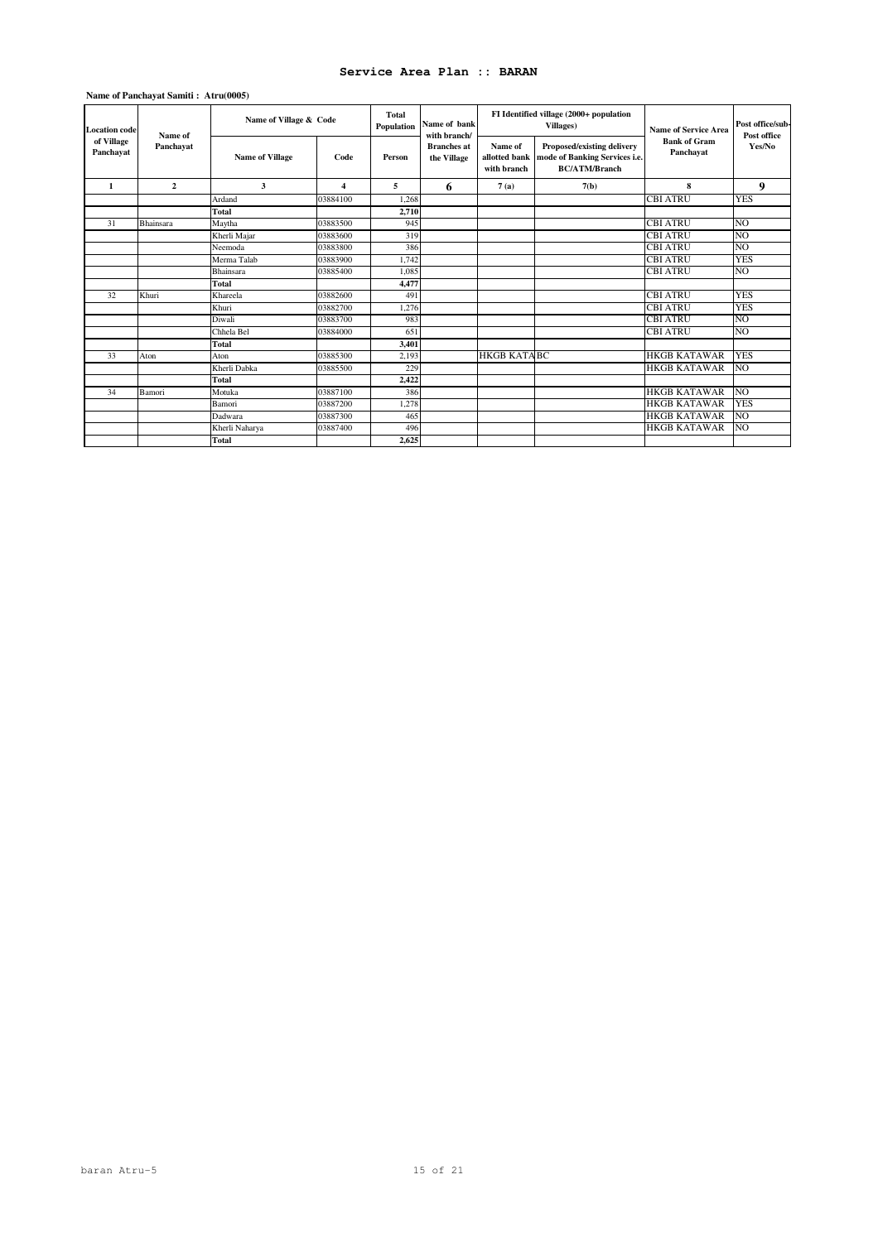### **Name of Panchayat Samiti : Atru(0005)**

| <b>Location</b> code    | Name of<br>Panchayat | Name of Village & Code |                         | Total<br>Name of bank<br>Population<br>with branch/ |                                   | FI Identified village (2000+ population<br><b>Villages</b> ) | <b>Name of Service Area</b>                                                         | Post office/sub-<br>Post office  |                |
|-------------------------|----------------------|------------------------|-------------------------|-----------------------------------------------------|-----------------------------------|--------------------------------------------------------------|-------------------------------------------------------------------------------------|----------------------------------|----------------|
| of Village<br>Panchayat |                      | <b>Name of Village</b> | Code                    | Person                                              | <b>Branches</b> at<br>the Village | Name of<br>allotted bank<br>with branch                      | Proposed/existing delivery<br>mode of Banking Services i.e.<br><b>BC/ATM/Branch</b> | <b>Bank of Gram</b><br>Panchayat | Yes/No         |
| 1                       | $\mathbf{2}$         | 3                      | $\overline{\mathbf{4}}$ | 5                                                   | 6                                 | 7(a)                                                         | 7(b)                                                                                | 8                                | 9              |
|                         |                      | Ardand                 | 03884100                | 1.268                                               |                                   |                                                              |                                                                                     | <b>CBI ATRU</b>                  | <b>YES</b>     |
|                         |                      | Total                  |                         | 2.710                                               |                                   |                                                              |                                                                                     |                                  |                |
| 31                      | Bhainsara            | Maytha                 | 03883500                | 945                                                 |                                   |                                                              |                                                                                     | <b>CBI ATRU</b>                  | N <sub>O</sub> |
|                         |                      | Kherli Majar           | 03883600                | 319                                                 |                                   |                                                              |                                                                                     | <b>CBI ATRU</b>                  | NO             |
|                         |                      | Neemoda                | 03883800                | 386                                                 |                                   |                                                              |                                                                                     | <b>CBI ATRU</b>                  | NO.            |
|                         |                      | Merma Talab            | 03883900                | 1,742                                               |                                   |                                                              |                                                                                     | <b>CBI ATRU</b>                  | <b>YES</b>     |
|                         |                      | Bhainsara              | 03885400                | 1.085                                               |                                   |                                                              |                                                                                     | <b>CBI ATRU</b>                  | NO.            |
|                         |                      | Total                  |                         | 4.477                                               |                                   |                                                              |                                                                                     |                                  |                |
| 32                      | Khuri                | Khareela               | 03882600                | 491                                                 |                                   |                                                              |                                                                                     | <b>CBI ATRU</b>                  | <b>YES</b>     |
|                         |                      | Khuri                  | 03882700                | 1,276                                               |                                   |                                                              |                                                                                     | <b>CBI ATRU</b>                  | <b>YES</b>     |
|                         |                      | Diwali                 | 03883700                | 983                                                 |                                   |                                                              |                                                                                     | <b>CBI ATRU</b>                  | NO             |
|                         |                      | Chhela Bel             | 03884000                | 651                                                 |                                   |                                                              |                                                                                     | <b>CBI ATRU</b>                  | NO             |
|                         |                      | Total                  |                         | 3.401                                               |                                   |                                                              |                                                                                     |                                  |                |
| 33                      | Aton                 | Aton                   | 03885300                | 2,193                                               |                                   | <b>HKGB KATABC</b>                                           |                                                                                     | <b>HKGB KATAWAR</b>              | <b>YES</b>     |
|                         |                      | Kherli Dabka           | 03885500                | 229                                                 |                                   |                                                              |                                                                                     | <b>HKGB KATAWAR</b>              | NO.            |
|                         |                      | Total                  |                         | 2,422                                               |                                   |                                                              |                                                                                     |                                  |                |
| 34                      | Bamori               | Motuka                 | 03887100                | 386                                                 |                                   |                                                              |                                                                                     | <b>HKGB KATAWAR</b>              | NO.            |
|                         |                      | Bamori                 | 03887200                | 1.278                                               |                                   |                                                              |                                                                                     | <b>HKGB KATAWAR</b>              | <b>YES</b>     |
|                         |                      | Dadwara                | 03887300                | 465                                                 |                                   |                                                              |                                                                                     | <b>HKGB KATAWAR</b>              | N <sub>O</sub> |
|                         |                      | Kherli Naharya         | 03887400                | 496                                                 |                                   |                                                              |                                                                                     | <b>HKGB KATAWAR</b>              | NO.            |
|                         |                      | <b>Total</b>           |                         | 2,625                                               |                                   |                                                              |                                                                                     |                                  |                |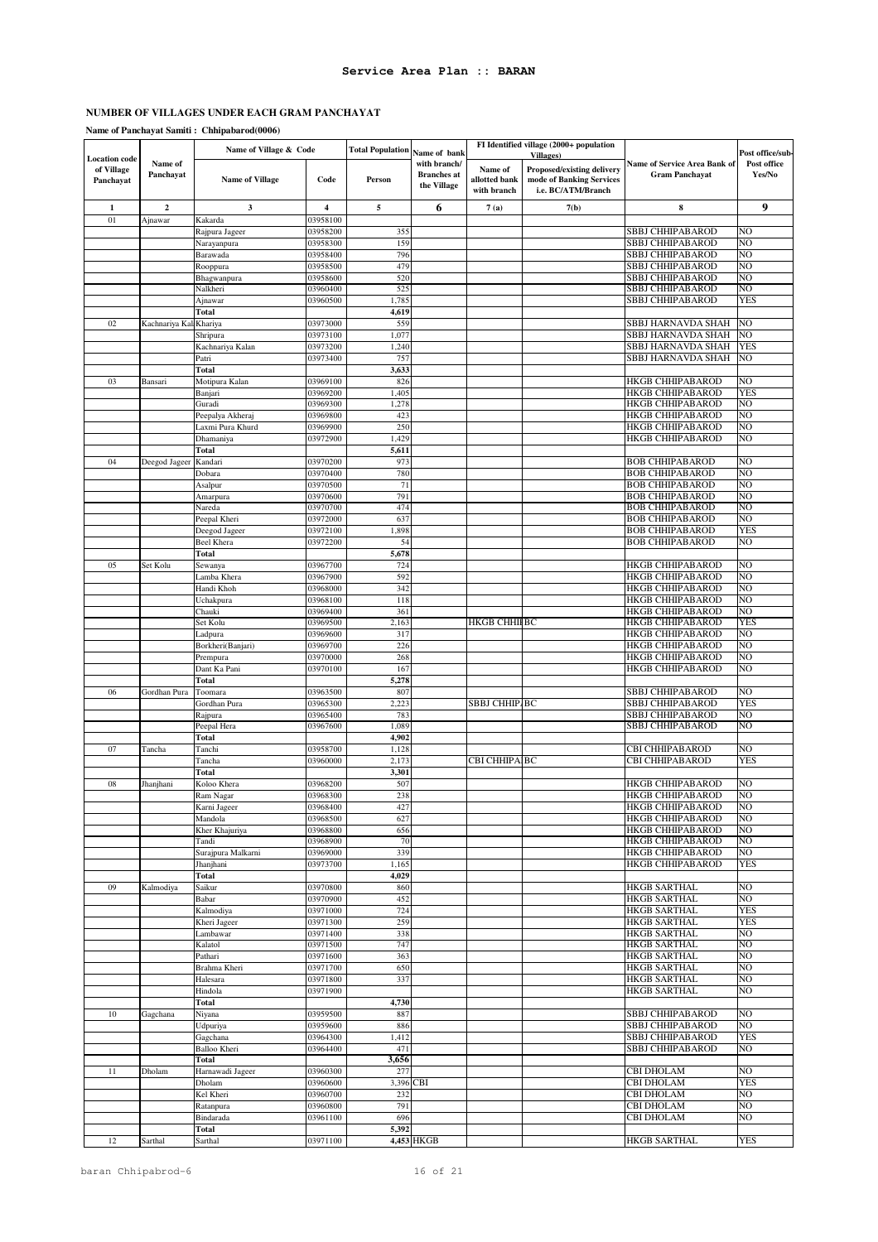# **Name of Panchayat Samiti : Chhipabarod(0006)**

|                                                 |                         | Name of Village & Code    |                         | <b>Total Population</b> | Name of bank                                      | FI Identified village (2000+ population<br><b>Villages</b> ) |                                                                              |                                                       | Post office/sub-      |
|-------------------------------------------------|-------------------------|---------------------------|-------------------------|-------------------------|---------------------------------------------------|--------------------------------------------------------------|------------------------------------------------------------------------------|-------------------------------------------------------|-----------------------|
| <b>Location</b> code<br>of Village<br>Panchayat | Name of<br>Panchayat    | <b>Name of Village</b>    | Code                    | Person                  | with branch/<br><b>Branches</b> at<br>the Village | Name of<br>allotted bank<br>with branch                      | Proposed/existing delivery<br>mode of Banking Services<br>i.e. BC/ATM/Branch | Name of Service Area Bank of<br><b>Gram Panchayat</b> | Post office<br>Yes/No |
| $\mathbf{1}$                                    | $\overline{\mathbf{c}}$ | 3                         | $\overline{\mathbf{4}}$ | 5                       | 6                                                 | 7(a)                                                         | 7(b)                                                                         | 8                                                     | 9                     |
| 01                                              | Ajnawar                 | Kakarda                   | 03958100                |                         |                                                   |                                                              |                                                                              |                                                       |                       |
|                                                 |                         | Rajpura Jageer            | 03958200                | 355                     |                                                   |                                                              |                                                                              | SBBJ CHHIPABAROD                                      | NO<br>NO              |
|                                                 |                         | Narayanpura<br>Barawada   | 03958300<br>03958400    | 159<br>796              |                                                   |                                                              |                                                                              | SBBJ CHHIPABAROD<br>SBBJ CHHIPABAROD                  | NO                    |
|                                                 |                         | Rooppura                  | 03958500                | 479                     |                                                   |                                                              |                                                                              | SBBJ CHHIPABAROD                                      | NO                    |
|                                                 |                         | Bhagwanpura               | 03958600                | 520                     |                                                   |                                                              |                                                                              | <b>SBBJ CHHIPABAROD</b>                               | NO                    |
|                                                 |                         | Nalkheri                  | 03960400                | 525                     |                                                   |                                                              |                                                                              | SBBJ CHHIPABAROD                                      | NΟ                    |
|                                                 |                         | Ajnawar                   | 03960500                | 1,785                   |                                                   |                                                              |                                                                              | SBBJ CHHIPABAROD                                      | <b>YES</b>            |
|                                                 |                         | Total                     |                         | 4,619                   |                                                   |                                                              |                                                                              |                                                       |                       |
| 02                                              | Kachnariya Kal          | Khariya                   | 03973000                | 559                     |                                                   |                                                              |                                                                              | SBBJ HARNAVDA SHAH                                    | NO                    |
|                                                 |                         | Shripura                  | 03973100                | 1,077                   |                                                   |                                                              |                                                                              | SBBJ HARNAVDA SHAH                                    | NO                    |
|                                                 |                         | Kachnariya Kalan<br>Patri | 03973200<br>03973400    | 1,240<br>757            |                                                   |                                                              |                                                                              | SBBJ HARNAVDA SHAH<br>SBBJ HARNAVDA SHAH              | <b>YES</b><br>NO      |
|                                                 |                         | Total                     |                         | 3,633                   |                                                   |                                                              |                                                                              |                                                       |                       |
| 03                                              | Bansari                 | Motipura Kalan            | 03969100                | 826                     |                                                   |                                                              |                                                                              | HKGB CHHIPABAROD                                      | NO                    |
|                                                 |                         | Banjari                   | 03969200                | 1,405                   |                                                   |                                                              |                                                                              | HKGB CHHIPABAROD                                      | <b>YES</b>            |
|                                                 |                         | Guradi                    | 03969300                | 1,278                   |                                                   |                                                              |                                                                              | <b>HKGB CHHIPABAROD</b>                               | NO                    |
|                                                 |                         | Peepalya Akheraj          | 03969800                | 423                     |                                                   |                                                              |                                                                              | HKGB CHHIPABAROD                                      | NO                    |
|                                                 |                         | Laxmi Pura Khurd          | 03969900                | 250                     |                                                   |                                                              |                                                                              | HKGB CHHIPABAROD                                      | NO                    |
|                                                 |                         | Dhamaniya                 | 03972900                | 1,429                   |                                                   |                                                              |                                                                              | HKGB CHHIPABAROD                                      | NO                    |
|                                                 |                         | Total                     |                         | 5,611                   |                                                   |                                                              |                                                                              |                                                       |                       |
| 04                                              | Deegod Jageer           | Kandari<br>Dobara         | 03970200<br>03970400    | 973<br>780              |                                                   |                                                              |                                                                              | <b>BOB CHHIPABAROD</b><br><b>BOB CHHIPABAROD</b>      | NO<br>NO              |
|                                                 |                         | Asalpur                   | 03970500                | 71                      |                                                   |                                                              |                                                                              | <b>BOB CHHIPABAROD</b>                                | NO                    |
|                                                 |                         | Amarpura                  | 03970600                | 791                     |                                                   |                                                              |                                                                              | <b>BOB CHHIPABAROD</b>                                | NO                    |
|                                                 |                         | Nareda                    | 03970700                | 474                     |                                                   |                                                              |                                                                              | <b>BOB CHHIPABAROD</b>                                | NO                    |
|                                                 |                         | Peepal Kheri              | 03972000                | 637                     |                                                   |                                                              |                                                                              | <b>BOB CHHIPABAROD</b>                                | NO                    |
|                                                 |                         | Deegod Jageer             | 03972100                | 1,898                   |                                                   |                                                              |                                                                              | <b>BOB CHHIPABAROD</b>                                | <b>YES</b>            |
|                                                 |                         | Beel Khera                | 03972200                | 54                      |                                                   |                                                              |                                                                              | <b>BOB CHHIPABAROD</b>                                | NO                    |
|                                                 |                         | Total                     |                         | 5,678                   |                                                   |                                                              |                                                                              |                                                       |                       |
| 05                                              | Set Kolu                | Sewanya                   | 03967700                | 724                     |                                                   |                                                              |                                                                              | <b>HKGB CHHIPABAROD</b>                               | NO                    |
|                                                 |                         | Lamba Khera<br>Handi Khoh | 03967900<br>03968000    | 592<br>342              |                                                   |                                                              |                                                                              | <b>HKGB CHHIPABAROD</b><br><b>HKGB CHHIPABAROD</b>    | NO<br>NO              |
|                                                 |                         | Uchakpura                 | 03968100                | 118                     |                                                   |                                                              |                                                                              | HKGB CHHIPABAROD                                      | NO                    |
|                                                 |                         | Chauki                    | 03969400                | 361                     |                                                   |                                                              |                                                                              | HKGB CHHIPABAROD                                      | NO                    |
|                                                 |                         | Set Kolu                  | 03969500                | 2,163                   |                                                   | HKGB CHHIFBC                                                 |                                                                              | HKGB CHHIPABAROD                                      | <b>YES</b>            |
|                                                 |                         | Ladpura                   | 03969600                | 317                     |                                                   |                                                              |                                                                              | <b>HKGB CHHIPABAROD</b>                               | NO                    |
|                                                 |                         | Borkheri(Banjari)         | 03969700                | 226                     |                                                   |                                                              |                                                                              | HKGB CHHIPABAROD                                      | NO                    |
|                                                 |                         | Prempura                  | 03970000                | 268                     |                                                   |                                                              |                                                                              | HKGB CHHIPABAROD                                      | NO                    |
|                                                 |                         | Dant Ka Pani              | 03970100                | 167                     |                                                   |                                                              |                                                                              | HKGB CHHIPABAROD                                      | NO                    |
|                                                 |                         | Total                     |                         | 5,278                   |                                                   |                                                              |                                                                              |                                                       |                       |
| 06                                              | Gordhan Pura            | Toomara<br>Gordhan Pura   | 03963500<br>03965300    | 807<br>2,22             |                                                   | SBBJ CHHIP/BC                                                |                                                                              | SBBJ CHHIPABAROD<br>SBBJ CHHIPABAROD                  | NO<br>YES             |
|                                                 |                         | Rajpura                   | 03965400                | 783                     |                                                   |                                                              |                                                                              | <b>SBBJ CHHIPABAROD</b>                               | NO                    |
|                                                 |                         | Peepal Hera               | 03967600                | 1,089                   |                                                   |                                                              |                                                                              | SBBJ CHHIPABAROD                                      | NO                    |
|                                                 |                         | <b>Total</b>              |                         | 4,902                   |                                                   |                                                              |                                                                              |                                                       |                       |
| 07                                              | Tancha                  | Tanchi                    | 03958700                | 1,128                   |                                                   |                                                              |                                                                              | CBI CHHIPABAROD                                       | NO                    |
|                                                 |                         | Tancha                    | 03960000                | 2,173                   |                                                   | CBI CHHIPAIBC                                                |                                                                              | CBI CHHIPABAROD                                       | <b>YES</b>            |
|                                                 |                         | Total                     |                         | 3,301                   |                                                   |                                                              |                                                                              |                                                       |                       |
| 08                                              | Jhanjhani               | Koloo Khera               | 03968200                | 507                     |                                                   |                                                              |                                                                              | HKGB CHHIPABAROD                                      | NO                    |
|                                                 |                         | Ram Nagar                 | 03968300                | 238                     |                                                   |                                                              |                                                                              | <b>HKGB CHHIPABAROD</b>                               | NO                    |
|                                                 |                         | Karni Jageer<br>Mandola   | 03968400<br>03968500    | 427<br>627              |                                                   |                                                              |                                                                              | <b>HKGB CHHIPABAROD</b><br><b>HKGB CHHIPABAROD</b>    | NO<br>NO              |
|                                                 |                         | Kher Khajuriya            | 03968800                | 656                     |                                                   |                                                              |                                                                              | <b>HKGB CHHIPABAROD</b>                               | NO                    |
|                                                 |                         | Tandi                     | 03968900                | 70                      |                                                   |                                                              |                                                                              | <b>HKGB CHHIPABAROD</b>                               | NO                    |
|                                                 |                         | Surajpura Malkarni        | 03969000                | 339                     |                                                   |                                                              |                                                                              | <b>HKGB CHHIPABAROD</b>                               | NO.                   |
|                                                 |                         | Jhanjhani                 | 03973700                | 1,165                   |                                                   |                                                              |                                                                              | <b>HKGB CHHIPABAROD</b>                               | <b>YES</b>            |
|                                                 |                         | Total                     |                         | 4,029                   |                                                   |                                                              |                                                                              |                                                       |                       |
| 09                                              | Kalmodiya               | Saikur                    | 03970800                | 860                     |                                                   |                                                              |                                                                              | <b>HKGB SARTHAL</b>                                   | NO                    |
|                                                 |                         | Babar                     | 03970900                | 452                     |                                                   |                                                              |                                                                              | <b>HKGB SARTHAL</b>                                   | NO<br><b>YES</b>      |
|                                                 |                         | Kalmodiya                 | 03971000                | 724                     |                                                   |                                                              |                                                                              | HKGB SARTHAL                                          |                       |
|                                                 |                         | Kheri Jageer<br>Lambawar  | 03971300<br>03971400    | 259<br>338              |                                                   |                                                              |                                                                              | HKGB SARTHAL<br>HKGB SARTHAL                          | <b>YES</b><br>NO      |
|                                                 |                         | Kalatol                   | 03971500                | 747                     |                                                   |                                                              |                                                                              | <b>HKGB SARTHAL</b>                                   | NΟ                    |
|                                                 |                         | Pathari                   | 03971600                | 363                     |                                                   |                                                              |                                                                              | <b>HKGB SARTHAL</b>                                   | NO                    |
|                                                 |                         | Brahma Kheri              | 03971700                | 650                     |                                                   |                                                              |                                                                              | HKGB SARTHAL                                          | NO                    |
|                                                 |                         | Halesara                  | 03971800                | 337                     |                                                   |                                                              |                                                                              | <b>HKGB SARTHAL</b>                                   | NO                    |
|                                                 |                         | Hindola                   | 03971900                |                         |                                                   |                                                              |                                                                              | <b>HKGB SARTHAL</b>                                   | NO                    |
|                                                 |                         | Total                     |                         | 4,730                   |                                                   |                                                              |                                                                              |                                                       |                       |
| $10$                                            | Gagchana                | Niyana                    | 03959500                | 887                     |                                                   |                                                              |                                                                              | SBBJ CHHIPABAROD                                      | NO                    |
|                                                 |                         | Udpuriya                  | 03959600                | 886                     |                                                   |                                                              |                                                                              | SBBJ CHHIPABAROD                                      | NO<br><b>YES</b>      |
|                                                 |                         | Gagchana<br>Balloo Kheri  | 03964300<br>03964400    | 1,412<br>471            |                                                   |                                                              |                                                                              | SBBJ CHHIPABAROD<br>SBBJ CHHIPABAROD                  | NO                    |
|                                                 |                         | Total                     |                         | 3,656                   |                                                   |                                                              |                                                                              |                                                       |                       |
| 11                                              | Dholam                  | Harnawadi Jageer          | 03960300                | 277                     |                                                   |                                                              |                                                                              | CBI DHOLAM                                            | NO                    |
|                                                 |                         | Dholam                    | 03960600                | 3,396 CBI               |                                                   |                                                              |                                                                              | <b>CBI DHOLAM</b>                                     | <b>YES</b>            |
|                                                 |                         | Kel Kheri                 | 03960700                | 232                     |                                                   |                                                              |                                                                              | CBI DHOLAM                                            | NO                    |
|                                                 |                         | Ratanpura                 | 03960800                | 791                     |                                                   |                                                              |                                                                              | CBI DHOLAM                                            | NO                    |
|                                                 |                         | Bindarada                 | 03961100                | 696                     |                                                   |                                                              |                                                                              | <b>CBI DHOLAM</b>                                     | NΟ                    |
|                                                 |                         | Total                     |                         | 5,392                   |                                                   |                                                              |                                                                              |                                                       |                       |
| 12                                              | Sarthal                 | Sarthal                   | 03971100                |                         | 4,453 HKGB                                        |                                                              |                                                                              | HKGB SARTHAL                                          | <b>YES</b>            |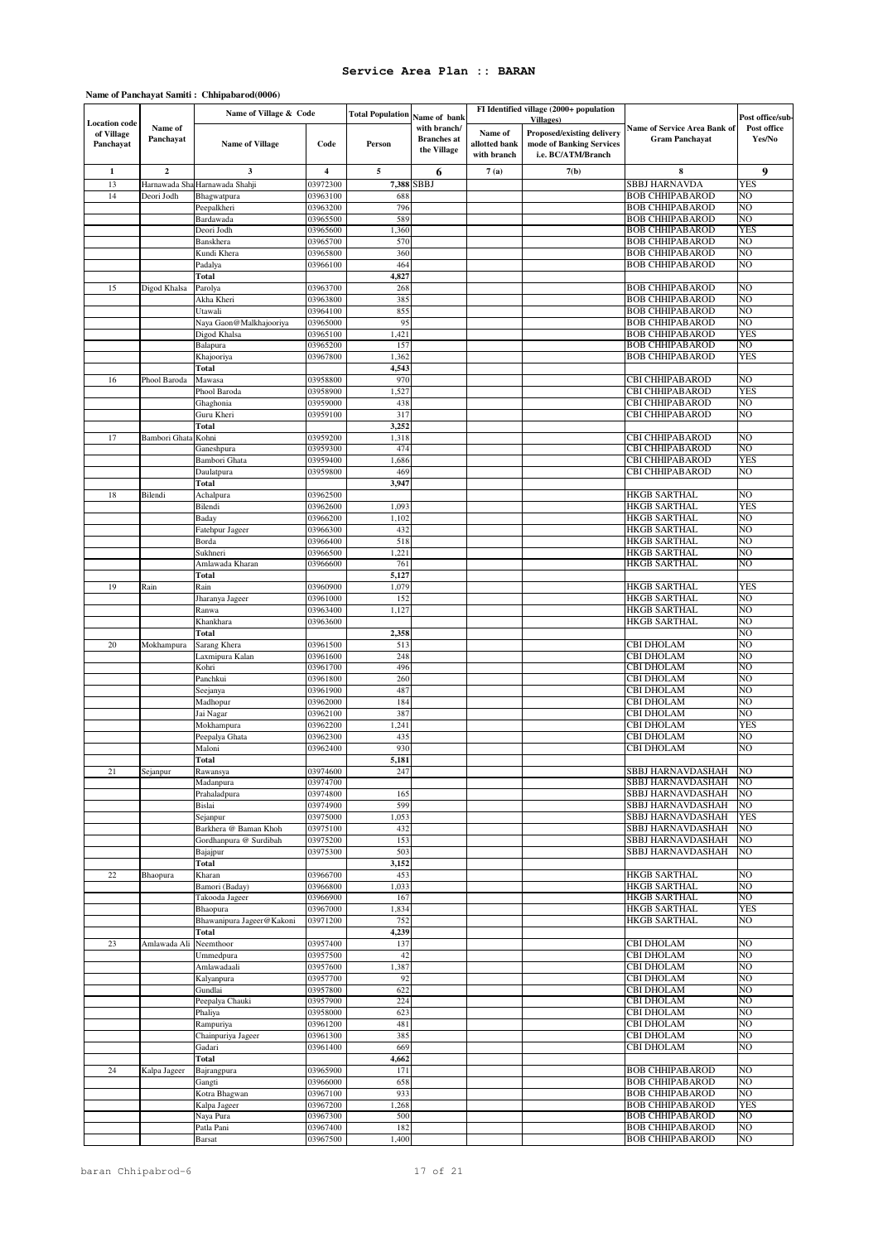|                                                 |                      | Name of Village & Code             |                         | <b>Total Population</b> |                                                                   | FI Identified village (2000+ population |                                                                                                   |                                                       |                                           |
|-------------------------------------------------|----------------------|------------------------------------|-------------------------|-------------------------|-------------------------------------------------------------------|-----------------------------------------|---------------------------------------------------------------------------------------------------|-------------------------------------------------------|-------------------------------------------|
| <b>Location</b> code<br>of Village<br>Panchayat | Name of<br>Panchayat | <b>Name of Village</b>             | Code                    | Person                  | Name of bank<br>with branch/<br><b>Branches</b> at<br>the Village | Name of<br>allotted bank<br>with branch | <b>Villages</b> )<br>Proposed/existing delivery<br>mode of Banking Services<br>i.e. BC/ATM/Branch | Name of Service Area Bank of<br><b>Gram Panchayat</b> | Post office/sub-<br>Post office<br>Yes/No |
| $\mathbf{1}$                                    | $\overline{2}$       | 3                                  | $\overline{\mathbf{4}}$ | 5                       | 6                                                                 | 7(a)                                    | 7(b)                                                                                              | 8                                                     | 9                                         |
| 13                                              | Harnawada Sha        | Harnawada Shahji                   | 03972300                | 7,388                   | SBBJ                                                              |                                         |                                                                                                   | SBBJ HARNAVDA                                         | <b>YES</b>                                |
| 14                                              | Deori Jodh           | Bhagwatpura                        | 03963100                | 688                     |                                                                   |                                         |                                                                                                   | <b>BOB CHHIPABAROD</b>                                | NO                                        |
|                                                 |                      | Peepalkheri<br>Bardawada           | 03963200<br>03965500    | 796<br>589              |                                                                   |                                         |                                                                                                   | <b>BOB CHHIPABAROD</b><br><b>BOB CHHIPABAROD</b>      | NO<br>NO                                  |
|                                                 |                      | Deori Jodh                         | 03965600                | 1,360                   |                                                                   |                                         |                                                                                                   | <b>BOB CHHIPABAROD</b>                                | <b>YES</b>                                |
|                                                 |                      | Banskhera                          | 03965700                | 570                     |                                                                   |                                         |                                                                                                   | <b>BOB CHHIPABAROD</b>                                | NO                                        |
|                                                 |                      | Kundi Khera                        | 03965800                | 360<br>464              |                                                                   |                                         |                                                                                                   | <b>BOB CHHIPABAROD</b><br><b>BOB CHHIPABAROD</b>      | NO<br>NO                                  |
|                                                 |                      | Padalya<br>Total                   | 03966100                | 4,827                   |                                                                   |                                         |                                                                                                   |                                                       |                                           |
| 15                                              | Digod Khalsa         | Parolya                            | 03963700                | 268                     |                                                                   |                                         |                                                                                                   | <b>BOB CHHIPABAROD</b>                                | NO                                        |
|                                                 |                      | Akha Kheri                         | 03963800                | 385                     |                                                                   |                                         |                                                                                                   | <b>BOB CHHIPABAROD</b>                                | NO                                        |
|                                                 |                      | Utawali<br>Naya Gaon@Malkhajooriya | 03964100<br>03965000    | 855<br>95               |                                                                   |                                         |                                                                                                   | <b>BOB CHHIPABAROD</b><br><b>BOB CHHIPABAROD</b>      | NO<br>NO                                  |
|                                                 |                      | Digod Khalsa                       | 03965100                | 1,421                   |                                                                   |                                         |                                                                                                   | <b>BOB CHHIPABAROD</b>                                | YES                                       |
|                                                 |                      | Balapura                           | 03965200                | 157                     |                                                                   |                                         |                                                                                                   | <b>BOB CHHIPABAROD</b>                                | NO                                        |
|                                                 |                      | Khajooriya                         | 03967800                | 1,362                   |                                                                   |                                         |                                                                                                   | <b>BOB CHHIPABAROD</b>                                | <b>YES</b>                                |
| 16                                              | Phool Baroda         | Total<br>Mawasa                    | 03958800                | 4,543<br>970            |                                                                   |                                         |                                                                                                   | CBI CHHIPABAROD                                       | NO                                        |
|                                                 |                      | Phool Baroda                       | 03958900                | 1,527                   |                                                                   |                                         |                                                                                                   | CBI CHHIPABAROD                                       | YES                                       |
|                                                 |                      | Ghaghonia                          | 03959000                | 438                     |                                                                   |                                         |                                                                                                   | CBI CHHIPABAROD                                       | NO                                        |
|                                                 |                      | Guru Kheri                         | 03959100                | 317                     |                                                                   |                                         |                                                                                                   | CBI CHHIPABAROD                                       | NO                                        |
| 17                                              | Bambori Ghata        | Total<br>Kohni                     | 03959200                | 3,252<br>1,318          |                                                                   |                                         |                                                                                                   | CBI CHHIPABAROD                                       | NO                                        |
|                                                 |                      | Ganeshpura                         | 03959300                | 474                     |                                                                   |                                         |                                                                                                   | CBI CHHIPABAROD                                       | NO                                        |
|                                                 |                      | Bambori Ghata                      | 03959400                | 1,686                   |                                                                   |                                         |                                                                                                   | CBI CHHIPABAROD                                       | YES                                       |
|                                                 |                      | Daulatpura                         | 03959800                | 469                     |                                                                   |                                         |                                                                                                   | CBI CHHIPABAROD                                       | NO                                        |
| 18                                              | Bilendi              | Total<br>Achalpura                 | 03962500                | 3,947                   |                                                                   |                                         |                                                                                                   | HKGB SARTHAL                                          | NO                                        |
|                                                 |                      | Bilendi                            | 03962600                | 1,093                   |                                                                   |                                         |                                                                                                   | <b>HKGB SARTHAL</b>                                   | <b>YES</b>                                |
|                                                 |                      | Baday                              | 03966200                | 1,102                   |                                                                   |                                         |                                                                                                   | <b>HKGB SARTHAL</b>                                   | NO                                        |
|                                                 |                      | Fatehpur Jageer                    | 03966300                | 432                     |                                                                   |                                         |                                                                                                   | <b>HKGB SARTHAL</b>                                   | NO                                        |
|                                                 |                      | Borda<br>Sukhneri                  | 03966400<br>03966500    | 518<br>1,221            |                                                                   |                                         |                                                                                                   | <b>HKGB SARTHAL</b><br>HKGB SARTHAL                   | NO<br>NΟ                                  |
|                                                 |                      | Amlawada Kharan                    | 03966600                | 761                     |                                                                   |                                         |                                                                                                   | HKGB SARTHAL                                          | NO                                        |
|                                                 |                      | Total                              |                         | 5,127                   |                                                                   |                                         |                                                                                                   |                                                       |                                           |
| 19                                              | Rain                 | Rain                               | 03960900                | 1,079                   |                                                                   |                                         |                                                                                                   | <b>HKGB SARTHAL</b>                                   | <b>YES</b>                                |
|                                                 |                      | Jharanya Jageer<br>Ranwa           | 03961000<br>03963400    | 152<br>1,127            |                                                                   |                                         |                                                                                                   | <b>HKGB SARTHAL</b><br><b>HKGB SARTHAL</b>            | NO<br>NΟ                                  |
|                                                 |                      | Khankhara                          | 03963600                |                         |                                                                   |                                         |                                                                                                   | HKGB SARTHAL                                          | NO                                        |
|                                                 |                      | Total                              |                         | 2,358                   |                                                                   |                                         |                                                                                                   |                                                       | NO                                        |
| 20                                              | Mokhampura           | Sarang Khera<br>Laxmipura Kalan    | 03961500<br>03961600    | 513<br>248              |                                                                   |                                         |                                                                                                   | CBI DHOLAM<br>CBI DHOLAM                              | NO<br>NO                                  |
|                                                 |                      | Kohri                              | 03961700                | 496                     |                                                                   |                                         |                                                                                                   | CBI DHOLAM                                            | NΟ                                        |
|                                                 |                      | Panchkui                           | 03961800                | 260                     |                                                                   |                                         |                                                                                                   | CBI DHOLAM                                            | NO                                        |
|                                                 |                      | Seejanya                           | 03961900                | 487                     |                                                                   |                                         |                                                                                                   | CBI DHOLAM                                            | NO                                        |
|                                                 |                      | Madhopur<br>Jai Nagar              | 03962000<br>03962100    | 184<br>387              |                                                                   |                                         |                                                                                                   | CBI DHOLAM<br>CBI DHOLAM                              | NO<br>NO                                  |
|                                                 |                      | Mokhampura                         | 03962200                | 1,241                   |                                                                   |                                         |                                                                                                   | CBI DHOLAM                                            | <b>YES</b>                                |
|                                                 |                      | Peepalya Ghata                     | 03962300                | 435                     |                                                                   |                                         |                                                                                                   | CBI DHOLAM                                            | NO                                        |
|                                                 |                      | Maloni                             | 03962400                | 930                     |                                                                   |                                         |                                                                                                   | CBI DHOLAM                                            | NO                                        |
| 21                                              | Sejanpur             | <b>Total</b><br>Rawansya           | 03974600                | 5,181<br>247            |                                                                   |                                         |                                                                                                   | SBBJ HARNAVDASHAH                                     | NO                                        |
|                                                 |                      | Madanpura                          | 03974700                |                         |                                                                   |                                         |                                                                                                   | SBBJ HARNAVDASHAH                                     | NO                                        |
|                                                 |                      | Prahaladpura                       | 03974800                | 165                     |                                                                   |                                         |                                                                                                   | SBBJ HARNAVDASHAH                                     | NO                                        |
|                                                 |                      | Bislai<br>Sejanpur                 | 03974900<br>03975000    | 599<br>1,053            |                                                                   |                                         |                                                                                                   | SBBJ HARNAVDASHAH<br>SBBJ HARNAVDASHAH                | NO<br><b>YES</b>                          |
|                                                 |                      | Barkhera @ Baman Khoh              | 03975100                | 432                     |                                                                   |                                         |                                                                                                   | SBBJ HARNAVDASHAH                                     | NO                                        |
|                                                 |                      | Gordhanpura @ Surdibah             | 03975200                | 153                     |                                                                   |                                         |                                                                                                   | SBBJ HARNAVDASHAH                                     | NΟ                                        |
|                                                 |                      | Bajajpur                           | 03975300                | 503                     |                                                                   |                                         |                                                                                                   | SBBJ HARNAVDASHAH                                     | NO                                        |
| $22\,$                                          | Bhaopura             | Total<br>Kharan                    | 03966700                | 3,152<br>453            |                                                                   |                                         |                                                                                                   | <b>HKGB SARTHAL</b>                                   | NO                                        |
|                                                 |                      | Bamori (Baday)                     | 03966800                | 1,033                   |                                                                   |                                         |                                                                                                   | <b>HKGB SARTHAL</b>                                   | NΟ                                        |
|                                                 |                      | Takooda Jageer                     | 03966900                | 167                     |                                                                   |                                         |                                                                                                   | <b>HKGB SARTHAL</b>                                   | NΟ                                        |
|                                                 |                      | Bhaopura                           | 03967000                | 1,834                   |                                                                   |                                         |                                                                                                   | <b>HKGB SARTHAL</b>                                   | <b>YES</b>                                |
|                                                 |                      | Bhawanipura Jageer@Kakoni<br>Total | 03971200                | 752<br>4,239            |                                                                   |                                         |                                                                                                   | <b>HKGB SARTHAL</b>                                   | NΟ                                        |
| 23                                              | Amlawada Ali         | Neemthoor                          | 03957400                | 137                     |                                                                   |                                         |                                                                                                   | <b>CBI DHOLAM</b>                                     | NO                                        |
|                                                 |                      | Ummedpura                          | 03957500                | 42                      |                                                                   |                                         |                                                                                                   | CBI DHOLAM                                            | NΟ                                        |
|                                                 |                      | Amlawadaali                        | 03957600                | 1,387                   |                                                                   |                                         |                                                                                                   | CBI DHOLAM                                            | NO                                        |
|                                                 |                      | Kalyanpura<br>Gundlai              | 03957700<br>03957800    | 92<br>622               |                                                                   |                                         |                                                                                                   | <b>CBI DHOLAM</b><br><b>CBI DHOLAM</b>                | NΟ<br>NO                                  |
|                                                 |                      | Peepalya Chauki                    | 03957900                | 224                     |                                                                   |                                         |                                                                                                   | CBI DHOLAM                                            | NΟ                                        |
|                                                 |                      | Phaliya                            | 03958000                | 623                     |                                                                   |                                         |                                                                                                   | CBI DHOLAM                                            | NΟ                                        |
|                                                 |                      | Rampuriya                          | 03961200                | 481                     |                                                                   |                                         |                                                                                                   | CBI DHOLAM                                            | NO                                        |
|                                                 |                      | Chainpuriya Jageer<br>Gadari       | 03961300<br>03961400    | 385<br>669              |                                                                   |                                         |                                                                                                   | CBI DHOLAM<br><b>CBI DHOLAM</b>                       | NΟ<br>NO                                  |
|                                                 |                      | Total                              |                         | 4,662                   |                                                                   |                                         |                                                                                                   |                                                       |                                           |
| 24                                              | Kalpa Jageer         | Bajrangpura                        | 03965900                | 171                     |                                                                   |                                         |                                                                                                   | <b>BOB CHHIPABAROD</b>                                | NO                                        |
|                                                 |                      | Gangti                             | 03966000<br>03967100    | 658<br>933              |                                                                   |                                         |                                                                                                   | <b>BOB CHHIPABAROD</b><br><b>BOB CHHIPABAROD</b>      | NO<br>NO                                  |
|                                                 |                      | Kotra Bhagwan<br>Kalpa Jageer      | 03967200                | 1,268                   |                                                                   |                                         |                                                                                                   | <b>BOB CHHIPABAROD</b>                                | <b>YES</b>                                |
|                                                 |                      | Naya Pura                          | 03967300                | 500                     |                                                                   |                                         |                                                                                                   | <b>BOB CHHIPABAROD</b>                                | NO                                        |
|                                                 |                      | Patla Pani                         | 03967400                | 182                     |                                                                   |                                         |                                                                                                   | <b>BOB CHHIPABAROD</b>                                | NO                                        |
|                                                 |                      | <b>Barsat</b>                      | 03967500                | 1,400                   |                                                                   |                                         |                                                                                                   | <b>BOB CHHIPABAROD</b>                                | NO                                        |

### **Name of Panchayat Samiti : Chhipabarod(0006)**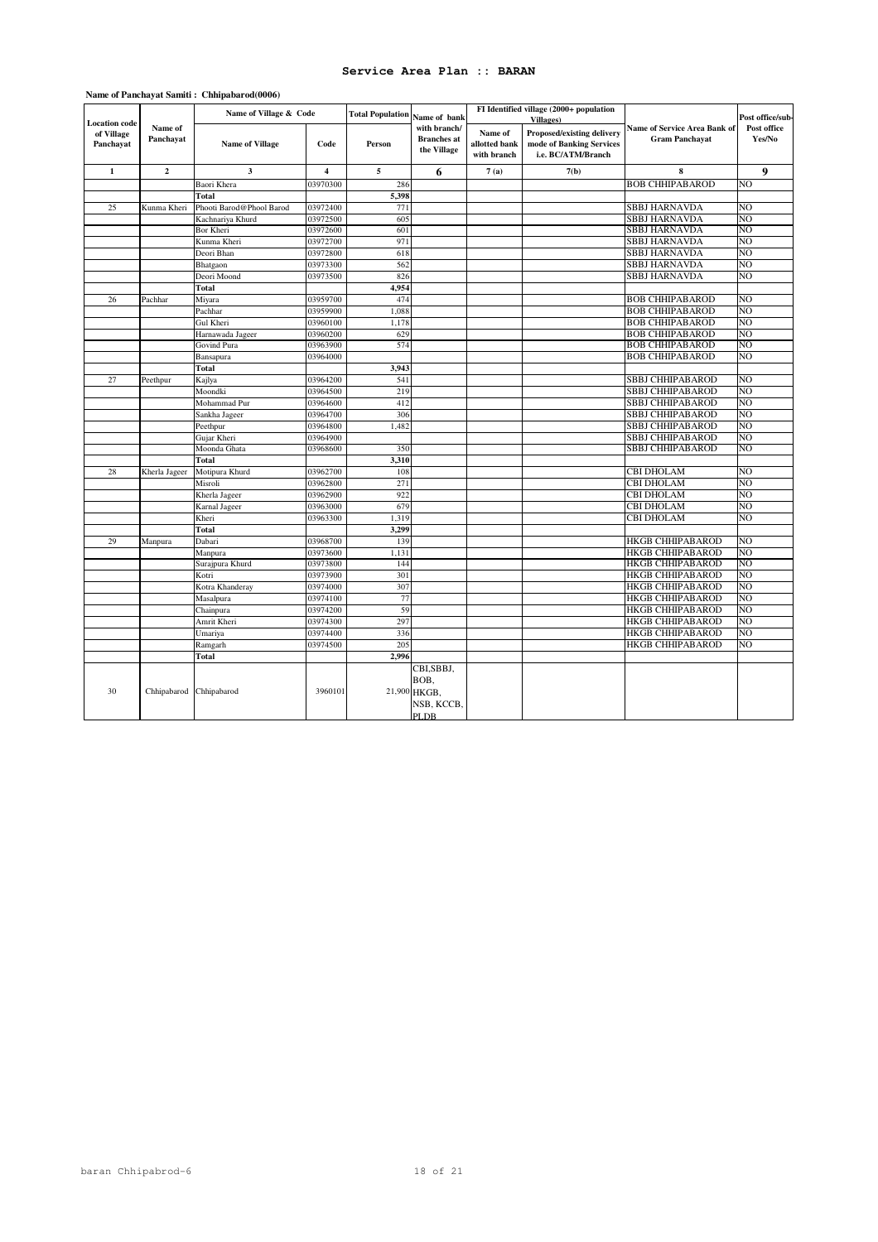| <b>Location</b> code    | Name of<br>Panchayat    | Name of Village & Code   |                | <b>Total Population</b><br>Name of bank |                                                   |                                         | FI Identified village (2000+ population<br><b>Villages</b> )                 |                                                       | Post office/sub-             |
|-------------------------|-------------------------|--------------------------|----------------|-----------------------------------------|---------------------------------------------------|-----------------------------------------|------------------------------------------------------------------------------|-------------------------------------------------------|------------------------------|
| of Village<br>Panchavat |                         | <b>Name of Village</b>   | Code           | Person                                  | with branch/<br><b>Branches</b> at<br>the Village | Name of<br>allotted bank<br>with branch | Proposed/existing delivery<br>mode of Banking Services<br>i.e. BC/ATM/Branch | Name of Service Area Bank of<br><b>Gram Panchayat</b> | <b>Post office</b><br>Yes/No |
| $\mathbf{1}$            | $\mathbf 2$             | $\mathbf{3}$             | $\overline{4}$ | 5                                       | 6                                                 | 7(a)                                    | 7(b)                                                                         | 8                                                     | 9                            |
|                         |                         | Baori Khera              | 03970300       | 286                                     |                                                   |                                         |                                                                              | <b>BOB CHHIPABAROD</b>                                | NΟ                           |
|                         |                         | Total                    |                | 5,398                                   |                                                   |                                         |                                                                              |                                                       |                              |
| 25                      | Kunma Kheri             | Phooti Barod@Phool Barod | 03972400       | 771                                     |                                                   |                                         |                                                                              | <b>SBBJ HARNAVDA</b>                                  | NO                           |
|                         |                         | Kachnariya Khurd         | 03972500       | 605                                     |                                                   |                                         |                                                                              | <b>SBBJ HARNAVDA</b>                                  | NΟ                           |
|                         |                         | Bor Kheri                | 03972600       | 601                                     |                                                   |                                         |                                                                              | <b>SBBJ HARNAVDA</b>                                  | NΟ                           |
|                         |                         | Kunma Kheri              | 03972700       | 971                                     |                                                   |                                         |                                                                              | <b>SBBJ HARNAVDA</b>                                  | NΟ                           |
|                         |                         | Deori Bhan               | 03972800       | 618                                     |                                                   |                                         |                                                                              | SBBJ HARNAVDA                                         | NO                           |
|                         |                         | Bhatgaon                 | 03973300       | 562                                     |                                                   |                                         |                                                                              | <b>SBBJ HARNAVDA</b>                                  | NΟ                           |
|                         |                         | Deori Moond              | 03973500       | 826                                     |                                                   |                                         |                                                                              | <b>SBBJ HARNAVDA</b>                                  | NΟ                           |
|                         |                         | Total                    |                | 4,954                                   |                                                   |                                         |                                                                              |                                                       |                              |
| 26                      | Pachhar                 | Miyara                   | 03959700       | 474                                     |                                                   |                                         |                                                                              | <b>BOB CHHIPABAROD</b>                                | NO                           |
|                         |                         | Pachhar                  | 03959900       | 1.088                                   |                                                   |                                         |                                                                              | <b>BOB CHHIPABAROD</b>                                | NΟ                           |
|                         |                         | Gul Kheri                | 03960100       | 1,178                                   |                                                   |                                         |                                                                              | <b>BOB CHHIPABAROD</b>                                | NΟ                           |
|                         |                         | Harnawada Jageer         | 03960200       | 629                                     |                                                   |                                         |                                                                              | <b>BOB CHHIPABAROD</b>                                | NΟ                           |
|                         |                         | Govind Pura              | 03963900       | 574                                     |                                                   |                                         |                                                                              | <b>BOB CHHIPABAROD</b>                                | NΟ                           |
|                         |                         | Bansapura                | 03964000       |                                         |                                                   |                                         |                                                                              | <b>BOB CHHIPABAROD</b>                                | NΟ                           |
|                         |                         | Total                    |                | 3,943                                   |                                                   |                                         |                                                                              |                                                       |                              |
| 27                      | Peethpur                | Kajlya                   | 03964200       | 541                                     |                                                   |                                         |                                                                              | <b>SBBJ CHHIPABAROD</b>                               | NΟ                           |
|                         |                         | Moondki                  | 03964500       | 219                                     |                                                   |                                         |                                                                              | SBBJ CHHIPABAROD                                      | NΟ                           |
|                         |                         | Mohammad Pur             | 03964600       | 412                                     |                                                   |                                         |                                                                              | SBBJ CHHIPABAROD                                      | NO                           |
|                         |                         | Sankha Jageer            | 03964700       | 306                                     |                                                   |                                         |                                                                              | <b>SBBJ CHHIPABAROD</b>                               | NΟ                           |
|                         |                         | Peethpur                 | 03964800       | 1,482                                   |                                                   |                                         |                                                                              | SBBJ CHHIPABAROD                                      | NΟ                           |
|                         |                         | Gujar Kheri              | 03964900       |                                         |                                                   |                                         |                                                                              | SBBJ CHHIPABAROD                                      | NΟ                           |
|                         |                         | Moonda Ghata             | 03968600       | 350                                     |                                                   |                                         |                                                                              | <b>SBBJ CHHIPABAROD</b>                               | NΟ                           |
|                         |                         | Total                    |                | 3,310                                   |                                                   |                                         |                                                                              |                                                       |                              |
| 28                      | Kherla Jageer           | Motipura Khurd           | 03962700       | 108                                     |                                                   |                                         |                                                                              | CBI DHOLAM                                            | NO                           |
|                         |                         | Misroli                  | 03962800       | 271                                     |                                                   |                                         |                                                                              | <b>CBI DHOLAM</b>                                     | NΟ                           |
|                         |                         | Kherla Jageer            | 03962900       | 922                                     |                                                   |                                         |                                                                              | <b>CBI DHOLAM</b>                                     | NΟ                           |
|                         |                         | Karnal Jageer            | 03963000       | 679                                     |                                                   |                                         |                                                                              | CBI DHOLAM                                            | NΟ                           |
|                         |                         | Kheri                    | 03963300       | 1,319                                   |                                                   |                                         |                                                                              | <b>CBI DHOLAM</b>                                     | NO                           |
|                         |                         | Total                    |                | 3,299                                   |                                                   |                                         |                                                                              |                                                       |                              |
| 29                      | Manpura                 | Dabari                   | 03968700       | 139                                     |                                                   |                                         |                                                                              | <b>HKGB CHHIPABAROD</b>                               | NO                           |
|                         |                         | Manpura                  | 03973600       | 1,131                                   |                                                   |                                         |                                                                              | <b>HKGB CHHIPABAROD</b>                               | NΟ                           |
|                         |                         | Surajpura Khurd          | 03973800       | 144                                     |                                                   |                                         |                                                                              | <b>HKGB CHHIPABAROD</b>                               | NΟ                           |
|                         |                         | Kotri                    | 03973900       | 301                                     |                                                   |                                         |                                                                              | <b>HKGB CHHIPABAROD</b>                               | NΟ                           |
|                         |                         | Kotra Khanderay          | 03974000       | 307                                     |                                                   |                                         |                                                                              | <b>HKGB CHHIPABAROD</b>                               | NO                           |
|                         |                         | Masalpura                | 03974100       | 77                                      |                                                   |                                         |                                                                              | <b>HKGB CHHIPABAROD</b>                               | NΟ                           |
|                         |                         | Chainpura                | 03974200       | 59                                      |                                                   |                                         |                                                                              | <b>HKGB CHHIPABAROD</b>                               | NΟ                           |
|                         |                         | Amrit Kheri              | 03974300       | 297                                     |                                                   |                                         |                                                                              | <b>HKGB CHHIPABAROD</b>                               | NΟ                           |
|                         |                         | Umariya                  | 03974400       | 336                                     |                                                   |                                         |                                                                              | <b>HKGB CHHIPABAROD</b>                               | NO                           |
|                         |                         | Ramgarh                  | 03974500       | 205                                     |                                                   |                                         |                                                                              | <b>HKGB CHHIPABAROD</b>                               | NΟ                           |
|                         |                         | Total                    |                | 2,996                                   |                                                   |                                         |                                                                              |                                                       |                              |
| 30                      | Chhipabarod Chhipabarod |                          | 3960101        |                                         | CBI,SBBJ,<br>BOB.<br>21,900 HKGB,<br>NSB, KCCB,   |                                         |                                                                              |                                                       |                              |
|                         |                         |                          |                |                                         | PLDB                                              |                                         |                                                                              |                                                       |                              |

### **Name of Panchayat Samiti : Chhipabarod(0006)**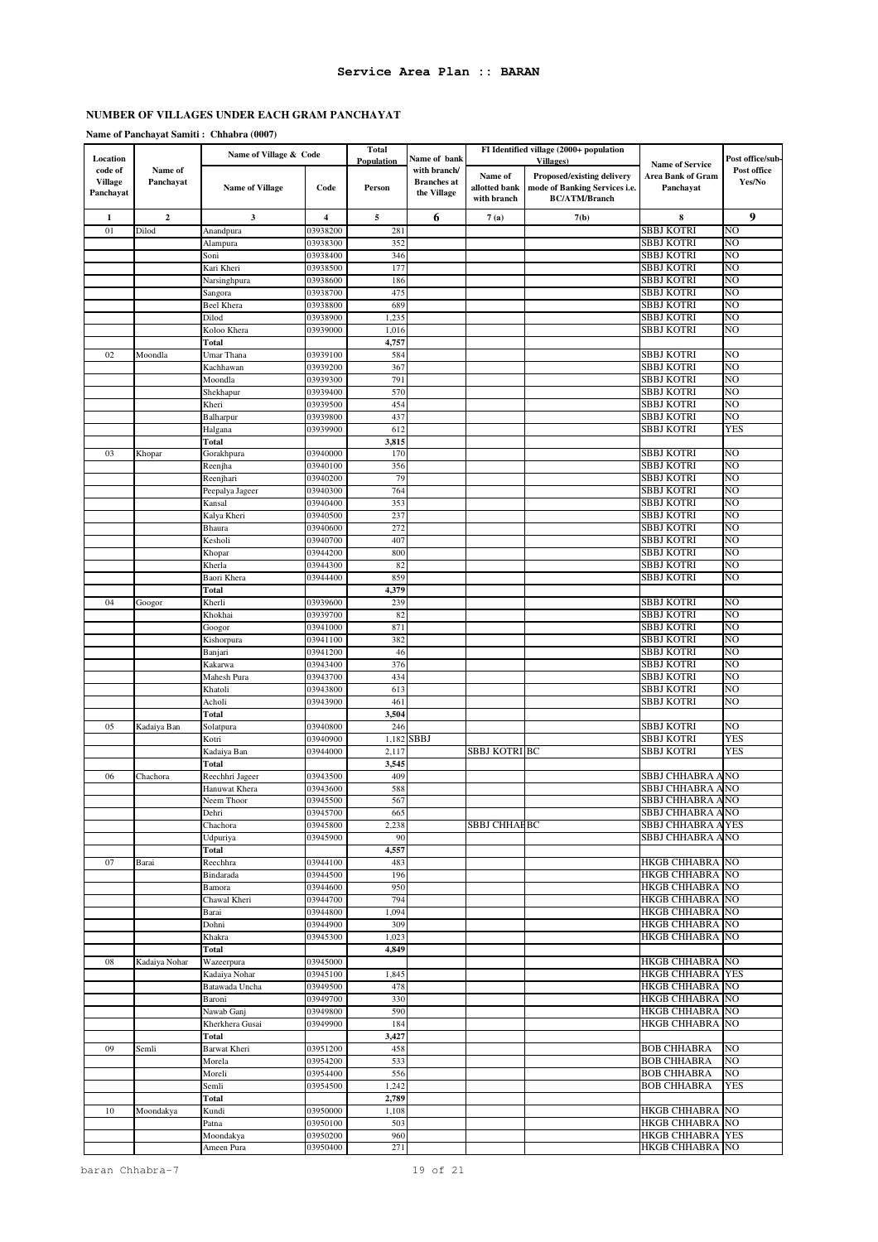# **Name of Panchayat Samiti : Chhabra (0007)**

| Location                               |                      | Name of Village & Code        |                         | <b>Total</b><br>Population | Name of bank                                      |                                         | FI Identified village (2000+ population<br><b>Villages</b> )                        | <b>Name of Service</b>                   | Post office/sub-      |
|----------------------------------------|----------------------|-------------------------------|-------------------------|----------------------------|---------------------------------------------------|-----------------------------------------|-------------------------------------------------------------------------------------|------------------------------------------|-----------------------|
| code of<br><b>Village</b><br>Panchayat | Name of<br>Panchayat | <b>Name of Village</b>        | Code                    | Person                     | with branch/<br><b>Branches</b> at<br>the Village | Name of<br>allotted bank<br>with branch | Proposed/existing delivery<br>mode of Banking Services i.e.<br><b>BC/ATM/Branch</b> | <b>Area Bank of Gram</b><br>Panchayat    | Post office<br>Yes/No |
| 1                                      | $\mathbf{2}$         | 3                             | $\overline{\mathbf{4}}$ | 5                          | 6                                                 | 7(a)                                    | 7(b)                                                                                | 8                                        | 9                     |
| 01                                     | Dilod                | Anandpura                     | 03938200                | 281                        |                                                   |                                         |                                                                                     | <b>SBBJ KOTRI</b>                        | NO                    |
|                                        |                      | Alampura                      | 03938300                | 352                        |                                                   |                                         |                                                                                     | SBBJ KOTRI                               | NO                    |
|                                        |                      | Soni                          | 03938400                | 346                        |                                                   |                                         |                                                                                     | SBBJ KOTRI                               | NO<br>NO              |
|                                        |                      | Kari Kheri<br>Narsinghpura    | 03938500<br>03938600    | 177<br>186                 |                                                   |                                         |                                                                                     | SBBJ KOTRI<br>SBBJ KOTRI                 | NO                    |
|                                        |                      | Sangora                       | 03938700                | 475                        |                                                   |                                         |                                                                                     | <b>SBBJ KOTRI</b>                        | NΟ                    |
|                                        |                      | <b>Beel Khera</b>             | 03938800                | 689                        |                                                   |                                         |                                                                                     | <b>SBBJ KOTRI</b>                        | NO                    |
|                                        |                      | Dilod                         | 03938900                | 1,235                      |                                                   |                                         |                                                                                     | SBBJ KOTRI                               | NO                    |
|                                        |                      | Koloo Khera                   | 03939000                | 1,016                      |                                                   |                                         |                                                                                     | SBBJ KOTRI                               | NO                    |
|                                        | Moondla              | Total                         |                         | 4,757<br>584               |                                                   |                                         |                                                                                     |                                          | NO                    |
| 02                                     |                      | Umar Thana<br>Kachhawan       | 03939100<br>03939200    | 367                        |                                                   |                                         |                                                                                     | SBBJ KOTRI<br>SBBJ KOTRI                 | NO                    |
|                                        |                      | Moondla                       | 03939300                | 791                        |                                                   |                                         |                                                                                     | SBBJ KOTRI                               | NO                    |
|                                        |                      | Shekhapur                     | 03939400                | 570                        |                                                   |                                         |                                                                                     | SBBJ KOTRI                               | NO                    |
|                                        |                      | Kheri                         | 03939500                | 454                        |                                                   |                                         |                                                                                     | SBBJ KOTRI                               | NO                    |
|                                        |                      | Balharpur                     | 03939800                | 437                        |                                                   |                                         |                                                                                     | SBBJ KOTRI                               | NO                    |
|                                        |                      | Halgana<br><b>Total</b>       | 03939900                | 612<br>3,815               |                                                   |                                         |                                                                                     | SBBJ KOTRI                               | <b>YES</b>            |
| 03                                     | Khopar               | Gorakhpura                    | 03940000                | 170                        |                                                   |                                         |                                                                                     | SBBJ KOTRI                               | NO                    |
|                                        |                      | Reenjha                       | 03940100                | 356                        |                                                   |                                         |                                                                                     | SBBJ KOTRI                               | NO                    |
|                                        |                      | Reenjhari                     | 03940200                | 79                         |                                                   |                                         |                                                                                     | SBBJ KOTRI                               | NΟ                    |
|                                        |                      | Peepalya Jageer               | 03940300                | 764                        |                                                   |                                         |                                                                                     | SBBJ KOTRI                               | NO                    |
|                                        |                      | Kansal<br>Kalya Kheri         | 03940400<br>03940500    | 353<br>237                 |                                                   |                                         |                                                                                     | SBBJ KOTRI<br>SBBJ KOTRI                 | NO<br>NO              |
|                                        |                      | Bhaura                        | 03940600                | 272                        |                                                   |                                         |                                                                                     | SBBJ KOTRI                               | NO                    |
|                                        |                      | Kesholi                       | 03940700                | 407                        |                                                   |                                         |                                                                                     | SBBJ KOTRI                               | NΟ                    |
|                                        |                      | Khopar                        | 03944200                | 800                        |                                                   |                                         |                                                                                     | SBBJ KOTRI                               | NO                    |
|                                        |                      | Kherla                        | 03944300                | 82                         |                                                   |                                         |                                                                                     | SBBJ KOTRI                               | NO                    |
|                                        |                      | Baori Khera<br><b>Total</b>   | 03944400                | 859<br>4,379               |                                                   |                                         |                                                                                     | SBBJ KOTRI                               | NO                    |
| 04                                     | Googor               | Kherli                        | 03939600                | 239                        |                                                   |                                         |                                                                                     | SBBJ KOTRI                               | NO                    |
|                                        |                      | Khokhai                       | 03939700                | 82                         |                                                   |                                         |                                                                                     | SBBJ KOTRI                               | NO                    |
|                                        |                      | Googor                        | 03941000                | 871                        |                                                   |                                         |                                                                                     | SBBJ KOTRI                               | NO                    |
|                                        |                      | Kishorpura                    | 03941100                | 382                        |                                                   |                                         |                                                                                     | SBBJ KOTRI                               | NO<br>NO              |
|                                        |                      | Banjari<br>Kakarwa            | 03941200<br>03943400    | 46<br>376                  |                                                   |                                         |                                                                                     | SBBJ KOTRI<br>SBBJ KOTRI                 | NΟ                    |
|                                        |                      | Mahesh Pura                   | 03943700                | 434                        |                                                   |                                         |                                                                                     | <b>SBBJ KOTRI</b>                        | NO                    |
|                                        |                      | Khatoli                       | 03943800                | 613                        |                                                   |                                         |                                                                                     | <b>SBBJ KOTRI</b>                        | NO                    |
|                                        |                      | Acholi                        | 03943900                | 461                        |                                                   |                                         |                                                                                     | SBBJ KOTRI                               | NO                    |
| 05                                     | Kadaiya Ban          | <b>Total</b><br>Solatpura     | 03940800                | 3,504<br>246               |                                                   |                                         |                                                                                     | SBBJ KOTRI                               | NO                    |
|                                        |                      | Kotri                         | 03940900                | 1,182                      | SBBJ                                              |                                         |                                                                                     | SBBJ KOTRI                               | <b>YES</b>            |
|                                        |                      | Kadaiya Ban                   | 03944000                | 2,117                      |                                                   | <b>SBBJ KOTRI BC</b>                    |                                                                                     | <b>SBBJ KOTRI</b>                        | YES                   |
|                                        |                      | Total                         |                         | 3,545                      |                                                   |                                         |                                                                                     |                                          |                       |
| 06                                     | Chachora             | Reechhri Jageer               | 03943500                | 409<br>588                 |                                                   |                                         |                                                                                     | SBBJ CHHABRA A NO                        |                       |
|                                        |                      | Hanuwat Khera<br>Neem Thoor   | 03943600<br>03945500    | 567                        |                                                   |                                         |                                                                                     | SBBJ CHHABRA A NO<br>SBBJ CHHABRA A NO   |                       |
|                                        |                      | Dehri                         | 03945700                | 665                        |                                                   |                                         |                                                                                     | SBBJ CHHABRA A NO                        |                       |
|                                        |                      | Chachora                      | 03945800                | 2,238                      |                                                   | SBBJ CHHAEBC                            |                                                                                     | <b>SBBJ CHHABRA A YES</b>                |                       |
|                                        |                      | Udpuriya                      | 03945900                | 90                         |                                                   |                                         |                                                                                     | SBBJ CHHABRA ANO                         |                       |
|                                        |                      | Total                         |                         | 4,557                      |                                                   |                                         |                                                                                     |                                          |                       |
| 07                                     | Barai                | Reechhra<br>Bindarada         | 03944100<br>03944500    | 483<br>196                 |                                                   |                                         |                                                                                     | HKGB CHHABRA NO<br>HKGB CHHABRA NO       |                       |
|                                        |                      | Bamora                        | 03944600                | 950                        |                                                   |                                         |                                                                                     | HKGB CHHABRA NO                          |                       |
|                                        |                      | Chawal Kheri                  | 03944700                | 794                        |                                                   |                                         |                                                                                     | HKGB CHHABRA NO                          |                       |
|                                        |                      | Barai                         | 03944800                | 1,094                      |                                                   |                                         |                                                                                     | HKGB CHHABRA NO                          |                       |
|                                        |                      | Dohni                         | 03944900                | 309                        |                                                   |                                         |                                                                                     | HKGB CHHABRA NO                          |                       |
|                                        |                      | Khakra<br>Total               | 03945300                | 1,023<br>4,849             |                                                   |                                         |                                                                                     | HKGB CHHABRA NO                          |                       |
| 08                                     | Kadaiya Nohar        | Wazeerpura                    | 03945000                |                            |                                                   |                                         |                                                                                     | HKGB CHHABRA NO                          |                       |
|                                        |                      | Kadaiya Nohar                 | 03945100                | 1,845                      |                                                   |                                         |                                                                                     | HKGB CHHABRA YES                         |                       |
|                                        |                      | Batawada Uncha                | 03949500                | 478                        |                                                   |                                         |                                                                                     | HKGB CHHABRA                             | NO.                   |
|                                        |                      | Baroni                        | 03949700                | 330                        |                                                   |                                         |                                                                                     | HKGB CHHABRA NO                          |                       |
|                                        |                      | Nawab Ganj<br>Kherkhera Gusai | 03949800<br>03949900    | 590<br>184                 |                                                   |                                         |                                                                                     | HKGB CHHABRA NO<br>HKGB CHHABRA          | <b>NO</b>             |
|                                        |                      | Total                         |                         | 3,427                      |                                                   |                                         |                                                                                     |                                          |                       |
| 09                                     | Semli                | Barwat Kheri                  | 03951200                | 458                        |                                                   |                                         |                                                                                     | <b>BOB CHHABRA</b>                       | NO                    |
|                                        |                      | Morela                        | 03954200                | 533                        |                                                   |                                         |                                                                                     | <b>BOB CHHABRA</b>                       | NO                    |
|                                        |                      | Moreli<br>Semli               | 03954400<br>03954500    | 556<br>1,242               |                                                   |                                         |                                                                                     | <b>BOB CHHABRA</b><br><b>BOB CHHABRA</b> | NO<br>YES             |
|                                        |                      | <b>Total</b>                  |                         | 2,789                      |                                                   |                                         |                                                                                     |                                          |                       |
| 10                                     | Moondakya            | Kundi                         | 03950000                | 1,108                      |                                                   |                                         |                                                                                     | HKGB CHHABRA NO                          |                       |
|                                        |                      | Patna                         | 03950100                | 503                        |                                                   |                                         |                                                                                     | HKGB CHHABRA NO                          |                       |
|                                        |                      | Moondakya                     | 03950200<br>03950400    | 960<br>271                 |                                                   |                                         |                                                                                     | <b>HKGB CHHABRA</b><br>HKGB CHHABRA      | <b>YES</b><br>NO      |
|                                        |                      | Ameen Pura                    |                         |                            |                                                   |                                         |                                                                                     |                                          |                       |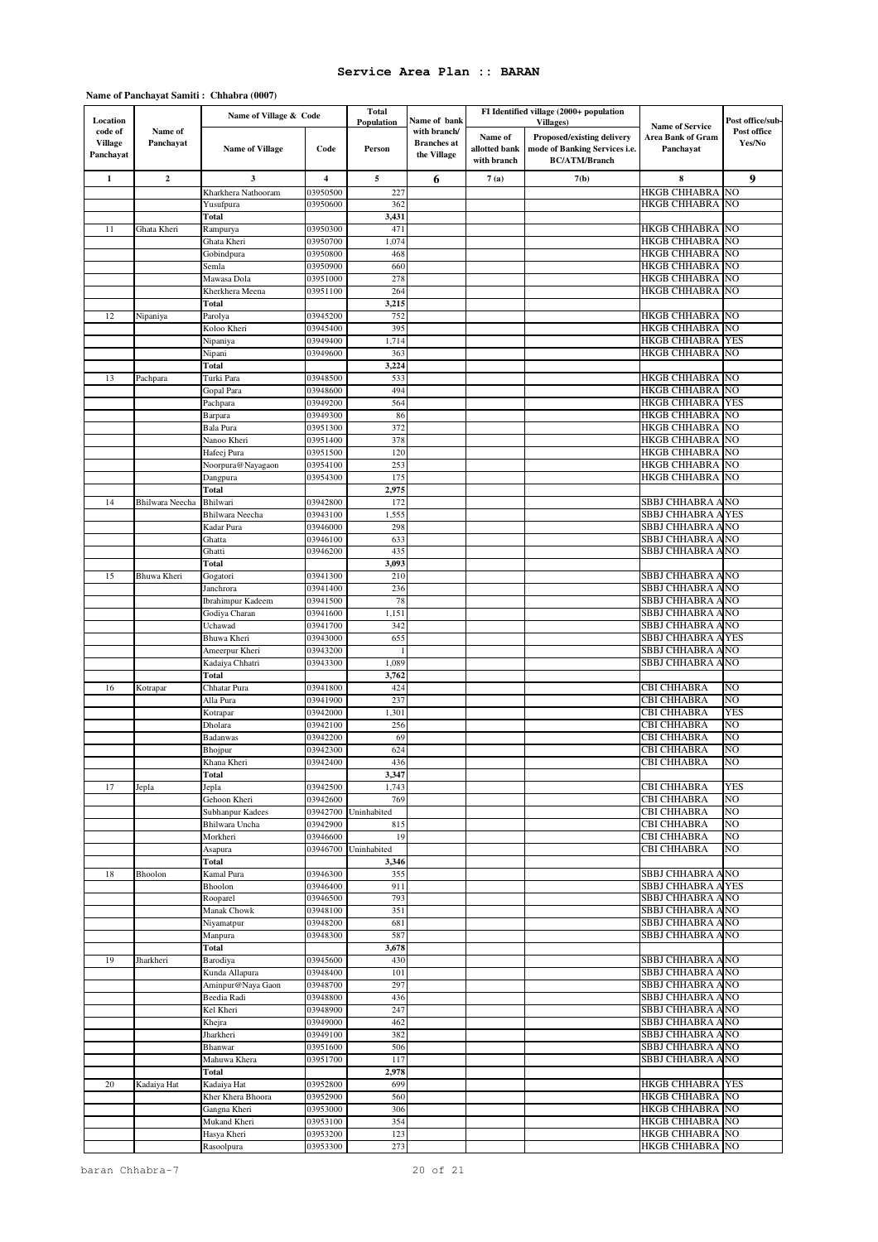#### **Name of Panchayat Samiti : Chhabra (0007)**

|                                       |                        | Name of Village & Code            |                      | <b>Total</b>      |                                                    | FI Identified village (2000+ population |                                                       |                                             |                                           |  |
|---------------------------------------|------------------------|-----------------------------------|----------------------|-------------------|----------------------------------------------------|-----------------------------------------|-------------------------------------------------------|---------------------------------------------|-------------------------------------------|--|
| Location<br>code of<br><b>Village</b> | Name of<br>Panchayat   |                                   |                      | <b>Population</b> | Name of bank<br>with branch/<br><b>Branches</b> at | Name of                                 | <b>Villages</b> )<br>Proposed/existing delivery       | <b>Name of Service</b><br>Area Bank of Gram | Post office/sub-<br>Post office<br>Yes/No |  |
| Panchayat                             |                        | <b>Name of Village</b>            | Code                 | Person            | the Village                                        | allotted bank<br>with branch            | mode of Banking Services i.e.<br><b>BC/ATM/Branch</b> | Panchayat                                   |                                           |  |
| 1                                     | $\mathbf 2$            | 3                                 | 4                    | 5                 | 6                                                  | 7(a)                                    | 7(b)                                                  | 8                                           | 9                                         |  |
|                                       |                        | Kharkhera Nathooram               | 03950500             | 227               |                                                    |                                         |                                                       | HKGB CHHABRA                                | NO                                        |  |
|                                       |                        | Yusufpura                         | 03950600             | 362               |                                                    |                                         |                                                       | HKGB CHHABRA                                | NO                                        |  |
| 11                                    | Ghata Kheri            | Total<br>Rampurya                 | 03950300             | 3,431<br>471      |                                                    |                                         |                                                       | HKGB CHHABRA                                | N <sub>O</sub>                            |  |
|                                       |                        | Ghata Kheri                       | 03950700             | 1,074             |                                                    |                                         |                                                       | HKGB CHHABRA                                | NO                                        |  |
|                                       |                        | Gobindpura                        | 03950800             | 468               |                                                    |                                         |                                                       | HKGB CHHABRA                                | NO                                        |  |
|                                       |                        | Semla                             | 03950900             | 660               |                                                    |                                         |                                                       | HKGB CHHABRA                                | NO                                        |  |
|                                       |                        | Mawasa Dola                       | 03951000             | 278               |                                                    |                                         |                                                       | HKGB CHHABRA                                | NO                                        |  |
|                                       |                        | Kherkhera Meena                   | 03951100             | 264               |                                                    |                                         |                                                       | HKGB CHHABRA                                | NO                                        |  |
| 12                                    |                        | Total<br>Parolya                  | 03945200             | 3,215<br>752      |                                                    |                                         |                                                       | HKGB CHHABRA                                | NO                                        |  |
|                                       | Nipaniya               | Koloo Kheri                       | 03945400             | 395               |                                                    |                                         |                                                       | HKGB CHHABRA                                | NO.                                       |  |
|                                       |                        | Nipaniya                          | 03949400             | 1,714             |                                                    |                                         |                                                       | HKGB CHHABRA                                | <b>YES</b>                                |  |
|                                       |                        | Nipani                            | 03949600             | 363               |                                                    |                                         |                                                       | HKGB CHHABRA                                | NO.                                       |  |
|                                       |                        | Total                             |                      | 3,224             |                                                    |                                         |                                                       |                                             |                                           |  |
| 13                                    | Pachpara               | Turki Para                        | 03948500             | 533               |                                                    |                                         |                                                       | HKGB CHHABRA                                | NO<br>NO                                  |  |
|                                       |                        | Gopal Para<br>Pachpara            | 03948600<br>03949200 | 494<br>564        |                                                    |                                         |                                                       | HKGB CHHABRA<br>HKGB CHHABRA                | <b>YES</b>                                |  |
|                                       |                        | Barpara                           | 03949300             | 86                |                                                    |                                         |                                                       | HKGB CHHABRA                                | NO                                        |  |
|                                       |                        | Bala Pura                         | 03951300             | 372               |                                                    |                                         |                                                       | HKGB CHHABRA                                | NO                                        |  |
|                                       |                        | Nanoo Kheri                       | 03951400             | 378               |                                                    |                                         |                                                       | HKGB CHHABRA                                | NO                                        |  |
|                                       |                        | Hafeej Pura                       | 03951500             | 120               |                                                    |                                         |                                                       | HKGB CHHABRA                                | NO                                        |  |
|                                       |                        | Noorpura@Nayagaon                 | 03954100             | 253               |                                                    |                                         |                                                       | HKGB CHHABRA                                | NO                                        |  |
|                                       |                        | Dangpura<br>Total                 | 03954300             | 175<br>2,975      |                                                    |                                         |                                                       | HKGB CHHABRA                                | NO                                        |  |
| 14                                    | <b>Bhilwara</b> Neecha | Bhilwari                          | 03942800             | 172               |                                                    |                                         |                                                       | SBBJ CHHABRA A NO                           |                                           |  |
|                                       |                        | Bhilwara Neecha                   | 03943100             | 1,555             |                                                    |                                         |                                                       | SBBJ CHHABRA A YES                          |                                           |  |
|                                       |                        | Kadar Pura                        | 03946000             | 298               |                                                    |                                         |                                                       | SBBJ CHHABRA A NO                           |                                           |  |
|                                       |                        | Ghatta                            | 03946100             | 633               |                                                    |                                         |                                                       | SBBJ CHHABRA A NO                           |                                           |  |
|                                       |                        | Ghatti                            | 03946200             | 435               |                                                    |                                         |                                                       | SBBJ CHHABRA A NO                           |                                           |  |
| 15                                    | Bhuwa Kheri            | Total<br>Gogatori                 | 03941300             | 3,093<br>210      |                                                    |                                         |                                                       | SBBJ CHHABRA A NO                           |                                           |  |
|                                       |                        | Janchrora                         | 03941400             | 236               |                                                    |                                         |                                                       | SBBJ CHHABRA A NO                           |                                           |  |
|                                       |                        | <b>Ibrahimpur Kadeem</b>          | 03941500             | 78                |                                                    |                                         |                                                       | SBBJ CHHABRA A NO                           |                                           |  |
|                                       |                        | Godiya Charan                     | 03941600             | 1,151             |                                                    |                                         |                                                       | SBBJ CHHABRA A NO                           |                                           |  |
|                                       |                        | Uchawad                           | 03941700             | 342               |                                                    |                                         |                                                       | SBBJ CHHABRA A NO                           |                                           |  |
|                                       |                        | Bhuwa Kheri                       | 03943000             | 655               |                                                    |                                         |                                                       | SBBJ CHHABRA A YES                          |                                           |  |
|                                       |                        | Ameerpur Kheri<br>Kadaiya Chhatri | 03943200<br>03943300 | 1,089             |                                                    |                                         |                                                       | SBBJ CHHABRA A NO<br>SBBJ CHHABRA A NO      |                                           |  |
|                                       |                        | Total                             |                      | 3,762             |                                                    |                                         |                                                       |                                             |                                           |  |
| 16                                    | Kotrapar               | Chhatar Pura                      | 03941800             | 424               |                                                    |                                         |                                                       | CBI CHHABRA                                 | NO                                        |  |
|                                       |                        | Alla Pura                         | 03941900             | 237               |                                                    |                                         |                                                       | CBI CHHABRA                                 | NO                                        |  |
|                                       |                        | Kotrapar                          | 03942000             | 1,301             |                                                    |                                         |                                                       | CBI CHHABRA                                 | <b>YES</b>                                |  |
|                                       |                        | Dholara                           | 03942100             | 256               |                                                    |                                         |                                                       | CBI CHHABRA                                 | NO<br>NΟ                                  |  |
|                                       |                        | Badanwas<br>Bhojpur               | 03942200<br>03942300 | 69<br>624         |                                                    |                                         |                                                       | CBI CHHABRA<br>CBI CHHABRA                  | N <sub>O</sub>                            |  |
|                                       |                        | Khana Kheri                       | 03942400             | 436               |                                                    |                                         |                                                       | <b>CBI CHHABRA</b>                          | NO                                        |  |
|                                       |                        | Total                             |                      | 3,347             |                                                    |                                         |                                                       |                                             |                                           |  |
| 17                                    | Jepla                  | Jepla                             | 03942500             | 1,743             |                                                    |                                         |                                                       | CBI CHHABRA                                 | YES                                       |  |
|                                       |                        | Gehoon Kheri                      | 03942600             | 769               |                                                    |                                         |                                                       | CBI CHHABRA                                 | NO                                        |  |
|                                       |                        | Subhanpur Kadees                  | 03942700             | Uninhabited       |                                                    |                                         |                                                       | CBI CHHABRA                                 | NO                                        |  |
|                                       |                        | <b>Bhilwara</b> Uncha<br>Morkheri | 03942900<br>03946600 | 815<br>19         |                                                    |                                         |                                                       | CBI CHHABRA<br>CBI CHHABRA                  | N <sub>O</sub><br>NO                      |  |
|                                       |                        | Asapura                           | 03946700             | Uninhabited       |                                                    |                                         |                                                       | CBI CHHABRA                                 | NO                                        |  |
|                                       |                        | Total                             |                      | 3,346             |                                                    |                                         |                                                       |                                             |                                           |  |
| 18                                    | Bhoolon                | Kamal Pura                        | 03946300             | 355               |                                                    |                                         |                                                       | SBBJ CHHABRA A NO                           |                                           |  |
|                                       |                        | Bhoolon                           | 03946400             | 911               |                                                    |                                         |                                                       | SBBJ CHHABRA A YES                          |                                           |  |
|                                       |                        | Rooparel                          | 03946500             | 793               |                                                    |                                         |                                                       | SBBJ CHHABRA A NO                           |                                           |  |
|                                       |                        | Manak Chowk<br>Niyamatpur         | 03948100<br>03948200 | 351<br>681        |                                                    |                                         |                                                       | SBBJ CHHABRA ANO<br>SBBJ CHHABRA A NO       |                                           |  |
|                                       |                        | Manpura                           | 03948300             | 587               |                                                    |                                         |                                                       | SBBJ CHHABRA ANO                            |                                           |  |
|                                       |                        | <b>Total</b>                      |                      | 3,678             |                                                    |                                         |                                                       |                                             |                                           |  |
| 19                                    | Jharkheri              | Barodiya                          | 03945600             | 430               |                                                    |                                         |                                                       | SBBJ CHHABRA A NO                           |                                           |  |
|                                       |                        | Kunda Allapura                    | 03948400             | 101               |                                                    |                                         |                                                       | SBBJ CHHABRA A NO                           |                                           |  |
|                                       |                        | Aminpur@Naya Gaon                 | 03948700             | 297               |                                                    |                                         |                                                       | SBBJ CHHABRA A NO                           |                                           |  |
|                                       |                        | Beedia Radi<br>Kel Kheri          | 03948800<br>03948900 | 436<br>247        |                                                    |                                         |                                                       | SBBJ CHHABRA A NO<br>SBBJ CHHABRA A NO      |                                           |  |
|                                       |                        | Khejra                            | 03949000             | 462               |                                                    |                                         |                                                       | SBBJ CHHABRA A NO                           |                                           |  |
|                                       |                        | Jharkheri                         | 03949100             | 382               |                                                    |                                         |                                                       | SBBJ CHHABRA ANO                            |                                           |  |
|                                       |                        | Bhanwar                           | 03951600             | 506               |                                                    |                                         |                                                       | SBBJ CHHABRA A NO                           |                                           |  |
|                                       |                        | Mahuwa Khera                      | 03951700             | 117               |                                                    |                                         |                                                       | SBBJ CHHABRA A NO                           |                                           |  |
|                                       |                        | <b>Total</b>                      |                      | 2,978             |                                                    |                                         |                                                       |                                             |                                           |  |
| 20                                    | Kadaiya Hat            | Kadaiya Hat<br>Kher Khera Bhoora  | 03952800<br>03952900 | 699<br>560        |                                                    |                                         |                                                       | HKGB CHHABRA   YES<br>HKGB CHHABRA NO       |                                           |  |
|                                       |                        | Gangna Kheri                      | 03953000             | 306               |                                                    |                                         |                                                       | HKGB CHHABRA NO                             |                                           |  |
|                                       |                        | Mukand Kheri                      | 03953100             | 354               |                                                    |                                         |                                                       | HKGB CHHABRA                                | NO                                        |  |
|                                       |                        | Hasya Kheri                       | 03953200             | 123               |                                                    |                                         |                                                       | HKGB CHHABRA                                | NO.                                       |  |
|                                       |                        | Rasoolpura                        | 03953300             | 273               |                                                    |                                         |                                                       | HKGB CHHABRA NO                             |                                           |  |